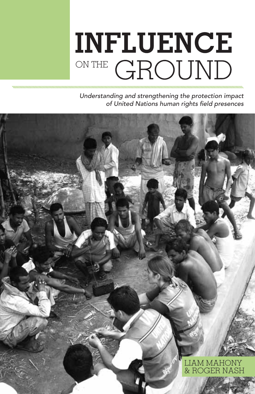# **INFLUENCE** ON THE GROUND

*Understanding and strengthening the protection impact of United Nations human rights field presences*

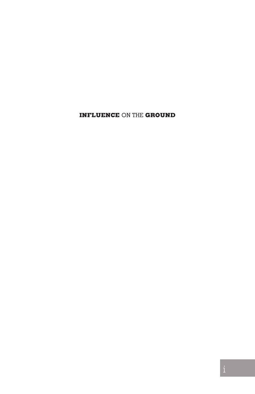**INFLUENCE** ON THE **GROUND**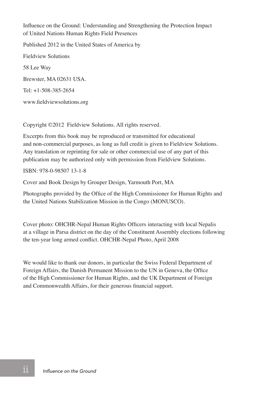Influence on the Ground: Understanding and Strengthening the Protection Impact of United Nations Human Rights Field Presences

Published 2012 in the United States of America by

Fieldview Solutions 58 Lee Way Brewster, MA 02631 USA. Tel: +1-508-385-2654 www.fieldviewsolutions.org

Copyright ©2012 Fieldview Solutions. All rights reserved.

Excerpts from this book may be reproduced or transmitted for educational and non-commercial purposes, as long as full credit is given to Fieldview Solutions. Any translation or reprinting for sale or other commercial use of any part of this publication may be authorized only with permission from Fieldview Solutions.

ISBN: 978-0-98507 13-1-8

Cover and Book Design by Grouper Design, Yarmouth Port, MA

Photographs provided by the Office of the High Commissioner for Human Rights and the United Nations Stabilization Mission in the Congo (MONUSCO).

Cover photo: OHCHR-Nepal Human Rights Officers interacting with local Nepalis at a village in Parsa district on the day of the Constituent Assembly elections following the ten-year long armed conflict. OHCHR-Nepal Photo, April 2008

We would like to thank our donors, in particular the Swiss Federal Department of Foreign Affairs, the Danish Permanent Mission to the UN in Geneva, the Office of the High Commissioner for Human Rights, and the UK Department of Foreign and Commonwealth Affairs, for their generous financial support.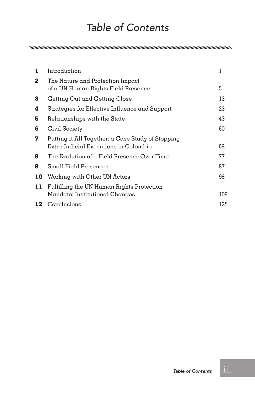## *Table of Contents*

| 1            | Introduction                                                                               | l   |
|--------------|--------------------------------------------------------------------------------------------|-----|
| $\mathbf{2}$ | The Nature and Protection Impact<br>of $\alpha$ UN Human Rights Field Presence             | 5   |
| 3            | Getting Out and Getting Close                                                              | 13  |
| 4            | Strategies for Effective Influence and Support                                             | 23  |
| 5            | Relationships with the State                                                               | 43  |
| 6            | Civil Society                                                                              | 60  |
| 7            | Putting it All Together: α Case Study of Stopping<br>Extra-Judicial Executions in Colombia | 68  |
| 8            | The Evolution of a Field Presence Over Time                                                | 77  |
| 9            | Small Field Presences                                                                      | 87  |
| 10           | Working with Other UN Actors                                                               | 98  |
| 11           | Fulfilling the UN Human Rights Protection<br>Mandate: Institutional Changes                | 108 |
|              | 12 Conclusions                                                                             | 125 |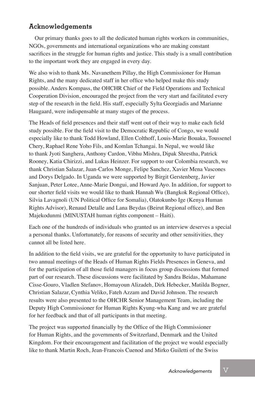#### **Acknowledgements**

Our primary thanks goes to all the dedicated human rights workers in communities, NGOs, governments and international organizations who are making constant sacrifices in the struggle for human rights and justice. This study is a small contribution to the important work they are engaged in every day.

We also wish to thank Ms. Navanethem Pillay, the High Commissioner for Human Rights, and the many dedicated staff in her office who helped make this study possible. Anders Kompass, the OHCHR Chief of the Field Operations and Technical Cooperation Division, encouraged the project from the very start and facilitated every step of the research in the field. His staff, especially Sylta Georgiadis and Marianne Haugaard, were indispensable at many stages of the process.

The Heads of field presences and their staff went out of their way to make each field study possible. For the field visit to the Democratic Republic of Congo, we would especially like to thank Todd Howland, Ellen Colthoff, Louis-Marie Bouaka, Toussenel Chery, Raphael Rene Yoho Fils, and Komlan Tchangai. In Nepal, we would like to thank Jyoti Sanghera, Anthony Cardon, Vibhu Mishra, Dipak Shrestha, Patrick Rooney, Katia Chirizzi, and Lukas Heinzer. For support to our Colombia research, we thank Christian Salazar, Juan-Carlos Monge, Felipe Sanchez, Xavier Mena Vascones and Dorys Delgado. In Uganda we were supported by Birgit Gerstenberg, Javier Sanjuan, Peter Lotee, Anne-Marie Dongui, and Howard Ayo. In addition, for support to our shorter field visits we would like to thank Hannah Wu (Bangkok Regional Office), Silvia Lavagnoli (UN Political Office for Somalia), Olatokunbo Ige (Kenya Human Rights Advisor), Renaud Detalle and Lana Beydas (Beirut Regional office), and Ben Majekodunmi (MINUSTAH human rights component – Haiti).

Each one of the hundreds of individuals who granted us an interview deserves a special a personal thanks. Unfortunately, for reasons of security and other sensitivities, they cannot all be listed here.

In addition to the field visits, we are grateful for the opportunity to have participated in two annual meetings of the Heads of Human Rights Fields Presences in Geneva, and for the participation of all those field managers in focus group discussions that formed part of our research. These discussions were facilitated by Sandra Beidas, Mahamane Cisse-Gouro, Vladlen Stefanov, Homayoun Alizadeh, Dirk Hebecker, Matilda Bogner, Christian Salazar, Cynthia Veliko, Fateh Azzam and David Johnson. The research results were also presented to the OHCHR Senior Management Team, including the Deputy High Commissioner for Human Rights Kyung-wha Kang and we are grateful for her feedback and that of all participants in that meeting.

The project was supported financially by the Office of the High Commissioner for Human Rights, and the governments of Switzerland, Denmark and the United Kingdom. For their encouragement and facilitation of the project we would especially like to thank Martin Roch, Jean-Francois Cuenod and Mirko Guiletti of the Swiss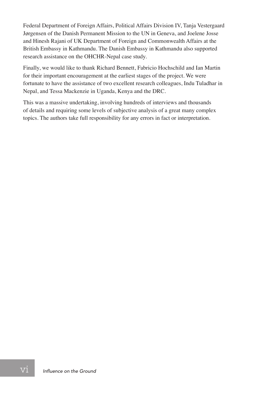Federal Department of Foreign Affairs, Political Affairs Division IV, Tanja Vestergaard Jørgensen of the Danish Permanent Mission to the UN in Geneva, and Joelene Josse and Hinesh Rajani of UK Department of Foreign and Commonwealth Affairs at the British Embassy in Kathmandu. The Danish Embassy in Kathmandu also supported research assistance on the OHCHR-Nepal case study.

Finally, we would like to thank Richard Bennett, Fabricio Hochschild and Ian Martin for their important encouragement at the earliest stages of the project. We were fortunate to have the assistance of two excellent research colleagues, Indu Tuladhar in Nepal, and Tessa Mackenzie in Uganda, Kenya and the DRC.

This was a massive undertaking, involving hundreds of interviews and thousands of details and requiring some levels of subjective analysis of a great many complex topics. The authors take full responsibility for any errors in fact or interpretation.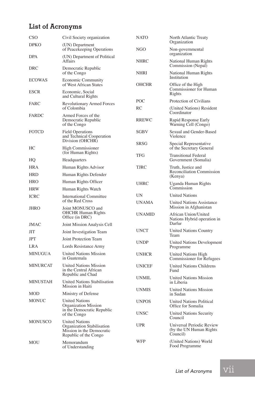#### **List of Acronyms**

| CSO             | Civil Society organization                                                                                | <b>NATO</b>   | North Atlantic Treaty                                             |  |
|-----------------|-----------------------------------------------------------------------------------------------------------|---------------|-------------------------------------------------------------------|--|
| DPKO            | (UN) Department<br>of Peacekeeping Operations                                                             | NGO           | Organization<br>Non-governmental                                  |  |
| DPA             | (UN) Department of Political<br>Affairs                                                                   | <b>NHRC</b>   | organization<br>National Human Rights<br>Commission (Nepal)       |  |
| DRC             | Democratic Republic<br>of the Congo                                                                       | <b>NHRI</b>   | National Human Rights<br>Institution                              |  |
| <b>ECOWAS</b>   | <b>Economic Community</b><br>of West African States                                                       | <b>OHCHR</b>  | Office of the High<br>Commissioner for Human<br>Rights            |  |
| <b>ESCR</b>     | Economic, Social<br>and Cultural Rights                                                                   |               |                                                                   |  |
| <b>FARC</b>     | Revolutionary Armed Forces<br>of Colombia                                                                 | POC           | Protection of Civilians                                           |  |
|                 |                                                                                                           | RC            | (United Nations) Resident<br>Coordinator                          |  |
| <b>FARDC</b>    | Armed Forces of the<br>Democratic Republic<br>of the Congo                                                | <b>RREWC</b>  | Rapid Response Early<br>Warning Cell (Congo)                      |  |
| <b>FOTCD</b>    | <b>Field Operations</b><br>and Technical Cooperation                                                      | <b>SGBV</b>   | Sexual and Gender-Based<br>Violence                               |  |
| HС              | Division (OHCHR)<br>High Commissioner                                                                     | <b>SRSG</b>   | Special Representative<br>of the Secretary General                |  |
| HQ              | (for Human Rights)<br>Headquarters                                                                        | <b>TFG</b>    | <b>Transitional Federal</b><br>Government (Somalia)               |  |
| HRA             | Human Rights Advisor                                                                                      | TJRC          | Truth, Justice and                                                |  |
| HRD             | Human Rights Defender                                                                                     |               | Reconciliation Commission<br>(Kenya)                              |  |
| HRO             | Human Rights Officer                                                                                      | <b>UHRC</b>   | Uganda Human Rights                                               |  |
| HRW             | Human Rights Watch                                                                                        |               | Commission                                                        |  |
| ICRC            | <b>International Committee</b><br>of the Red Cross                                                        | <b>UN</b>     | <b>United Nations</b>                                             |  |
| JHRO            | Joint MONUSCO and                                                                                         | <b>UNAMA</b>  | <b>United Nations Assistance</b><br>Mission in Afghanistan        |  |
|                 | <b>OHCHR Human Rights</b><br>Office (in DRC)                                                              |               | African Union/United<br>Nations Hybrid operation in               |  |
| <b>JMAC</b>     | Joint Mission Analysis Cell                                                                               |               | Darfur                                                            |  |
| ЛT              | Joint Investigation Team                                                                                  | <b>UNCT</b>   | <b>United Nations Country</b><br>Team                             |  |
| <b>JPT</b>      | Joint Protection Team                                                                                     | <b>UNDP</b>   | <b>United Nations Development</b>                                 |  |
| LRA             | Lords Resistance Army                                                                                     |               | Programme                                                         |  |
| <b>MINUGUA</b>  | <b>United Nations Mission</b><br>in Guatemala                                                             | <b>UNHCR</b>  | <b>United Nations High</b><br>Commissioner for Refugees           |  |
| MINURCAT        | <b>United Nations Mission</b><br>in the Central African<br>Republic and Chad                              | <b>UNICEF</b> | <b>United Nations Childrens</b><br>Fund                           |  |
| <b>MINUSTAH</b> | <b>United Nations Stabilisation</b><br>Mission in Haiti                                                   | <b>UNMIL</b>  | <b>United Nations Mission</b><br>in Liberia                       |  |
| MOD             | Ministry of Defense                                                                                       | <b>UNMIS</b>  | <b>United Nations Mission</b><br>in Sudan                         |  |
| MONUC           | <b>United Nations</b><br>Organization Mission<br>in the Democratic Republic<br>of the Congo               | <b>UNPOS</b>  | <b>United Nations Political</b><br>Office for Somalia             |  |
|                 |                                                                                                           | <b>UNSC</b>   | <b>United Nations Security</b><br>Council                         |  |
| <b>MONUSCO</b>  | <b>United Nations</b><br>Organization Stabilisation<br>Mission in the Democratic<br>Republic of the Congo | <b>UPR</b>    | Universal Periodic Review<br>(by the UN Human Rights)<br>Council) |  |
| MOU             | Memorandum<br>of Understanding                                                                            | WFP           | (United Nations) World<br>Food Programme                          |  |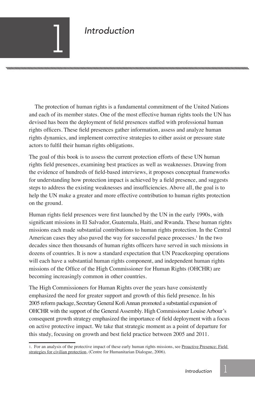### *Introduction*

The protection of human rights is a fundamental commitment of the United Nations and each of its member states. One of the most effective human rights tools the UN has devised has been the deployment of field presences staffed with professional human rights officers. These field presences gather information, assess and analyze human rights dynamics, and implement corrective strategies to either assist or pressure state actors to fulfil their human rights obligations.

The goal of this book is to assess the current protection efforts of these UN human rights field presences, examining best practices as well as weaknesses. Drawing from the evidence of hundreds of field-based interviews, it proposes conceptual frameworks for understanding how protection impact is achieved by a field presence, and suggests steps to address the existing weaknesses and insufficiencies. Above all, the goal is to help the UN make a greater and more effective contribution to human rights protection on the ground.

Human rights field presences were first launched by the UN in the early 1990s, with significant missions in El Salvador, Guatemala, Haiti, and Rwanda. These human rights missions each made substantial contributions to human rights protection. In the Central American cases they also paved the way for successful peace processes.<sup>1</sup> In the two decades since then thousands of human rights officers have served in such missions in dozens of countries. It is now a standard expectation that UN Peacekeeping operations will each have a substantial human rights component, and independent human rights missions of the Office of the High Commissioner for Human Rights (OHCHR) are becoming increasingly common in other countries.

The High Commissioners for Human Rights over the years have consistently emphasized the need for greater support and growth of this field presence. In his 2005 reform package, Secretary General Kofi Annan promoted a substantial expansion of OHCHR with the support of the General Assembly. High Commissioner Louise Arbour's consequent growth strategy emphasized the importance of field deployment with a focus on active protective impact. We take that strategic moment as a point of departure for this study, focusing on growth and best field practice between 2005 and 2011.

<sup>1.</sup> For an analysis of the protective impact of these early human rights missions, see Proactive Presence: Field strategies for civilian protection, (Centre for Humanitarian Dialogue, 2006).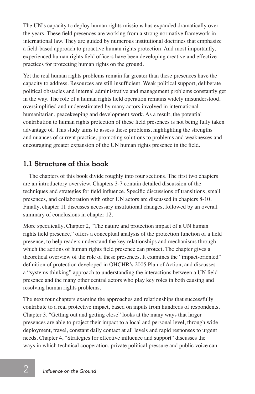The UN's capacity to deploy human rights missions has expanded dramatically over the years. These field presences are working from a strong normative framework in international law. They are guided by numerous institutional doctrines that emphasize a field-based approach to proactive human rights protection. And most importantly, experienced human rights field officers have been developing creative and effective practices for protecting human rights on the ground.

Yet the real human rights problems remain far greater than these presences have the capacity to address. Resources are still insufficient. Weak political support, deliberate political obstacles and internal administrative and management problems constantly get in the way. The role of a human rights field operation remains widely misunderstood, oversimplified and underestimated by many actors involved in international humanitarian, peacekeeping and development work. As a result, the potential contribution to human rights protection of these field presences is not being fully taken advantage of. This study aims to assess these problems, highlighting the strengths and nuances of current practice, promoting solutions to problems and weaknesses and encouraging greater expansion of the UN human rights presence in the field.

#### **1.1 Structure of this book**

The chapters of this book divide roughly into four sections. The first two chapters are an introductory overview. Chapters 3-7 contain detailed discussion of the techniques and strategies for field influence. Specific discussions of transitions, small presences, and collaboration with other UN actors are discussed in chapters 8-10. Finally, chapter 11 discusses necessary institutional changes, followed by an overall summary of conclusions in chapter 12.

More specifically, Chapter 2, "The nature and protection impact of a UN human rights field presence," offers a conceptual analysis of the protection function of a field presence, to help readers understand the key relationships and mechanisms through which the actions of human rights field presence can protect. The chapter gives a theoretical overview of the role of these presences. It examines the "impact-oriented" definition of protection developed in OHCHR's 2005 Plan of Action, and discusses a "systems thinking" approach to understanding the interactions between a UN field presence and the many other central actors who play key roles in both causing and resolving human rights problems.

The next four chapters examine the approaches and relationships that successfully contribute to a real protective impact, based on inputs from hundreds of respondents. Chapter 3, "Getting out and getting close" looks at the many ways that larger presences are able to project their impact to a local and personal level, through wide deployment, travel, constant daily contact at all levels and rapid responses to urgent needs. Chapter 4, "Strategies for effective influence and support" discusses the ways in which technical cooperation, private political pressure and public voice can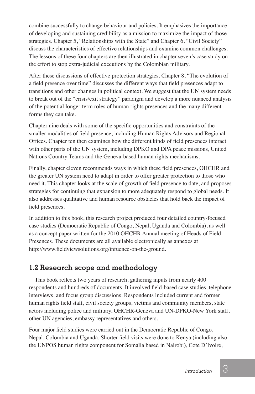combine successfully to change behaviour and policies. It emphasizes the importance of developing and sustaining credibility as a mission to maximize the impact of those strategies. Chapter 5, "Relationships with the State" and Chapter 6, "Civil Society" discuss the characteristics of effective relationships and examine common challenges. The lessons of these four chapters are then illustrated in chapter seven's case study on the effort to stop extra-judicial executions by the Colombian military.

After these discussions of effective protection strategies, Chapter 8, "The evolution of a field presence over time" discusses the different ways that field presences adapt to transitions and other changes in political context. We suggest that the UN system needs to break out of the "crisis/exit strategy" paradigm and develop a more nuanced analysis of the potential longer-term roles of human rights presences and the many different forms they can take.

Chapter nine deals with some of the specific opportunities and constraints of the smaller modalities of field presence, including Human Rights Advisors and Regional Offices. Chapter ten then examines how the different kinds of field presences interact with other parts of the UN system, including DPKO and DPA peace missions, United Nations Country Teams and the Geneva-based human rights mechanisms.

Finally, chapter eleven recommends ways in which these field presences, OHCHR and the greater UN system need to adapt in order to offer greater protection to those who need it. This chapter looks at the scale of growth of field presence to date, and proposes strategies for continuing that expansion to more adequately respond to global needs. It also addresses qualitative and human resource obstacles that hold back the impact of field presences.

In addition to this book, this research project produced four detailed country-focused case studies (Democratic Republic of Congo, Nepal, Uganda and Colombia), as well as a concept paper written for the 2010 OHCHR Annual meeting of Heads of Field Presences. These documents are all available electronically as annexes at http://www.fieldviewsolutions.org/infuence-on-the-ground.

#### **1.2 Research scope and methodology**

This book reflects two years of research, gathering inputs from nearly 400 respondents and hundreds of documents. It involved field-based case studies, telephone interviews, and focus group discussions. Respondents included current and former human rights field staff, civil society groups, victims and community members, state actors including police and military, OHCHR-Geneva and UN-DPKO-New York staff, other UN agencies, embassy representatives and others.

Four major field studies were carried out in the Democratic Republic of Congo, Nepal, Colombia and Uganda. Shorter field visits were done to Kenya (including also the UNPOS human rights component for Somalia based in Nairobi), Cote D'Ivoire,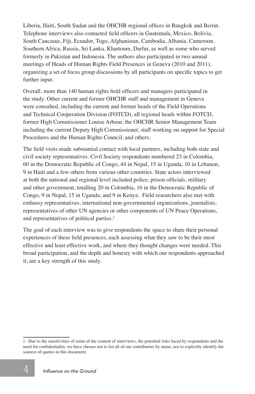Liberia, Haiti, South Sudan and the OHCHR regional offices in Bangkok and Beirut. Telephone interviews also contacted field officers in Guatemala, Mexico, Bolivia, South Caucasus, Fiji, Ecuador, Togo, Afghanistan, Cambodia, Albania, Cameroon, Southern Africa, Russia, Sri Lanka, Khartoum, Darfur, as well as some who served formerly in Pakistan and Indonesia. The authors also participated in two annual meetings of Heads of Human Rights Field Presences in Geneva (2010 and 2011), organizing a set of focus group discussions by all participants on specific topics to get further input.

Overall, more than 140 human rights field officers and managers participated in the study. Other current and former OHCHR staff and management in Geneva were consulted, including the current and former heads of the Field Operations and Technical Cooperation Division (FOTCD), all regional heads within FOTCD, former High Commissioner Louise Arbour, the OHCHR Senior Management Team including the current Deputy High Commissioner, staff working on support for Special Procedures and the Human Rights Council, and others.

The field visits made substantial contact with local partners, including both state and civil society representatives. Civil Society respondents numbered 23 in Colombia, 60 in the Democratic Republic of Congo, 44 in Nepal, 15 in Uganda, 10 in Lebanon, 9 in Haiti and a few others from various other countries. State actors interviewed at both the national and regional level included police, prison officials, military and other government, totalling 20 in Colombia, 16 in the Democratic Republic of Congo, 9 in Nepal, 15 in Uganda, and 9 in Kenya. Field researchers also met with embassy representatives, international non-governmental organizations, journalists, representatives of other UN agencies or other components of UN Peace Operations, and representatives of political parties.<sup>2</sup>

The goal of each interview was to give respondents the space to share their personal experiences of these field presences, each assessing what they saw to be their most effective and least effective work, and where they thought changes were needed. This broad participation, and the depth and honesty with which our respondents approached it, are a key strength of this study.

<sup>2.</sup> Due to the sensitivities of some of the content of interviews, the potential risks faced by respondents and the need for confidentiality, we have chosen not to list all of our contributors by name, nor to explicitly identify the sources of quotes in this document.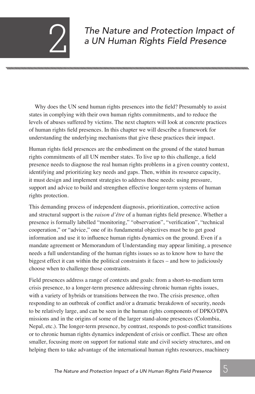## *The Nature and Protection Impact of* 2 *a UN Human Rights Field Presence*

Why does the UN send human rights presences into the field? Presumably to assist states in complying with their own human rights commitments, and to reduce the levels of abuses suffered by victims. The next chapters will look at concrete practices of human rights field presences. In this chapter we will describe a framework for understanding the underlying mechanisms that give these practices their impact.

Human rights field presences are the embodiment on the ground of the stated human rights commitments of all UN member states. To live up to this challenge, a field presence needs to diagnose the real human rights problems in a given country context, identifying and prioritizing key needs and gaps. Then, within its resource capacity, it must design and implement strategies to address these needs: using pressure, support and advice to build and strengthen effective longer-term systems of human rights protection.

This demanding process of independent diagnosis, prioritization, corrective action and structural support is the *raison d'être* of a human rights field presence. Whether a presence is formally labelled "monitoring," "observation", "verification", "technical cooperation," or "advice," one of its fundamental objectives must be to get good information and use it to influence human rights dynamics on the ground. Even if a mandate agreement or Memorandum of Understanding may appear limiting, a presence needs a full understanding of the human rights issues so as to know how to have the biggest effect it can within the political constraints it faces – and how to judiciously choose when to challenge those constraints.

Field presences address a range of contexts and goals: from a short-to-medium term crisis presence, to a longer-term presence addressing chronic human rights issues, with a variety of hybrids or transitions between the two. The crisis presence, often responding to an outbreak of conflict and/or a dramatic breakdown of security, needs to be relatively large, and can be seen in the human rights components of DPKO/DPA missions and in the origins of some of the larger stand-alone presences (Colombia, Nepal, etc.). The longer-term presence, by contrast, responds to post-conflict transitions or to chronic human rights dynamics independent of crisis or conflict. These are often smaller, focusing more on support for national state and civil society structures, and on helping them to take advantage of the international human rights resources, machinery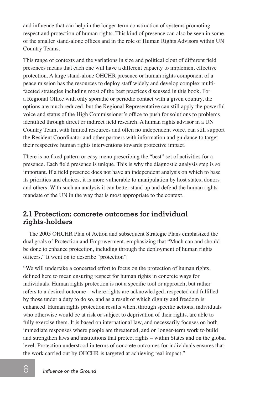and influence that can help in the longer-term construction of systems promoting respect and protection of human rights. This kind of presence can also be seen in some of the smaller stand-alone offices and in the role of Human Rights Advisors within UN Country Teams.

This range of contexts and the variations in size and political clout of different field presences means that each one will have a different capacity to implement effective protection. A large stand-alone OHCHR presence or human rights component of a peace mission has the resources to deploy staff widely and develop complex multifaceted strategies including most of the best practices discussed in this book. For a Regional Office with only sporadic or periodic contact with a given country, the options are much reduced, but the Regional Representative can still apply the powerful voice and status of the High Commissioner's office to push for solutions to problems identified through direct or indirect field research. A human rights advisor in a UN Country Team, with limited resources and often no independent voice, can still support the Resident Coordinator and other partners with information and guidance to target their respective human rights interventions towards protective impact.

There is no fixed pattern or easy menu prescribing the "best" set of activities for a presence. Each field presence is unique. This is why the diagnostic analysis step is so important. If a field presence does not have an independent analysis on which to base its priorities and choices, it is more vulnerable to manipulation by host states, donors and others. With such an analysis it can better stand up and defend the human rights mandate of the UN in the way that is most appropriate to the context.

#### **2.1 Protection: concrete outcomes for individual rights-holders**

The 2005 OHCHR Plan of Action and subsequent Strategic Plans emphasized the dual goals of Protection and Empowerment, emphasizing that "Much can and should be done to enhance protection, including through the deployment of human rights officers." It went on to describe "protection":

"We will undertake a concerted effort to focus on the protection of human rights, defined here to mean ensuring respect for human rights in concrete ways for individuals. Human rights protection is not a specific tool or approach, but rather refers to a desired outcome – where rights are acknowledged, respected and fulfilled by those under a duty to do so, and as a result of which dignity and freedom is enhanced. Human rights protection results when, through specific actions, individuals who otherwise would be at risk or subject to deprivation of their rights, are able to fully exercise them. It is based on international law, and necessarily focuses on both immediate responses where people are threatened, and on longer-term work to build and strengthen laws and institutions that protect rights – within States and on the global level. Protection understood in terms of concrete outcomes for individuals ensures that the work carried out by OHCHR is targeted at achieving real impact."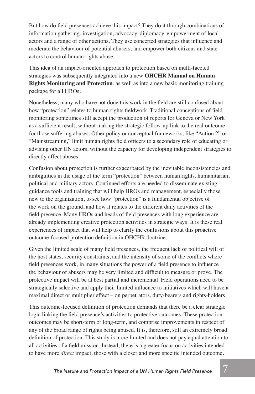But how do field presences achieve this impact? They do it through combinations of information gathering, investigation, advocacy, diplomacy, empowerment of local actors and a range of other actions. They use concerted strategies that influence and moderate the behaviour of potential abusers, and empower both citizens and state actors to control human rights abuse.

This idea of an impact-oriented approach to protection based on multi-faceted strategies was subsequently integrated into a new **OHCHR Manual on Human Rights Monitoring and Protection**, as well as into a new basic monitoring training package for all HROs.

Nonetheless, many who have not done this work in the field are still confused about how "protection" relates to human rights fieldwork. Traditional conceptions of field monitoring sometimes still accept the production of reports for Geneva or New York as a sufficient result, without making the strategic follow-up link to the real outcome for those suffering abuses. Other policy or conceptual frameworks, like "Action 2" or "Mainstreaming," limit human rights field officers to a secondary role of educating or advising other UN actors, without the capacity for developing independent strategies to directly affect abuses.

Confusion about protection is further exacerbated by the inevitable inconsistencies and ambiguities in the usage of the term "protection" between human rights, humanitarian, political and military actors. Continued efforts are needed to disseminate existing guidance tools and training that will help HROs and management, especially those new to the organization, to see how "protection" is a fundamental objective of the work on the ground, and how it relates to the different daily activities of the field presence. Many HROs and heads of field presences with long experience are already implementing creative protection activities in strategic ways. It is these real experiences of impact that will help to clarify the confusions about this proactive outcome-focused protection definition in OHCHR doctrine.

Given the limited scale of many field presences, the frequent lack of political will of the host states, security constraints, and the intensity of some of the conflicts where field presences work, in many situations the power of a field presence to influence the behaviour of abusers may be very limited and difficult to measure or prove. The protective impact will be at best partial and incremental. Field operations need to be strategically selective and apply their limited influence to initiatives which will have a maximal direct or multiplier effect – on perpetrators, duty-bearers and rights-holders.

This outcome-focused definition of protection demands that there be a clear strategic logic linking the field presence's activities to protective outcomes. These protection outcomes may be short-term or long-term, and comprise improvements in respect of any of the broad range of rights being abused. It is, therefore, still an extremely broad definition of protection. This study is more limited and does not pay equal attention to all activities of a field mission. Instead, there is a greater focus on activities intended to have more *direct* impact, those with a closer and more specific intended outcome.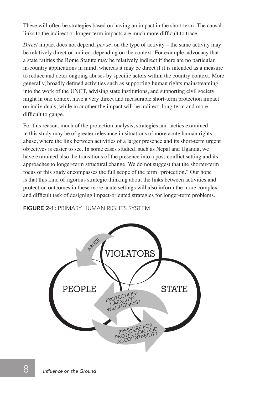These will often be strategies based on having an impact in the short term. The causal links to the indirect or longer-term impacts are much more difficult to trace.

*Direct* impact does not depend, *per se*, on the type of activity – the same activity may be relatively direct or indirect depending on the context. For example, advocacy that a state ratifies the Rome Statute may be relatively indirect if there are no particular in-country applications in mind, whereas it may be direct if it is intended as a measure to reduce and deter ongoing abuses by specific actors within the country context. More generally, broadly defined activities such as supporting human rights mainstreaming into the work of the UNCT, advising state institutions, and supporting civil society might in one context have a very direct and measurable short-term protection impact on individuals, while in another the impact will be indirect, long-term and more difficult to gauge.

For this reason, much of the protection analysis, strategies and tactics examined in this study may be of greater relevance in situations of more acute human rights abuse, where the link between activities of a larger presence and its short-term urgent objectives is easier to see. In some cases studied, such as Nepal and Uganda, we have examined also the transitions of the presence into a post-conflict setting and its approaches to longer-term structural change. We do not suggest that the shorter-term focus of this study encompasses the full scope of the term "protection." Our hope is that this kind of rigorous strategic thinking about the links between activities and protection outcomes in these more acute settings will also inform the more complex and difficult task of designing impact-oriented strategies for longer-term problems.

FIGURE 2-1: PRIMARY HUMAN RIGHTS SYSTEM

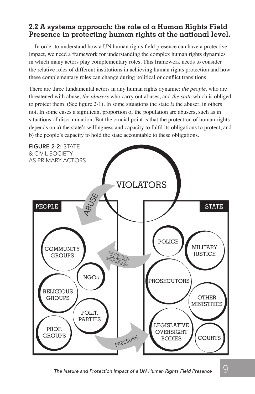#### **2.2 A systems approach: the role of a Human Rights Field Presence in protecting human rights at the national level.**

In order to understand how a UN human rights field presence can have a protective impact, we need a framework for understanding the complex human rights dynamics in which many actors play complementary roles. This framework needs to consider the relative roles of different institutions in achieving human rights protection and how these complementary roles can change during political or conflict transitions.

There are three fundamental actors in any human rights dynamic: *the people*, who are threatened with abuse, *the abusers* who carry out abuses, and *the state* which is obliged to protect them. (See figure 2-1). In some situations the state *is* the abuser, in others not. In some cases a significant proportion of the population are abusers, such as in situations of discrimination. But the crucial point is that the protection of human rights depends on a) the state's willingness and capacity to fulfil its obligations to protect, and b) the people's capacity to hold the state accountable to these obligations.

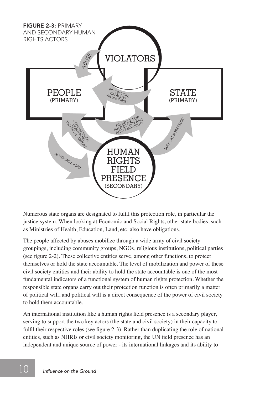

Numerous state organs are designated to fulfil this protection role, in particular the justice system. When looking at Economic and Social Rights, other state bodies, such as Ministries of Health, Education, Land, etc. also have obligations.

The people affected by abuses mobilize through a wide array of civil society groupings, including community groups, NGOs, religious institutions, political parties (see figure 2-2). These collective entities serve, among other functions, to protect themselves or hold the state accountable. The level of mobilization and power of these civil society entities and their ability to hold the state accountable is one of the most fundamental indicators of a functional system of human rights protection. Whether the responsible state organs carry out their protection function is often primarily a matter of political will, and political will is a direct consequence of the power of civil society to hold them accountable.

An international institution like a human rights field presence is a secondary player, serving to support the two key actors (the state and civil society) in their capacity to fulfil their respective roles (see figure 2-3). Rather than duplicating the role of national entities, such as NHRIs or civil society monitoring, the UN field presence has an independent and unique source of power - its international linkages and its ability to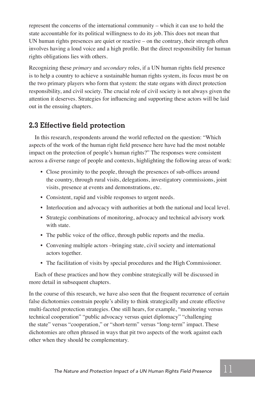represent the concerns of the international community – which it can use to hold the state accountable for its political willingness to do its job. This does not mean that UN human rights presences are quiet or reactive – on the contrary, their strength often involves having a loud voice and a high profile. But the direct responsibility for human rights obligations lies with others.

Recognizing these *primary* and *secondary* roles, if a UN human rights field presence is to help a country to achieve a sustainable human rights system, its focus must be on the two primary players who form that system: the state organs with direct protection responsibility, and civil society. The crucial role of civil society is not always given the attention it deserves. Strategies for influencing and supporting these actors will be laid out in the ensuing chapters.

#### **2.3 Effective field protection**

In this research, respondents around the world reflected on the question: "Which aspects of the work of the human right field presence here have had the most notable impact on the protection of people's human rights?" The responses were consistent across a diverse range of people and contexts, highlighting the following areas of work:

- Close proximity to the people, through the presences of sub-offices around the country, through rural visits, delegations, investigatory commissions, joint visits, presence at events and demonstrations, etc.
- Consistent, rapid and visible responses to urgent needs.
- Interlocution and advocacy with authorities at both the national and local level.
- Strategic combinations of monitoring, advocacy and technical advisory work with state.
- The public voice of the office, through public reports and the media.
- Convening multiple actors –bringing state, civil society and international actors together.
- The facilitation of visits by special procedures and the High Commissioner.

Each of these practices and how they combine strategically will be discussed in more detail in subsequent chapters.

In the course of this research, we have also seen that the frequent recurrence of certain false dichotomies constrain people's ability to think strategically and create effective multi-faceted protection strategies. One still hears, for example, "monitoring versus technical cooperation" "public advocacy versus quiet diplomacy" "challenging the state" versus "cooperation," or "short-term" versus "long-term" impact. These dichotomies are often phrased in ways that pit two aspects of the work against each other when they should be complementary.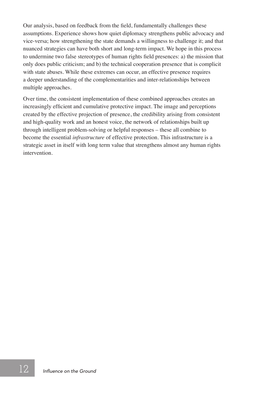Our analysis, based on feedback from the field, fundamentally challenges these assumptions. Experience shows how quiet diplomacy strengthens public advocacy and vice-versa; how strengthening the state demands a willingness to challenge it; and that nuanced strategies can have both short and long-term impact. We hope in this process to undermine two false stereotypes of human rights field presences: a) the mission that only does public criticism; and b) the technical cooperation presence that is complicit with state abuses. While these extremes can occur, an effective presence requires a deeper understanding of the complementarities and inter-relationships between multiple approaches.

Over time, the consistent implementation of these combined approaches creates an increasingly efficient and cumulative protective impact. The image and perceptions created by the effective projection of presence, the credibility arising from consistent and high-quality work and an honest voice, the network of relationships built up through intelligent problem-solving or helpful responses – these all combine to become the essential *infrastructure* of effective protection. This infrastructure is a strategic asset in itself with long term value that strengthens almost any human rights intervention.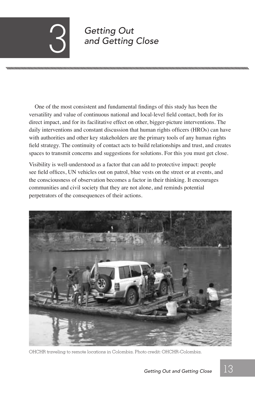## *Getting Out* 3 *and Getting Close*

One of the most consistent and fundamental findings of this study has been the versatility and value of continuous national and local-level field contact, both for its direct impact, and for its facilitative effect on other, bigger-picture interventions. The daily interventions and constant discussion that human rights officers (HROs) can have with authorities and other key stakeholders are the primary tools of any human rights field strategy. The continuity of contact acts to build relationships and trust, and creates spaces to transmit concerns and suggestions for solutions. For this you must get close.

Visibility is well-understood as a factor that can add to protective impact: people see field offices, UN vehicles out on patrol, blue vests on the street or at events, and the consciousness of observation becomes a factor in their thinking. It encourages communities and civil society that they are not alone, and reminds potential perpetrators of the consequences of their actions.



OHCHR traveling to remote locations in Colombia. Photo credit: OHCHR-Colombia.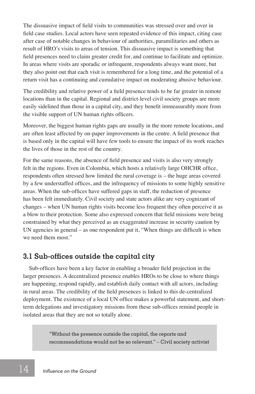The dissuasive impact of field visits to communities was stressed over and over in field case studies. Local actors have seen repeated evidence of this impact, citing case after case of notable changes in behaviour of authorities, paramilitaries and others as result of HRO's visits to areas of tension. This dissuasive impact is something that field presences need to claim greater credit for, and continue to facilitate and optimize. In areas where visits are sporadic or infrequent, respondents always want more, but they also point out that each visit is remembered for a long time, and the potential of a return visit has a continuing and cumulative impact on moderating abusive behaviour.

The credibility and relative power of a field presence tends to be far greater in remote locations than in the capital. Regional and district-level civil society groups are more easily sidelined than those in a capital city, and they benefit immeasurably more from the visible support of UN human rights officers.

Moreover, the biggest human rights gaps are usually in the more remote locations, and are often least affected by on-paper improvements in the centre. A field presence that is based only in the capital will have few tools to ensure the impact of its work reaches the lives of those in the rest of the country.

For the same reasons, the absence of field presence and visits is also very strongly felt in the regions. Even in Colombia, which hosts a relatively large OHCHR office, respondents often stressed how limited the rural coverage is – the huge areas covered by a few understaffed offices, and the infrequency of missions to some highly sensitive areas. When the sub-offices have suffered gaps in staff, the reduction of presence has been felt immediately. Civil society and state actors alike are very cognizant of changes – when UN human rights visits become less frequent they often perceive it as a blow to their protection. Some also expressed concern that field missions were being constrained by what they perceived as an exaggerated increase in security caution by UN agencies in general – as one respondent put it, "When things are difficult is when we need them most."

#### **3.1 Sub-offices outside the capital city**

Sub-offices have been a key factor in enabling a broader field projection in the larger presences. A decentralized presence enables HROs to be close to where things are happening, respond rapidly, and establish daily contact with all actors, including in rural areas. The credibility of the field presences is linked to this de-centralized deployment. The existence of a local UN office makes a powerful statement, and shortterm delegations and investigatory missions from these sub-offices remind people in isolated areas that they are not so totally alone.

> "Without the presence outside the capital, the reports and recommendations would not be so relevant." – Civil society activist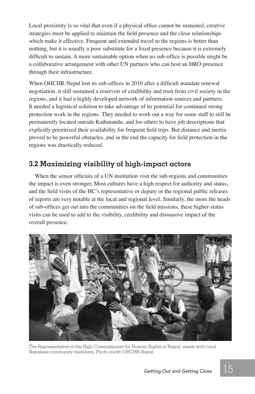Local proximity is so vital that even if a physical office cannot be sustained, creative strategies must be applied to maintain the field presence and the close relationships which make it effective. Frequent and extended travel to the regions is better than nothing, but it is usually a poor substitute for a fixed presence because it is extremely difficult to sustain. A more sustainable option when no sub-office is possible might be a collaborative arrangement with other UN partners who can host an HRO presence through their infrastructure.

When OHCHR-Nepal lost its sub-offices in 2010 after a difficult mandate renewal negotiation, it still sustained a reservoir of credibility and trust from civil society in the regions, and it had a highly developed network of information sources and partners. It needed a logistical solution to take advantage of its potential for continued strong protection work in the regions. They needed to work out a way for some staff to still be permanently located outside Kathmandu, and for others to have job descriptions that explicitly prioritized their availability for frequent field trips. But distance and inertia proved to be powerful obstacles, and in the end the capacity for field protection in the regions was drastically reduced.

#### **3.2 Maximizing visibility of high-impact actors**

When the senior officials of a UN institution visit the sub-regions and communities the impact is even stronger. Most cultures have a high respect for authority and status, and the field visits of the HC's representative or deputy or the regional public releases of reports are very notable at the local and regional level. Similarly, the more the heads of sub-offices get out into the communities on the field missions, these higher-status visits can be used to add to the visibility, credibility and dissuasive impact of the overall presence.



The Representative of the High Commissioner for Human Rights in Nepal, meets with rural Nepalese community members. Photo credit: OHCHR-Nepal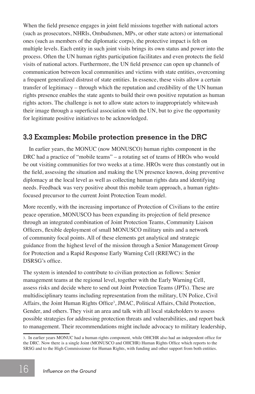When the field presence engages in joint field missions together with national actors (such as prosecutors, NHRIs, Ombudsmen, MPs, or other state actors) or international ones (such as members of the diplomatic corps), the protective impact is felt on multiple levels. Each entity in such joint visits brings its own status and power into the process. Often the UN human rights participation facilitates and even protects the field visits of national actors. Furthermore, the UN field presence can open up channels of communication between local communities and victims with state entities, overcoming a frequent generalized distrust of state entities. In essence, these visits allow a certain transfer of legitimacy – through which the reputation and credibility of the UN human rights presence enables the state agents to build their own positive reputation as human rights actors. The challenge is not to allow state actors to inappropriately whitewash their image through a superficial association with the UN, but to give the opportunity for legitimate positive initiatives to be acknowledged.

#### **3.3 Examples: Mobile protection presence in the DRC**

In earlier years, the MONUC (now MONUSCO) human rights component in the DRC had a practice of "mobile teams" – a rotating set of teams of HROs who would be out visiting communities for two weeks at a time. HROs were thus constantly out in the field, assessing the situation and making the UN presence known, doing preventive diplomacy at the local level as well as collecting human rights data and identifying needs. Feedback was very positive about this mobile team approach, a human rightsfocused precursor to the current Joint Protection Team model.

More recently, with the increasing importance of Protection of Civilians to the entire peace operation, MONUSCO has been expanding its projection of field presence through an integrated combination of Joint Protection Teams, Community Liaison Officers, flexible deployment of small MONUSCO military units and a network of community focal points. All of these elements get analytical and strategic guidance from the highest level of the mission through a Senior Management Group for Protection and a Rapid Response Early Warning Cell (RREWC) in the DSRSG's office.

The system is intended to contribute to civilian protection as follows: Senior management teams at the regional level, together with the Early Warning Cell, assess risks and decide where to send out Joint Protection Teams (JPTs). These are multidisciplinary teams including representation from the military, UN Police, Civil Affairs, the Joint Human Rights Office<sup>3</sup>, JMAC, Political Affairs, Child Protection, Gender, and others. They visit an area and talk with all local stakeholders to assess possible strategies for addressing protection threats and vulnerabilities, and report back to management. Their recommendations might include advocacy to military leadership,

<sup>3.</sup> In earlier years MONUC had a human rights component, while OHCHR also had an independent office for the DRC. Now there is a single Joint (MONUSCO and OHCHR) Human Rights Office which reports to the SRSG and to the High Commissioner for Human Rights, with funding and other support from both entities.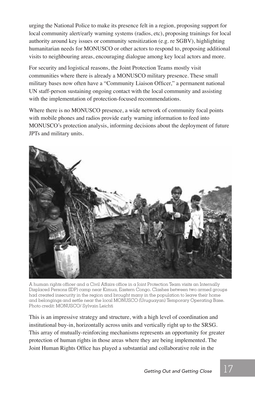urging the National Police to make its presence felt in a region, proposing support for local community alert/early warning systems (radios, etc), proposing trainings for local authority around key issues or community sensitization (e.g. re SGBV), highlighting humanitarian needs for MONUSCO or other actors to respond to, proposing additional visits to neighbouring areas, encouraging dialogue among key local actors and more.

For security and logistical reasons, the Joint Protection Teams mostly visit communities where there is already a MONUSCO military presence. These small military bases now often have a "Community Liaison Officer," a permanent national UN staff-person sustaining ongoing contact with the local community and assisting with the implementation of protection-focused recommendations.

Where there is no MONUSCO presence, a wide network of community focal points with mobile phones and radios provide early warning information to feed into MONUSCO's protection analysis, informing decisions about the deployment of future JPTs and military units.



A human rights officer and a Civil Affairs office in a Joint Protection Team visits an Internally Displaced Persons (iDP) camp near Kimua, Eastern Congo. Clashes between two armed groups had created insecurity in the region and brought many in the population to leave their home and belongings and settle near the local mONUsCO (Uruguayan) Temporary Operating Base. Photo credit: MONUSCO/ Sylvain Leichti

This is an impressive strategy and structure, with a high level of coordination and institutional buy-in, horizontally across units and vertically right up to the SRSG. This array of mutually-reinforcing mechanisms represents an opportunity for greater protection of human rights in those areas where they are being implemented. The Joint Human Rights Office has played a substantial and collaborative role in the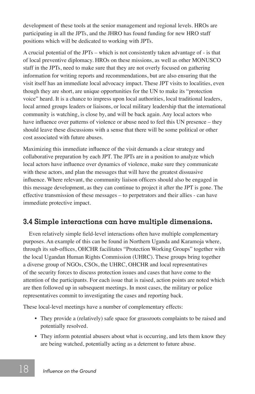development of these tools at the senior management and regional levels. HROs are participating in all the JPTs, and the JHRO has found funding for new HRO staff positions which will be dedicated to working with JPTs.

A crucial potential of the JPTs – which is not consistently taken advantage of - is that of local preventive diplomacy. HROs on these missions, as well as other MONUSCO staff in the JPTs, need to make sure that they are not overly focused on gathering information for writing reports and recommendations, but are also ensuring that the visit itself has an immediate local advocacy impact. These JPT visits to localities, even though they are short, are unique opportunities for the UN to make its "protection voice" heard. It is a chance to impress upon local authorities, local traditional leaders, local armed groups leaders or liaisons, or local military leadership that the international community is watching, is close by, and will be back again. Any local actors who have influence over patterns of violence or abuse need to feel this UN presence – they should leave these discussions with a sense that there will be some political or other cost associated with future abuses.

Maximizing this immediate influence of the visit demands a clear strategy and collaborative preparation by each JPT. The JPTs are in a position to analyze which local actors have influence over dynamics of violence, make sure they communicate with these actors, and plan the messages that will have the greatest dissuasive influence. Where relevant, the community liaison officers should also be engaged in this message development, as they can continue to project it after the JPT is gone. The effective transmission of these messages – to perpetrators and their allies - can have immediate protective impact.

#### **3.4 Simple interactions can have multiple dimensions.**

Even relatively simple field-level interactions often have multiple complementary purposes. An example of this can be found in Northern Uganda and Karamoja where, through its sub-offices, OHCHR facilitates "Protection Working Groups" together with the local Ugandan Human Rights Commission (UHRC). These groups bring together a diverse group of NGOs, CSOs, the UHRC, OHCHR and local representatives of the security forces to discuss protection issues and cases that have come to the attention of the participants. For each issue that is raised, action points are noted which are then followed up in subsequent meetings. In most cases, the military or police representatives commit to investigating the cases and reporting back.

These local-level meetings have a number of complementary effects:

- They provide a (relatively) safe space for grassroots complaints to be raised and potentially resolved.
- They inform potential abusers about what is occurring, and lets them know they are being watched, potentially acting as a deterrent to future abuse.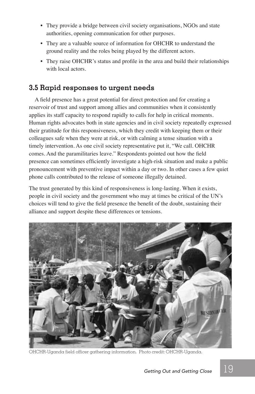- They provide a bridge between civil society organisations, NGOs and state authorities, opening communication for other purposes.
- They are a valuable source of information for OHCHR to understand the ground reality and the roles being played by the different actors.
- They raise OHCHR's status and profile in the area and build their relationships with local actors.

#### **3.5 Rapid responses to urgent needs**

A field presence has a great potential for direct protection and for creating a reservoir of trust and support among allies and communities when it consistently applies its staff capacity to respond rapidly to calls for help in critical moments. Human rights advocates both in state agencies and in civil society repeatedly expressed their gratitude for this responsiveness, which they credit with keeping them or their colleagues safe when they were at risk, or with calming a tense situation with a timely intervention. As one civil society representative put it, "We call. OHCHR comes. And the paramilitaries leave." Respondents pointed out how the field presence can sometimes efficiently investigate a high-risk situation and make a public pronouncement with preventive impact within a day or two. In other cases a few quiet phone calls contributed to the release of someone illegally detained.

The trust generated by this kind of responsiveness is long-lasting. When it exists, people in civil society and the government who may at times be critical of the UN's choices will tend to give the field presence the benefit of the doubt, sustaining their alliance and support despite these differences or tensions.



OHCHR-Uganda field officer gathering information. Photo credit: OHCHR-Uganda.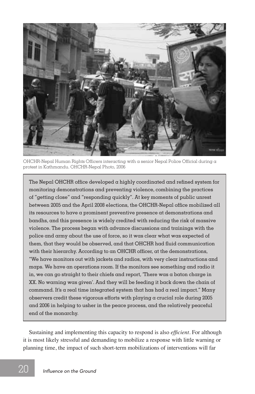

OHCHR-Nepal Human Rights Officers interacting with a senior Nepal Police Official during a protest in Kathmandu. OHCHR-Nepal Photo, 2006

The Nepal OHCHR office developed a highly coordinated and refined system for monitoring demonstrations and preventing violence, combining the practices of "getting close" and "responding quickly". At key moments of public unrest between 2005 and the April 2008 elections, the OHCHR-Nepal office mobilized all its resources to have a prominent preventive presence at demonstrations and bandhs, and this presence is widely credited with reducing the risk of massive violence. The process began with advance discussions and trainings with the police and army about the use of force, so it was clear what was expected of them, that they would be observed, and that OHCHR had fluid communication with their hierarchy. According to an OHCHR officer, at the demonstrations, "We have monitors out with jackets and radios, with very clear instructions and maps. We have an operations room. If the monitors see something and radio it in, we can go straight to their chiefs and report, 'There was a baton charge in XX. No warning was given'. And they will be feeding it back down the chain of command. It's a real time integrated system that has had a real impact." Many observers credit these vigorous efforts with playing a crucial role during 2005 and 2006 in helping to usher in the peace process, and the relatively peaceful end of the monarchy.

Sustaining and implementing this capacity to respond is also *efficient*. For although it is most likely stressful and demanding to mobilize a response with little warning or planning time, the impact of such short-term mobilizations of interventions will far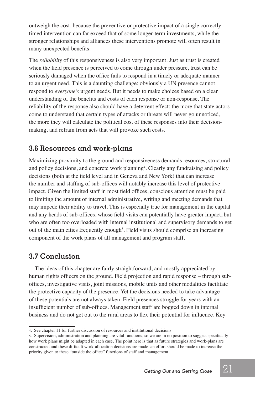outweigh the cost, because the preventive or protective impact of a single correctlytimed intervention can far exceed that of some longer-term investments, while the stronger relationships and alliances these interventions promote will often result in many unexpected benefits.

The *reliability* of this responsiveness is also very important. Just as trust is created when the field presence is perceived to come through under pressure, trust can be seriously damaged when the office fails to respond in a timely or adequate manner to an urgent need. This is a daunting challenge: obviously a UN presence cannot respond to *everyone's* urgent needs. But it needs to make choices based on a clear understanding of the benefits and costs of each response or non-response. The reliability of the response also should have a deterrent effect: the more that state actors come to understand that certain types of attacks or threats will never go unnoticed, the more they will calculate the political cost of these responses into their decisionmaking, and refrain from acts that will provoke such costs.

#### **3.6 Resources and work-plans**

Maximizing proximity to the ground and responsiveness demands resources, structural and policy decisions, and concrete work planning<sup>4</sup>. Clearly any fundraising and policy decisions (both at the field level and in Geneva and New York) that can increase the number and staffing of sub-offices will notably increase this level of protective impact. Given the limited staff in most field offices, conscious attention must be paid to limiting the amount of internal administrative, writing and meeting demands that may impede their ability to travel. This is especially true for management in the capital and any heads of sub-offices, whose field visits can potentially have greater impact, but who are often too overloaded with internal institutional and supervisory demands to get out of the main cities frequently enough<sup>5</sup>. Field visits should comprise an increasing component of the work plans of all management and program staff.

#### **3.7 Conclusion**

The ideas of this chapter are fairly straightforward, and mostly appreciated by human rights officers on the ground. Field projection and rapid response – through suboffices, investigative visits, joint missions, mobile units and other modalities facilitate the protective capacity of the presence. Yet the decisions needed to take advantage of these potentials are not always taken. Field presences struggle for years with an insufficient number of sub-offices. Management staff are bogged down in internal business and do not get out to the rural areas to flex their potential for influence. Key

<sup>4.</sup> See chapter 11 for further discussion of resources and institutional decisions.

<sup>5.</sup> Supervision, administration and planning are vital functions, so we are in no position to suggest specifically how work plans might be adapted in each case. The point here is that as future strategies and work-plans are constructed and these difficult work-allocation decisions are made, an effort should be made to increase the priority given to these "outside the office" functions of staff and management.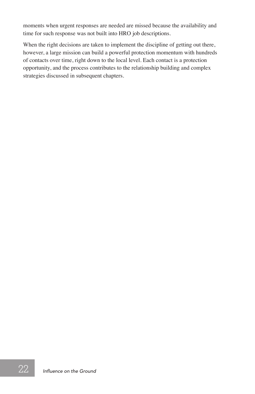moments when urgent responses are needed are missed because the availability and time for such response was not built into HRO job descriptions.

When the right decisions are taken to implement the discipline of getting out there, however, a large mission can build a powerful protection momentum with hundreds of contacts over time, right down to the local level. Each contact is a protection opportunity, and the process contributes to the relationship building and complex strategies discussed in subsequent chapters.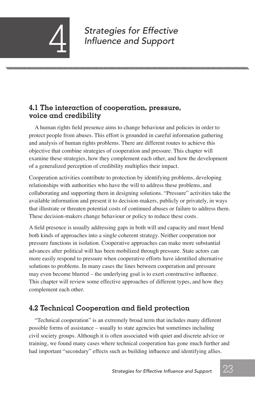*Strategies for Effective* 4 *Influence and Support*

#### **4.1 The interaction of cooperation, pressure, voice and credibility**

A human rights field presence aims to change behaviour and policies in order to protect people from abuses. This effort is grounded in careful information gathering and analysis of human rights problems. There are different routes to achieve this objective that combine strategies of cooperation and pressure. This chapter will examine these strategies, how they complement each other, and how the development of a generalized perception of credibility multiplies their impact.

Cooperation activities contribute to protection by identifying problems, developing relationships with authorities who have the will to address these problems, and collaborating and supporting them in designing solutions. "Pressure" activities take the available information and present it to decision-makers, publicly or privately, in ways that illustrate or threaten potential costs of continued abuses or failure to address them. These decision-makers change behaviour or policy to reduce these costs.

A field presence is usually addressing gaps in both will and capacity and must blend both kinds of approaches into a single coherent strategy. Neither cooperation nor pressure functions in isolation. Cooperative approaches can make more substantial advances after political will has been mobilized through pressure. State actors can more easily respond to pressure when cooperative efforts have identified alternative solutions to problems. In many cases the lines between cooperation and pressure may even become blurred – the underlying goal is to exert constructive influence. This chapter will review some effective approaches of different types, and how they complement each other.

### **4.2 Technical Cooperation and field protection**

"Technical cooperation" is an extremely broad term that includes many different possible forms of assistance – usually to state agencies but sometimes including civil society groups. Although it is often associated with quiet and discrete advice or training, we found many cases where technical cooperation has gone much further and had important "secondary" effects such as building influence and identifying allies.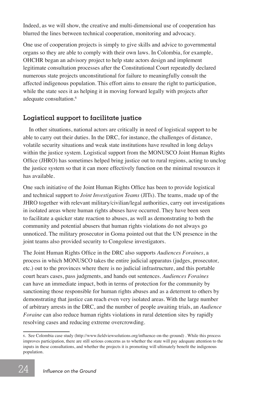Indeed, as we will show, the creative and multi-dimensional use of cooperation has blurred the lines between technical cooperation, monitoring and advocacy.

One use of cooperation projects is simply to give skills and advice to governmental organs so they are able to comply with their own laws. In Colombia, for example, OHCHR began an advisory project to help state actors design and implement legitimate consultation processes after the Constitutional Court repeatedly declared numerous state projects unconstitutional for failure to meaningfully consult the affected indigenous population. This effort aims to ensure the right to participation, while the state sees it as helping it in moving forward legally with projects after adequate consultation.<sup>6</sup>

#### **Logistical support to facilitate justice**

In other situations, national actors are critically in need of logistical support to be able to carry out their duties. In the DRC, for instance, the challenges of distance, volatile security situations and weak state institutions have resulted in long delays within the justice system. Logistical support from the MONUSCO Joint Human Rights Office (JHRO) has sometimes helped bring justice out to rural regions, acting to unclog the justice system so that it can more effectively function on the minimal resources it has available.

One such initiative of the Joint Human Rights Office has been to provide logistical and technical support to *Joint Investigation Teams* (JITs). The teams, made up of the JHRO together with relevant military/civilian/legal authorities, carry out investigations in isolated areas where human rights abuses have occurred. They have been seen to facilitate a quicker state reaction to abuses, as well as demonstrating to both the community and potential abusers that human rights violations do not always go unnoticed. The military prosecutor in Goma pointed out that the UN presence in the joint teams also provided security to Congolese investigators.

The Joint Human Rights Office in the DRC also supports *Audiences Foraines*, a process in which MONUSCO takes the entire judicial apparatus (judges, prosecutor, etc.) out to the provinces where there is no judicial infrastructure, and this portable court hears cases, pass judgments, and hands out sentences. *Audiences Foraines* can have an immediate impact, both in terms of protection for the community by sanctioning those responsible for human rights abuses and as a deterrent to others by demonstrating that justice can reach even very isolated areas. With the large number of arbitrary arrests in the DRC, and the number of people awaiting trials, an *Audience Foraine* can also reduce human rights violations in rural detention sites by rapidly resolving cases and reducing extreme overcrowding.

<sup>6.</sup> See Colombia case study (http://www.fieldviewsolutions.org/influence-on-the-ground) . While this process improves participation, there are still serious concerns as to whether the state will pay adequate attention to the inputs in these consultations, and whether the projects it is promoting will ultimately benefit the indigenous population.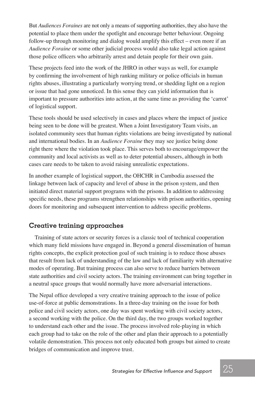But *Audiences Foraines* are not only a means of supporting authorities, they also have the potential to place them under the spotlight and encourage better behaviour. Ongoing follow-up through monitoring and dialog would amplify this effect – even more if an *Audience Foraine* or some other judicial process would also take legal action against those police officers who arbitrarily arrest and detain people for their own gain.

These projects feed into the work of the JHRO in other ways as well, for example by confirming the involvement of high ranking military or police officials in human rights abuses, illustrating a particularly worrying trend, or shedding light on a region or issue that had gone unnoticed. In this sense they can yield information that is important to pressure authorities into action, at the same time as providing the 'carrot' of logistical support.

These tools should be used selectively in cases and places where the impact of justice being seen to be done will be greatest. When a Joint Investigatory Team visits, an isolated community sees that human rights violations are being investigated by national and international bodies. In an *Audience Foraine* they may see justice being done right there where the violation took place. This serves both to encourage/empower the community and local activists as well as to deter potential abusers, although in both cases care needs to be taken to avoid raising unrealistic expectations.

In another example of logistical support, the OHCHR in Cambodia assessed the linkage between lack of capacity and level of abuse in the prison system, and then initiated direct material support programs with the prisons. In addition to addressing specific needs, these programs strengthen relationships with prison authorities, opening doors for monitoring and subsequent intervention to address specific problems.

#### **Creative training approaches**

Training of state actors or security forces is a classic tool of technical cooperation which many field missions have engaged in. Beyond a general dissemination of human rights concepts, the explicit protection goal of such training is to reduce those abuses that result from lack of understanding of the law and lack of familiarity with alternative modes of operating. But training process can also serve to reduce barriers between state authorities and civil society actors. The training environment can bring together in a neutral space groups that would normally have more adversarial interactions.

The Nepal office developed a very creative training approach to the issue of police use-of-force at public demonstrations. In a three-day training on the issue for both police and civil society actors, one day was spent working with civil society actors, a second working with the police. On the third day, the two groups worked together to understand each other and the issue. The process involved role-playing in which each group had to take on the role of the other and plan their approach to a potentially volatile demonstration. This process not only educated both groups but aimed to create bridges of communication and improve trust.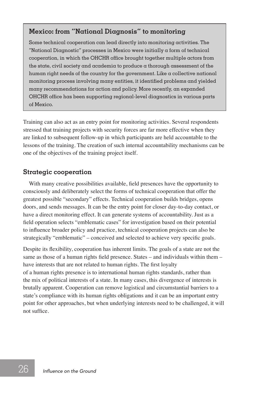#### **Mexico: from "National Diagnosis" to monitoring**

Some technical cooperation can lead directly into monitoring activities. The "National Diagnostic" processes in Mexico were initially a form of technical cooperation, in which the OHCHR office brought together multiple actors from the state, civil society and academia to produce a thorough assessment of the human right needs of the country for the government. Like  $\alpha$  collective national monitoring process involving many entities, it identified problems and yielded many recommendations for action and policy. More recently, an expanded OHCHR office has been supporting regional-level diagnostics in various parts of Mexico.

Training can also act as an entry point for monitoring activities. Several respondents stressed that training projects with security forces are far more effective when they are linked to subsequent follow-up in which participants are held accountable to the lessons of the training. The creation of such internal accountability mechanisms can be one of the objectives of the training project itself.

#### **Strategic cooperation**

With many creative possibilities available, field presences have the opportunity to consciously and deliberately select the forms of technical cooperation that offer the greatest possible "secondary" effects. Technical cooperation builds bridges, opens doors, and sends messages. It can be the entry point for closer day-to-day contact, or have a direct monitoring effect. It can generate systems of accountability. Just as a field operation selects "emblematic cases" for investigation based on their potential to influence broader policy and practice, technical cooperation projects can also be strategically "emblematic" – conceived and selected to achieve very specific goals.

Despite its flexibility, cooperation has inherent limits. The goals of a state are not the same as those of a human rights field presence. States – and individuals within them – have interests that are not related to human rights. The first loyalty of a human rights presence is to international human rights standards, rather than the mix of political interests of a state. In many cases, this divergence of interests is brutally apparent. Cooperation can remove logistical and circumstantial barriers to a state's compliance with its human rights obligations and it can be an important entry point for other approaches, but when underlying interests need to be challenged, it will not suffice.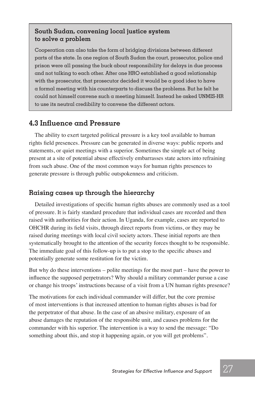#### **South Sudan, convening local justice system to solve a problem**

Cooperation can also take the form of bridging divisions between different parts of the state. In one region of South Sudan the court, prosecutor, police and prison were all passing the buck about responsibility for delays in due process and not talking to each other. After one HRO established a good relationship with the prosecutor, that prosecutor decided it would be a good idea to have a formal meeting with his counterparts to discuss the problems. But he felt he could not himself convene such a meeting himself. Instead he asked UNMIS-HR to use its neutral credibility to convene the different actors.

#### **4.3 Influence and Pressure**

The ability to exert targeted political pressure is a key tool available to human rights field presences. Pressure can be generated in diverse ways: public reports and statements, or quiet meetings with a superior. Sometimes the simple act of being present at a site of potential abuse effectively embarrasses state actors into refraining from such abuse. One of the most common ways for human rights presences to generate pressure is through public outspokenness and criticism.

#### **Raising cases up through the hierarchy**

Detailed investigations of specific human rights abuses are commonly used as a tool of pressure. It is fairly standard procedure that individual cases are recorded and then raised with authorities for their action. In Uganda, for example, cases are reported to OHCHR during its field visits, through direct reports from victims, or they may be raised during meetings with local civil society actors. These initial reports are then systematically brought to the attention of the security forces thought to be responsible. The immediate goal of this follow-up is to put a stop to the specific abuses and potentially generate some restitution for the victim.

But why do these interventions – polite meetings for the most part – have the power to influence the supposed perpetrators? Why should a military commander pursue a case or change his troops' instructions because of a visit from a UN human rights presence?

The motivations for each individual commander will differ, but the core premise of most interventions is that increased attention to human rights abuses is bad for the perpetrator of that abuse. In the case of an abusive military, exposure of an abuse damages the reputation of the responsible unit, and causes problems for the commander with his superior. The intervention is a way to send the message: "Do something about this, and stop it happening again, or you will get problems".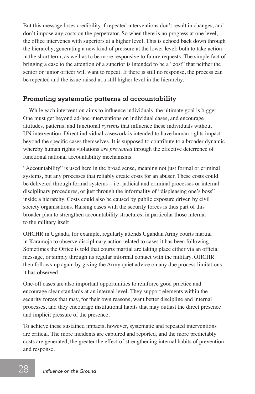But this message loses credibility if repeated interventions don't result in changes, and don't impose any costs on the perpetrator. So when there is no progress at one level, the office intervenes with superiors at a higher level. This is echoed back down through the hierarchy, generating a new kind of pressure at the lower level: both to take action in the short term, as well as to be more responsive to future requests. The simple fact of bringing a case to the attention of a superior is intended to be a "cost" that neither the senior or junior officer will want to repeat. If there is still no response, the process can be repeated and the issue raised at a still higher level in the hierarchy.

#### **Promoting systematic patterns of accountability**

While each intervention aims to influence individuals, the ultimate goal is bigger. One must get beyond ad-hoc interventions on individual cases, and encourage attitudes, patterns, and functional *systems* that influence these individuals without UN intervention. Direct individual casework is intended to have human rights impact beyond the specific cases themselves. It is supposed to contribute to a broader dynamic whereby human rights violations *are prevented* through the effective deterrence of functional national accountability mechanisms.

"Accountability" is used here in the broad sense, meaning not just formal or criminal systems, but any processes that reliably create costs for an abuser. These costs could be delivered through formal systems – i.e. judicial and criminal processes or internal disciplinary procedures, or just through the informality of "displeasing one's boss" inside a hierarchy. Costs could also be caused by public exposure driven by civil society organisations. Raising cases with the security forces is thus part of this broader plan to strengthen accountability structures, in particular those internal to the military itself.

OHCHR in Uganda, for example, regularly attends Ugandan Army courts martial in Karamoja to observe disciplinary action related to cases it has been following. Sometimes the Office is told that courts martial are taking place either via an official message, or simply through its regular informal contact with the military. OHCHR then follows-up again by giving the Army quiet advice on any due process limitations it has observed.

One-off cases are also important opportunities to reinforce good practice and encourage clear standards at an internal level. They support elements within the security forces that may, for their own reasons, want better discipline and internal processes, and they encourage institutional habits that may outlast the direct presence and implicit pressure of the presence.

To achieve these sustained impacts, however, systematic and repeated interventions are critical. The more incidents are captured and reported, and the more predictably costs are generated, the greater the effect of strengthening internal habits of prevention and response.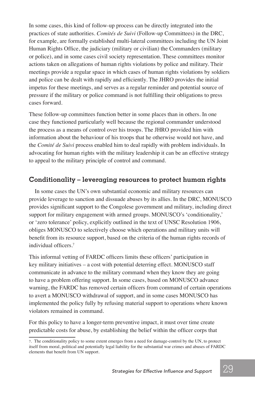In some cases, this kind of follow-up process can be directly integrated into the practices of state authorities. *Comités de Suivi* (Follow-up Committees) in the DRC, for example, are formally established multi-lateral committees including the UN Joint Human Rights Office, the judiciary (military or civilian) the Commanders (military or police), and in some cases civil society representation. These committees monitor actions taken on allegations of human rights violations by police and military. Their meetings provide a regular space in which cases of human rights violations by soldiers and police can be dealt with rapidly and efficiently. The JHRO provides the initial impetus for these meetings, and serves as a regular reminder and potential source of pressure if the military or police command is not fulfilling their obligations to press cases forward.

These follow-up committees function better in some places than in others. In one case they functioned particularly well because the regional commander understood the process as a means of control over his troops. The JHRO provided him with information about the behaviour of his troops that he otherwise would not have, and the *Comité de Suivi* process enabled him to deal rapidly with problem individuals. In advocating for human rights with the military leadership it can be an effective strategy to appeal to the military principle of control and command.

#### **Conditionality – leveraging resources to protect human rights**

In some cases the UN's own substantial economic and military resources can provide leverage to sanction and dissuade abuses by its allies. In the DRC, MONUSCO provides significant support to the Congolese government and military, including direct support for military engagement with armed groups. MONUSCO's 'conditionality,' or 'zero tolerance' policy, explicitly outlined in the text of UNSC Resolution 1906, obliges MONUSCO to selectively choose which operations and military units will benefit from its resource support, based on the criteria of the human rights records of individual officers.7

This informal vetting of FARDC officers limits these officers' participation in key military initiatives – a cost with potential deterring effect. MONUSCO staff communicate in advance to the military command when they know they are going to have a problem offering support. In some cases, based on MONUSCO advance warning, the FARDC has removed certain officers from command of certain operations to avert a MONUSCO withdrawal of support, and in some cases MONUSCO has implemented the policy fully by refusing material support to operations where known violators remained in command.

For this policy to have a longer-term preventive impact, it must over time create predictable costs for abuse, by establishing the belief within the officer corps that

<sup>7.</sup> The conditionality policy to some extent emerges from a need for damage-control by the UN, to protect itself from moral, political and potentially legal liability for the substantial war crimes and abuses of FARDC elements that benefit from UN support.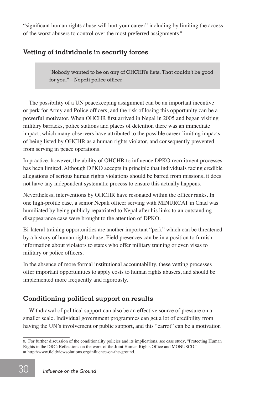"significant human rights abuse will hurt your career" including by limiting the access of the worst abusers to control over the most preferred assignments.<sup>8</sup>

#### **Vetting of individuals in security forces**

"Nobody wanted to be on any of OHCHR's lists. That couldn't be good for you." – Nepali police officer

The possibility of a UN peacekeeping assignment can be an important incentive or perk for Army and Police officers, and the risk of losing this opportunity can be a powerful motivator. When OHCHR first arrived in Nepal in 2005 and began visiting military barracks, police stations and places of detention there was an immediate impact, which many observers have attributed to the possible career-limiting impacts of being listed by OHCHR as a human rights violator, and consequently prevented from serving in peace operations.

In practice, however, the ability of OHCHR to influence DPKO recruitment processes has been limited. Although DPKO accepts in principle that individuals facing credible allegations of serious human rights violations should be barred from missions, it does not have any independent systematic process to ensure this actually happens.

Nevertheless, interventions by OHCHR have resonated within the officer ranks. In one high-profile case, a senior Nepali officer serving with MINURCAT in Chad was humiliated by being publicly repatriated to Nepal after his links to an outstanding disappearance case were brought to the attention of DPKO.

Bi-lateral training opportunities are another important "perk" which can be threatened by a history of human rights abuse. Field presences can be in a position to furnish information about violators to states who offer military training or even visas to military or police officers.

In the absence of more formal institutional accountability, these vetting processes offer important opportunities to apply costs to human rights abusers, and should be implemented more frequently and rigorously.

#### **Conditioning political support on results**

Withdrawal of political support can also be an effective source of pressure on a smaller scale. Individual government programmes can get a lot of credibility from having the UN's involvement or public support, and this "carrot" can be a motivation

<sup>8</sup>. For further discussion of the conditionality policies and its implications, see case study, "Protecting Human Rights in the DRC: Reflections on the work of the Joint Human Rights Office and MONUSCO," at http://www.fieldviewsolutions.org/influence-on-the-ground.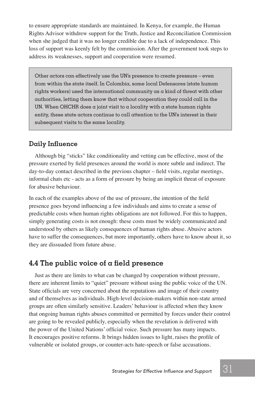to ensure appropriate standards are maintained. In Kenya, for example, the Human Rights Advisor withdrew support for the Truth, Justice and Reconciliation Commission when she judged that it was no longer credible due to a lack of independence. This loss of support was keenly felt by the commission. After the government took steps to address its weaknesses, support and cooperation were resumed.

Other actors can effectively use the UN's presence to create pressure – even from within the state itself. In Colombia, some local Defensores (state human rights workers) used the international community as a kind of threat with other authorities, letting them know that without cooperation they could call in the UN. When OHCHR does  $\alpha$  joint visit to  $\alpha$  locality with  $\alpha$  state human rights entity, these state actors continue to call attention to the UN's interest in their subsequent visits to the same locality.

#### **Daily Influence**

Although big "sticks" like conditionality and vetting can be effective, most of the pressure exerted by field presences around the world is more subtle and indirect. The day-to-day contact described in the previous chapter – field visits, regular meetings, informal chats etc - acts as a form of pressure by being an implicit threat of exposure for abusive behaviour.

In each of the examples above of the use of pressure, the intention of the field presence goes beyond influencing a few individuals and aims to create a sense of predictable costs when human rights obligations are not followed. For this to happen, simply generating costs is not enough: these costs must be widely communicated and understood by others as likely consequences of human rights abuse. Abusive actors have to suffer the consequences, but more importantly, others have to know about it, so they are dissuaded from future abuse.

#### **4.4 The public voice of a field presence**

Just as there are limits to what can be changed by cooperation without pressure, there are inherent limits to "quiet" pressure without using the public voice of the UN. State officials are very concerned about the reputations and image of their country and of themselves as individuals. High-level decision-makers within non-state armed groups are often similarly sensitive. Leaders' behaviour is affected when they know that ongoing human rights abuses committed or permitted by forces under their control are going to be revealed publicly, especially when the revelation is delivered with the power of the United Nations' official voice. Such pressure has many impacts. It encourages positive reforms. It brings hidden issues to light, raises the profile of vulnerable or isolated groups, or counter-acts hate-speech or false accusations.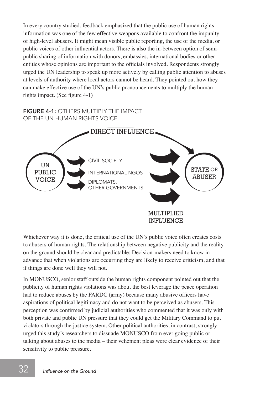In every country studied, feedback emphasized that the public use of human rights information was one of the few effective weapons available to confront the impunity of high-level abusers. It might mean visible public reporting, the use of the media, or public voices of other influential actors. There is also the in-between option of semipublic sharing of information with donors, embassies, international bodies or other entities whose opinions are important to the officials involved. Respondents strongly urged the UN leadership to speak up more actively by calling public attention to abuses at levels of authority where local actors cannot be heard. They pointed out how they can make effective use of the UN's public pronouncements to multiply the human rights impact. (See figure 4-1)

#### FIGURE 4-1: OTHERS MULTIPLY THE IMPACT OF THE UN HUMAN RIGHTS VOICE



Whichever way it is done, the critical use of the UN's public voice often creates costs to abusers of human rights. The relationship between negative publicity and the reality on the ground should be clear and predictable: Decision-makers need to know in advance that when violations are occurring they are likely to receive criticism, and that if things are done well they will not.

In MONUSCO, senior staff outside the human rights component pointed out that the publicity of human rights violations was about the best leverage the peace operation had to reduce abuses by the FARDC (army) because many abusive officers have aspirations of political legitimacy and do not want to be perceived as abusers. This perception was confirmed by judicial authorities who commented that it was only with both private and public UN pressure that they could get the Military Command to put violators through the justice system. Other political authorities, in contrast, strongly urged this study's researchers to dissuade MONUSCO from ever going public or talking about abuses to the media – their vehement pleas were clear evidence of their sensitivity to public pressure.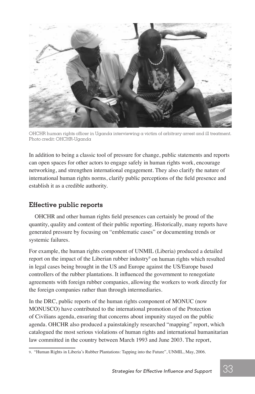

OHCHR human rights officer in Uganda interviewing a victim of arbitrary arrest and ill treatment. Photo credit: OHCHR-Uganda

In addition to being a classic tool of pressure for change, public statements and reports can open spaces for other actors to engage safely in human rights work, encourage networking, and strengthen international engagement. They also clarify the nature of international human rights norms, clarify public perceptions of the field presence and establish it as a credible authority.

#### **Effective public reports**

OHCHR and other human rights field presences can certainly be proud of the quantity, quality and content of their public reporting. Historically, many reports have generated pressure by focusing on "emblematic cases" or documenting trends or systemic failures.

For example, the human rights component of UNMIL (Liberia) produced a detailed report on the impact of the Liberian rubber industry<sup>9</sup> on human rights which resulted in legal cases being brought in the US and Europe against the US/Europe based controllers of the rubber plantations. It influenced the government to renegotiate agreements with foreign rubber companies, allowing the workers to work directly for the foreign companies rather than through intermediaries.

In the DRC, public reports of the human rights component of MONUC (now MONUSCO) have contributed to the international promotion of the Protection of Civilians agenda, ensuring that concerns about impunity stayed on the public agenda. OHCHR also produced a painstakingly researched "mapping" report, which catalogued the most serious violations of human rights and international humanitarian law committed in the country between March 1993 and June 2003. The report,

<sup>9. &</sup>quot;Human Rights in Liberia's Rubber Plantations: Tapping into the Future", UNMIL, May, 2006.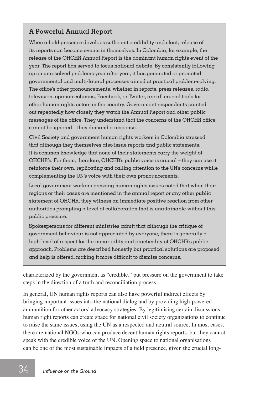#### **A Powerful Annual Report**

When a field presence develops sufficient credibility and clout, release of its reports can become events in themselves. In Colombia, for example, the release of the OHCHR Annual Report is the dominant human rights event of the year. The report has served to focus national debate. By consistently following up on unresolved problems year after year, it has generated or promoted governmental and multi-lateral processes aimed at practical problem-solving. The office's other pronouncements, whether in reports, press releases, radio, television, opinion columns, Facebook, or Twitter, are all crucial tools for other human rights actors in the country. Government respondents pointed out repeatedly how closely they watch the Annual Report and other public messages of the office. They understand that the concerns of the OHCHR office cannot be ignored – they demand  $\alpha$  response.

Civil Society and government human rights workers in Colombia stressed that although they themselves also issue reports and public statements, it is common knowledge that none of their statements carry the weight of OHCHR's. For them, therefore, OHCHR's public voice is crucial – they can use it reinforce their own, replicating and calling attention to the UN's concerns while complementing the UN's voice with their own pronouncements.

Local government workers pressing human rights issues noted that when their regions or their cases are mentioned in the annual report or any other public statement of OHCHR, they witness an immediate positive reaction from other authorities prompting a level of collaboration that is unattainable without this public pressure.

Spokespersons for different ministries admit that although the critique of government behaviour is not appreciated by everyone, there is generally  $\alpha$ high level of respect for the impartiality and practicality of OHCHR's public approach. Problems are described honestly but practical solutions are proposed and help is offered, making it more difficult to dismiss concerns.

characterized by the government as "credible," put pressure on the government to take steps in the direction of a truth and reconciliation process.

In general, UN human rights reports can also have powerful indirect effects by bringing important issues into the national dialog and by providing high-powered ammunition for other actors' advocacy strategies. By legitimising certain discussions, human right reports can create space for national civil society organizations to continue to raise the same issues, using the UN as a respected and neutral source. In most cases, there are national NGOs who can produce decent human rights reports, but they cannot speak with the credible voice of the UN. Opening space to national organisations can be one of the most sustainable impacts of a field presence, given the crucial long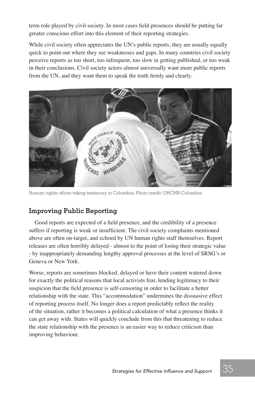term role played by civil society. In most cases field presences should be putting far greater conscious effort into this element of their reporting strategies.

While civil society often appreciates the UN's public reports, they are usually equally quick to point out where they see weaknesses and gaps. In many countries civil society perceive reports as too short, too infrequent, too slow in getting published, or too weak in their conclusions. Civil society actors almost universally want more public reports from the UN, and they want them to speak the truth firmly and clearly.



Human rights officer taking testimony in Colombia. Photo credit: OHCHR-Colombia.

#### **Improving Public Reporting**

Good reports are expected of a field presence, and the credibility of a presence suffers if reporting is weak or insufficient. The civil society complaints mentioned above are often on-target, and echoed by UN human rights staff themselves. Report releases are often horribly delayed - almost to the point of losing their strategic value - by inappropriately demanding lengthy approval processes at the level of SRSG's or Geneva or New York.

Worse, reports are sometimes blocked, delayed or have their content watered down for exactly the political reasons that local activists fear, lending legitimacy to their suspicion that the field presence is self-censoring in order to facilitate a better relationship with the state. This "accommodation" undermines the dissuasive effect of reporting process itself. No longer does a report predictably reflect the reality of the situation, rather it becomes a political calculation of what a presence thinks it can get away with. States will quickly conclude from this that threatening to reduce the state relationship with the presence is an easier way to reduce criticism than improving behaviour.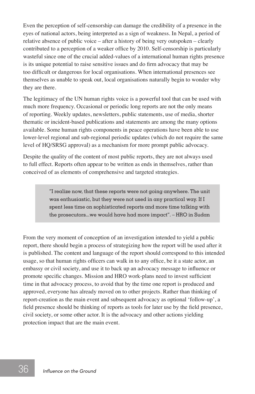Even the perception of self-censorship can damage the credibility of a presence in the eyes of national actors, being interpreted as a sign of weakness. In Nepal, a period of relative absence of public voice – after a history of being very outspoken – clearly contributed to a perception of a weaker office by 2010. Self-censorship is particularly wasteful since one of the crucial added-values of a international human rights presence is its unique potential to raise sensitive issues and do firm advocacy that may be too difficult or dangerous for local organisations. When international presences see themselves as unable to speak out, local organisations naturally begin to wonder why they are there.

The legitimacy of the UN human rights voice is a powerful tool that can be used with much more frequency. Occasional or periodic long reports are not the only means of reporting. Weekly updates, newsletters, public statements, use of media, shorter thematic or incident-based publications and statements are among the many options available. Some human rights components in peace operations have been able to use lower-level regional and sub-regional periodic updates (which do not require the same level of HQ/SRSG approval) as a mechanism for more prompt public advocacy.

Despite the quality of the content of most public reports, they are not always used to full effect. Reports often appear to be written as ends in themselves, rather than conceived of as elements of comprehensive and targeted strategies.

> "I realize now, that these reports were not going anywhere. The unit was enthusiastic, but they were not used in any practical way. If I spent less time on sophisticated reports and more time talking with the prosecutors...we would have had more impact". – HRO in Sudan

From the very moment of conception of an investigation intended to yield a public report, there should begin a process of strategizing how the report will be used after it is published. The content and language of the report should correspond to this intended usage, so that human rights officers can walk in to any office, be it a state actor, an embassy or civil society, and use it to back up an advocacy message to influence or promote specific changes. Mission and HRO work-plans need to invest sufficient time in that advocacy process, to avoid that by the time one report is produced and approved, everyone has already moved on to other projects. Rather than thinking of report-creation as the main event and subsequent advocacy as optional 'follow-up', a field presence should be thinking of reports as tools for later use by the field presence, civil society, or some other actor. It is the advocacy and other actions yielding protection impact that are the main event.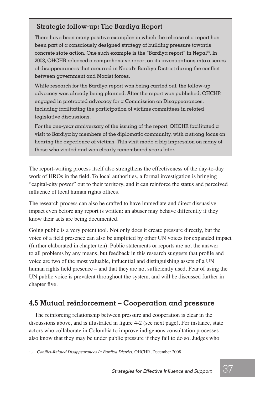#### **Strategic follow-up: The Bardiya Report**

There have been many positive examples in which the release of a report has been part of a consciously designed strategy of building pressure towards concrete state action. One such example is the "Bardiya report" in  $Nepal<sup>10</sup>$ . In 2008, OHCHR released a comprehensive report on its investigations into a series of disappearances that occurred in Nepal's Bardiya District during the conflict between government and Maoist forces.

While research for the Bardiya report was being carried out, the follow-up advocacy was already being planned. After the report was published, OHCHR engaged in protracted advocacy for a Commission on Disappearances, including facilitating the participation of victims committees in related legislative discussions.

For the one-year anniversary of the issuing of the report, OHCHR facilitated a visit to Bardiya by members of the diplomatic community, with a strong focus on hearing the experience of victims. This visit made a big impression on many of those who visited and was clearly remembered years later.

The report-writing process itself also strengthens the effectiveness of the day-to-day work of HROs in the field. To local authorities, a formal investigation is bringing "capital-city power" out to their territory, and it can reinforce the status and perceived influence of local human rights offices.

The research process can also be crafted to have immediate and direct dissuasive impact even before any report is written: an abuser may behave differently if they know their acts are being documented.

Going public is a very potent tool. Not only does it create pressure directly, but the voice of a field presence can also be amplified by other UN voices for expanded impact (further elaborated in chapter ten). Public statements or reports are not the answer to all problems by any means, but feedback in this research suggests that profile and voice are two of the most valuable, influential and distinguishing assets of a UN human rights field presence – and that they are not sufficiently used. Fear of using the UN public voice is prevalent throughout the system, and will be discussed further in chapter five.

#### **4.5 Mutual reinforcement – Cooperation and pressure**

The reinforcing relationship between pressure and cooperation is clear in the discussions above, and is illustrated in figure 4-2 (see next page). For instance, state actors who collaborate in Colombia to improve indigenous consultation processes also know that they may be under public pressure if they fail to do so. Judges who

<sup>10</sup>*. Conflict-Related Disappearances In Bardiya District,* OHCHR, December 2008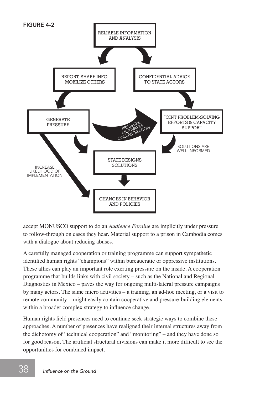

accept MONUSCO support to do an *Audience Foraine* are implicitly under pressure to follow-through on cases they hear. Material support to a prison in Cambodia comes with a dialogue about reducing abuses.

A carefully managed cooperation or training programme can support sympathetic identified human rights "champions" within bureaucratic or oppressive institutions. These allies can play an important role exerting pressure on the inside. A cooperation programme that builds links with civil society – such as the National and Regional Diagnostics in Mexico – paves the way for ongoing multi-lateral pressure campaigns by many actors. The same micro activities – a training, an ad-hoc meeting, or a visit to remote community – might easily contain cooperative and pressure-building elements within a broader complex strategy to influence change.

Human rights field presences need to continue seek strategic ways to combine these approaches. A number of presences have realigned their internal structures away from the dichotomy of "technical cooperation" and "monitoring" – and they have done so for good reason. The artificial structural divisions can make it more difficult to see the opportunities for combined impact.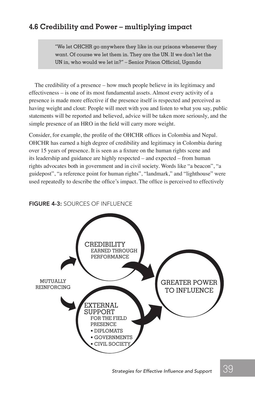# **4.6 Credibility and Power – multiplying impact**

"We let OHCHR go anywhere they like in our prisons whenever they want. Of course we let them in. They are the UN. If we don't let the UN in, who would we let in?" – Senior Prison Official, Uganda

The credibility of a presence – how much people believe in its legitimacy and effectiveness – is one of its most fundamental assets. Almost every activity of a presence is made more effective if the presence itself is respected and perceived as having weight and clout: People will meet with you and listen to what you say, public statements will be reported and believed, advice will be taken more seriously, and the simple presence of an HRO in the field will carry more weight.

Consider, for example, the profile of the OHCHR offices in Colombia and Nepal. OHCHR has earned a high degree of credibility and legitimacy in Colombia during over 15 years of presence. It is seen as a fixture on the human rights scene and its leadership and guidance are highly respected – and expected – from human rights advocates both in government and in civil society. Words like "a beacon", "a guidepost", "a reference point for human rights", "landmark," and "lighthouse" were used repeatedly to describe the office's impact. The office is perceived to effectively

# CREDIBILITY EARNED THROUGH PERFORMANCE EXTERNAL SUPPORT FOR THE FIELD PRESENCE • DIPLOMATS • GOVERNMENTS • CIVIL SOCIETY GREATER POWER TO INFLUENCE MUTUALLY REINFORCING

#### FIGURE 4-3: SOURCES OF INFLUENCE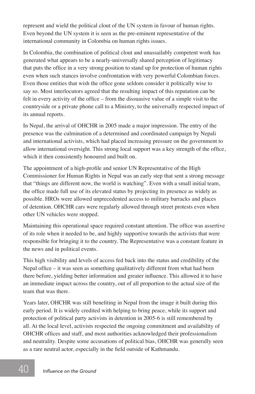represent and wield the political clout of the UN system in favour of human rights. Even beyond the UN system it is seen as the pre-eminent representative of the international community in Colombia on human rights issues.

In Colombia, the combination of political clout and unassailably competent work has generated what appears to be a nearly-universally shared perception of legitimacy that puts the office in a very strong position to stand up for protection of human rights even when such stances involve confrontation with very powerful Colombian forces. Even those entities that wish the office gone seldom consider it politically wise to say so. Most interlocutors agreed that the resulting impact of this reputation can be felt in every activity of the office – from the dissuasive value of a simple visit to the countryside or a private phone call to a Ministry, to the universally respected impact of its annual reports.

In Nepal, the arrival of OHCHR in 2005 made a major impression. The entry of the presence was the culmination of a determined and coordinated campaign by Nepali and international activists, which had placed increasing pressure on the government to allow international oversight. This strong local support was a key strength of the office, which it then consistently honoured and built on.

The appointment of a high-profile and senior UN Representative of the High Commissioner for Human Rights in Nepal was an early step that sent a strong message that "things are different now, the world is watching". Even with a small initial team, the office made full use of its elevated status by projecting its presence as widely as possible. HROs were allowed unprecedented access to military barracks and places of detention. OHCHR cars were regularly allowed through street protests even when other UN vehicles were stopped.

Maintaining this operational space required constant attention. The office was assertive of its role when it needed to be, and highly supportive towards the activists that were responsible for bringing it to the country. The Representative was a constant feature in the news and in political events.

This high visibility and levels of access fed back into the status and credibility of the Nepal office – it was seen as something qualitatively different from what had been there before, yielding better information and greater influence. This allowed it to have an immediate impact across the country, out of all proportion to the actual size of the team that was there.

Years later, OHCHR was still benefiting in Nepal from the image it built during this early period. It is widely credited with helping to bring peace, while its support and protection of political party activists in detention in 2005-6 is still remembered by all. At the local level, activists respected the ongoing commitment and availability of OHCHR offices and staff, and most authorities acknowledged their professionalism and neutrality. Despite some accusations of political bias, OHCHR was generally seen as a rare neutral actor, especially in the field outside of Kathmandu.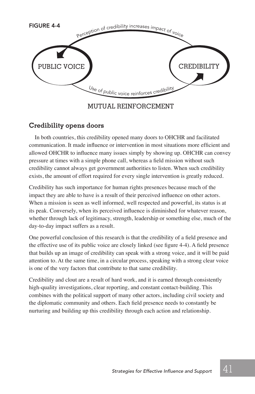

#### MUTUAL REINFORCEMENT

#### **Credibility opens doors**

In both countries, this credibility opened many doors to OHCHR and facilitated communication. It made influence or intervention in most situations more efficient and allowed OHCHR to influence many issues simply by showing up. OHCHR can convey pressure at times with a simple phone call, whereas a field mission without such credibility cannot always get government authorities to listen. When such credibility exists, the amount of effort required for every single intervention is greatly reduced.

Credibility has such importance for human rights presences because much of the impact they are able to have is a result of their perceived influence on other actors. When a mission is seen as well informed, well respected and powerful, its status is at its peak. Conversely, when its perceived influence is diminished for whatever reason, whether through lack of legitimacy, strength, leadership or something else, much of the day-to-day impact suffers as a result.

One powerful conclusion of this research is that the credibility of a field presence and the effective use of its public voice are closely linked (see figure 4-4). A field presence that builds up an image of credibility can speak with a strong voice, and it will be paid attention to. At the same time, in a circular process, speaking with a strong clear voice is one of the very factors that contribute to that same credibility.

Credibility and clout are a result of hard work, and it is earned through consistently high-quality investigations, clear reporting, and constant contact-building. This combines with the political support of many other actors, including civil society and the diplomatic community and others. Each field presence needs to constantly be nurturing and building up this credibility through each action and relationship.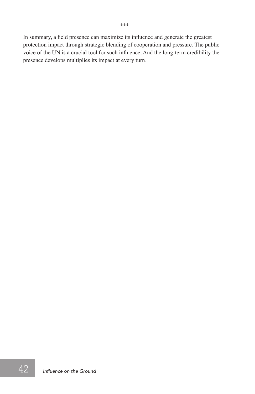In summary, a field presence can maximize its influence and generate the greatest protection impact through strategic blending of cooperation and pressure. The public voice of the UN is a crucial tool for such influence. And the long-term credibility the presence develops multiplies its impact at every turn.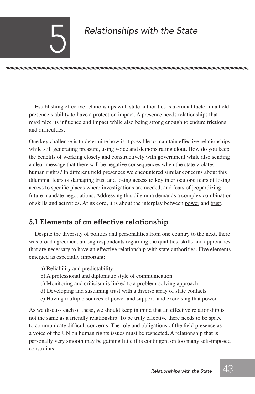# $R$ *elationships with the State*

nnummunnummunnummunnummunnummunnummunnum

Establishing effective relationships with state authorities is a crucial factor in a field presence's ability to have a protection impact. A presence needs relationships that maximize its influence and impact while also being strong enough to endure frictions and difficulties.

One key challenge is to determine how is it possible to maintain effective relationships while still generating pressure, using voice and demonstrating clout. How do you keep the benefits of working closely and constructively with government while also sending a clear message that there will be negative consequences when the state violates human rights? In different field presences we encountered similar concerns about this dilemma: fears of damaging trust and losing access to key interlocutors; fears of losing access to specific places where investigations are needed, and fears of jeopardizing future mandate negotiations. Addressing this dilemma demands a complex combination of skills and activities. At its core, it is about the interplay between power and trust.

# **5.1 Elements of an effective relationship**

Despite the diversity of politics and personalities from one country to the next, there was broad agreement among respondents regarding the qualities, skills and approaches that are necessary to have an effective relationship with state authorities. Five elements emerged as especially important:

- a) Reliability and predictability
- b) A professional and diplomatic style of communication
- c) Monitoring and criticism is linked to a problem-solving approach
- d) Developing and sustaining trust with a diverse array of state contacts
- e) Having multiple sources of power and support, and exercising that power

As we discuss each of these, we should keep in mind that an effective relationship is not the same as a friendly relationship. To be truly effective there needs to be space to communicate difficult concerns. The role and obligations of the field presence as a voice of the UN on human rights issues must be respected. A relationship that is personally very smooth may be gaining little if is contingent on too many self-imposed constraints.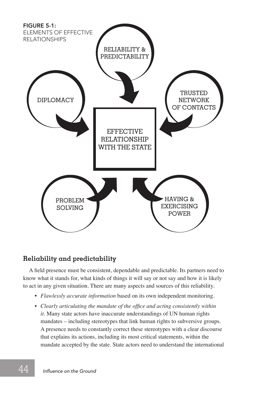

#### **Reliability and predictability**

A field presence must be consistent, dependable and predictable. Its partners need to know what it stands for, what kinds of things it will say or not say and how it is likely to act in any given situation. There are many aspects and sources of this reliability.

- *Flawlessly accurate information* based on its own independent monitoring.
- *Clearly articulating the mandate of the office and acting consistently within it.* Many state actors have inaccurate understandings of UN human rights mandates – including stereotypes that link human rights to subversive groups. A presence needs to constantly correct these stereotypes with a clear discourse that explains its actions, including its most critical statements, within the mandate accepted by the state. State actors need to understand the international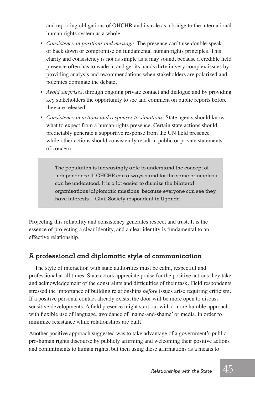and reporting obligations of OHCHR and its role as a bridge to the international human rights system as a whole.

- *Consistency in positions and message*. The presence can't use double-speak, or back down or compromise on fundamental human rights principles. This clarity and consistency is not as simple as it may sound, because a credible field presence often has to wade in and get its hands dirty in very complex issues by providing analysis and recommendations when stakeholders are polarized and polemics dominate the debate.
- *Avoid surprises*, through ongoing private contact and dialogue and by providing key stakeholders the opportunity to see and comment on public reports before they are released.
- *Consistency in actions and responses to situations*. State agents should know what to expect from a human rights presence. Certain state actions should predictably generate a supportive response from the UN field presence while other actions should consistently result in public or private statements of concern.

The population is increasingly able to understand the concept of independence. If OHCHR can always stand for the same principles it  $c$ an be understood. It is a lot easier to dismiss the bilateral organisations [diplomatic missions] because everyone can see they have interests. – Civil Society respondent in Uganda

Projecting this reliability and consistency generates respect and trust. It is the essence of projecting a clear identity, and a clear identity is fundamental to an effective relationship.

#### **A professional and diplomatic style of communication**

The style of interaction with state authorities must be calm, respectful and professional at all times. State actors appreciate praise for the positive actions they take and acknowledgement of the constraints and difficulties of their task. Field respondents stressed the importance of building relationships *before* issues arise requiring criticism. If a positive personal contact already exists, the door will be more open to discuss sensitive developments. A field presence might start out with a more humble approach, with flexible use of language, avoidance of 'name-and-shame' or media, in order to minimize resistance while relationships are built.

Another positive approach suggested was to take advantage of a government's public pro-human rights discourse by publicly affirming and welcoming their positive actions and commitments to human rights, but then using these affirmations as a means to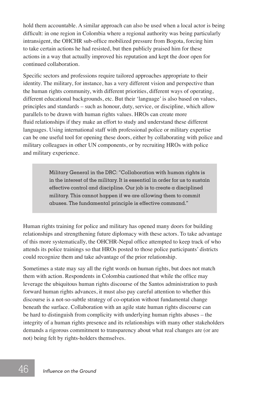hold them accountable. A similar approach can also be used when a local actor is being difficult: in one region in Colombia where a regional authority was being particularly intransigent, the OHCHR sub-office mobilized pressure from Bogota, forcing him to take certain actions he had resisted, but then publicly praised him for these actions in a way that actually improved his reputation and kept the door open for continued collaboration.

Specific sectors and professions require tailored approaches appropriate to their identity. The military, for instance, has a very different vision and perspective than the human rights community, with different priorities, different ways of operating, different educational backgrounds, etc. But their 'language' is also based on values, principles and standards – such as honour, duty, service, or discipline, which allow parallels to be drawn with human rights values. HROs can create more fluid relationships if they make an effort to study and understand these different languages. Using international staff with professional police or military expertise can be one useful tool for opening these doors, either by collaborating with police and military colleagues in other UN components, or by recruiting HROs with police and military experience.

> Military General in the DRC: "Collaboration with human rights is in the interest of the military. It is essential in order for us to sustain effective control and discipline. Our job is to create a disciplined military. This cannot happen if we are allowing them to commit abuses. The fundamental principle is effective command."

Human rights training for police and military has opened many doors for building relationships and strengthening future diplomacy with these actors. To take advantage of this more systematically, the OHCHR-Nepal office attempted to keep track of who attends its police trainings so that HROs posted to those police participants' districts could recognize them and take advantage of the prior relationship.

Sometimes a state may say all the right words on human rights, but does not match them with action. Respondents in Colombia cautioned that while the office may leverage the ubiquitous human rights discourse of the Santos administration to push forward human rights advances, it must also pay careful attention to whether this discourse is a not-so-subtle strategy of co-optation without fundamental change beneath the surface. Collaboration with an agile state human rights discourse can be hard to distinguish from complicity with underlying human rights abuses – the integrity of a human rights presence and its relationships with many other stakeholders demands a rigorous commitment to transparency about what real changes are (or are not) being felt by rights-holders themselves.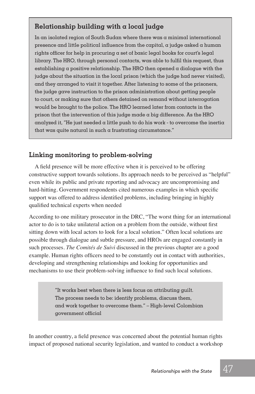### **Relationship building with a local judge**

In an isolated region of South Sudan where there was a minimal international presence and little political influence from the capital, a judge asked a human rights officer for help in procuring a set of basic legal books for court's legal library. The HRO, through personal contacts, was able to fulfil this request, thus establishing a positive relationship. The HRO then opened a dialogue with the judge about the situation in the local prison (which the judge had never visited), and they arranged to visit it together. After listening to some of the prisoners, the judge gave instruction to the prison administration about getting people to court, or making sure that others detained on remand without interrogation would be brought to the police. The HRO learned later from contacts in the prison that the intervention of this judge made a big difference. As the HRO analyzed it, "He just needed  $\alpha$  little push to do his work - to overcome the inertia that was quite natural in such a frustrating circumstance."

#### **Linking monitoring to problem-solving**

A field presence will be more effective when it is perceived to be offering constructive support towards solutions. Its approach needs to be perceived as "helpful" even while its public and private reporting and advocacy are uncompromising and hard-hitting. Government respondents cited numerous examples in which specific support was offered to address identified problems, including bringing in highly qualified technical experts when needed

According to one military prosecutor in the DRC, "The worst thing for an international actor to do is to take unilateral action on a problem from the outside, without first sitting down with local actors to look for a local solution." Often local solutions are possible through dialogue and subtle pressure, and HROs are engaged constantly in such processes. *The Comités de Suivi* discussed in the previous chapter are a good example. Human rights officers need to be constantly out in contact with authorities, developing and strengthening relationships and looking for opportunities and mechanisms to use their problem-solving influence to find such local solutions.

> "It works best when there is less focus on attributing guilt. The process needs to be: identify problems, discuss them, and work together to overcome them." – High-level Colombian government official

In another country, a field presence was concerned about the potential human rights impact of proposed national security legislation, and wanted to conduct a workshop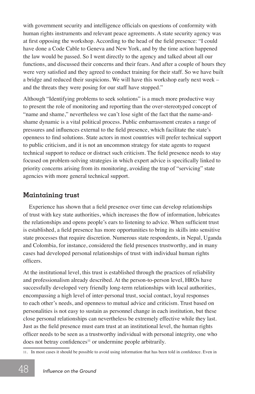with government security and intelligence officials on questions of conformity with human rights instruments and relevant peace agreements. A state security agency was at first opposing the workshop. According to the head of the field presence: "I could have done a Code Cable to Geneva and New York, and by the time action happened the law would be passed. So I went directly to the agency and talked about all our functions, and discussed their concerns and their fears. And after a couple of hours they were very satisfied and they agreed to conduct training for their staff. So we have built a bridge and reduced their suspicions. We will have this workshop early next week – and the threats they were posing for our staff have stopped."

Although "Identifying problems to seek solutions" is a much more productive way to present the role of monitoring and reporting than the over-stereotyped concept of "name and shame," nevertheless we can't lose sight of the fact that the name-andshame dynamic is a vital political process. Public embarrassment creates a range of pressures and influences external to the field presence, which facilitate the state's openness to find solutions. State actors in most countries will prefer technical support to public criticism, and it is not an uncommon strategy for state agents to request technical support to reduce or distract such criticism. The field presence needs to stay focused on problem-solving strategies in which expert advice is specifically linked to priority concerns arising from its monitoring, avoiding the trap of "servicing" state agencies with more general technical support.

#### **Maintaining trust**

Experience has shown that a field presence over time can develop relationships of trust with key state authorities, which increases the flow of information, lubricates the relationships and opens people's ears to listening to advice. When sufficient trust is established, a field presence has more opportunities to bring its skills into sensitive state processes that require discretion. Numerous state respondents, in Nepal, Uganda and Colombia, for instance, considered the field presences trustworthy, and in many cases had developed personal relationships of trust with individual human rights officers.

At the institutional level, this trust is established through the practices of reliability and professionalism already described. At the person-to-person level, HROs have successfully developed very friendly long-term relationships with local authorities, encompassing a high level of inter-personal trust, social contact, loyal responses to each other's needs, and openness to mutual advice and criticism. Trust based on personalities is not easy to sustain as personnel change in each institution, but these close personal relationships can nevertheless be extremely effective while they last. Just as the field presence must earn trust at an institutional level, the human rights officer needs to be seen as a trustworthy individual with personal integrity, one who does not betray confidences<sup>11</sup> or undermine people arbitrarily.

<sup>11</sup>*.* In most cases it should be possible to avoid using information that has been told in confidence. Even in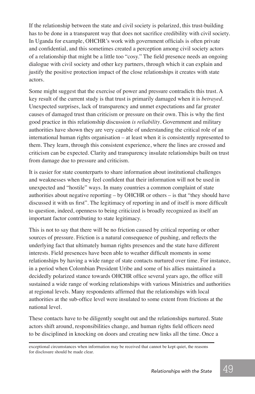If the relationship between the state and civil society is polarized, this trust-building has to be done in a transparent way that does not sacrifice credibility with civil society. In Uganda for example, OHCHR's work with government officials is often private and confidential, and this sometimes created a perception among civil society actors of a relationship that might be a little too "cosy." The field presence needs an ongoing dialogue with civil society and other key partners, through which it can explain and justify the positive protection impact of the close relationships it creates with state actors.

Some might suggest that the exercise of power and pressure contradicts this trust. A key result of the current study is that trust is primarily damaged when it is *betrayed*. Unexpected surprises, lack of transparency and unmet expectations and far greater causes of damaged trust than criticism or pressure on their own. This is why the first good practice in this relationship discussion *is reliability*. Government and military authorities have shown they are very capable of understanding the critical role of an international human rights organisation – at least when it is consistently represented to them. They learn, through this consistent experience, where the lines are crossed and criticism can be expected. Clarity and transparency insulate relationships built on trust from damage due to pressure and criticism.

It is easier for state counterparts to share information about institutional challenges and weaknesses when they feel confident that their information will not be used in unexpected and "hostile" ways. In many countries a common complaint of state authorities about negative reporting – by OHCHR or others – is that "they should have discussed it with us first". The legitimacy of reporting in and of itself is more difficult to question, indeed, openness to being criticized is broadly recognized as itself an important factor contributing to state legitimacy.

This is not to say that there will be no friction caused by critical reporting or other sources of pressure. Friction is a natural consequence of pushing, and reflects the underlying fact that ultimately human rights presences and the state have different interests. Field presences have been able to weather difficult moments in some relationships by having a wide range of state contacts nurtured over time. For instance, in a period when Colombian President Uribe and some of his allies maintained a decidedly polarized stance towards OHCHR office several years ago, the office still sustained a wide range of working relationships with various Ministries and authorities at regional levels. Many respondents affirmed that the relationships with local authorities at the sub-office level were insulated to some extent from frictions at the national level.

These contacts have to be diligently sought out and the relationships nurtured. State actors shift around, responsibilities change, and human rights field officers need to be disciplined in knocking on doors and creating new links all the time. Once a

exceptional circumstances when information may be received that cannot be kept quiet, the reasons for disclosure should be made clear.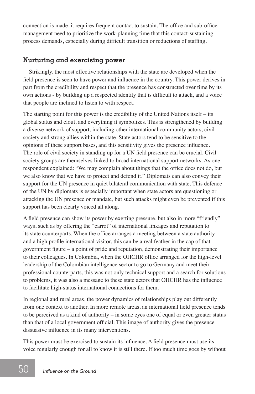connection is made, it requires frequent contact to sustain. The office and sub-office management need to prioritize the work-planning time that this contact-sustaining process demands, especially during difficult transition or reductions of staffing.

#### **Nurturing and exercising power**

Strikingly, the most effective relationships with the state are developed when the field presence is seen to have power and influence in the country. This power derives in part from the credibility and respect that the presence has constructed over time by its own actions - by building up a respected identity that is difficult to attack, and a voice that people are inclined to listen to with respect.

The starting point for this power is the credibility of the United Nations itself – its global status and clout, and everything it symbolizes. This is strengthened by building a diverse network of support, including other international community actors, civil society and strong allies within the state. State actors tend to be sensitive to the opinions of these support bases, and this sensitivity gives the presence influence. The role of civil society in standing up for a UN field presence can be crucial. Civil society groups are themselves linked to broad international support networks. As one respondent explained: "We may complain about things that the office does not do, but we also know that we have to protect and defend it." Diplomats can also convey their support for the UN presence in quiet bilateral communication with state. This defence of the UN by diplomats is especially important when state actors are questioning or attacking the UN presence or mandate, but such attacks might even be prevented if this support has been clearly voiced all along.

A field presence can show its power by exerting pressure, but also in more "friendly" ways, such as by offering the "carrot" of international linkages and reputation to its state counterparts. When the office arranges a meeting between a state authority and a high profile international visitor, this can be a real feather in the cap of that government figure – a point of pride and reputation, demonstrating their importance to their colleagues. In Colombia, when the OHCHR office arranged for the high-level leadership of the Colombian intelligence sector to go to Germany and meet their professional counterparts, this was not only technical support and a search for solutions to problems, it was also a message to these state actors that OHCHR has the influence to facilitate high-status international connections for them.

In regional and rural areas, the power dynamics of relationships play out differently from one context to another. In more remote areas, an international field presence tends to be perceived as a kind of authority – in some eyes one of equal or even greater status than that of a local government official. This image of authority gives the presence dissuasive influence in its many interventions.

This power must be exercised to sustain its influence. A field presence must use its voice regularly enough for all to know it is still there. If too much time goes by without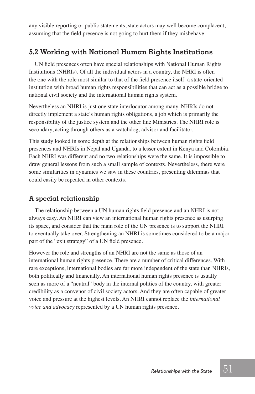any visible reporting or public statements, state actors may well become complacent, assuming that the field presence is not going to hurt them if they misbehave.

# **5.2 Working with National Human Rights Institutions**

UN field presences often have special relationships with National Human Rights Institutions (NHRIs). Of all the individual actors in a country, the NHRI is often the one with the role most similar to that of the field presence itself: a state-oriented institution with broad human rights responsibilities that can act as a possible bridge to national civil society and the international human rights system.

Nevertheless an NHRI is just one state interlocutor among many. NHRIs do not directly implement a state's human rights obligations, a job which is primarily the responsibility of the justice system and the other line Ministries. The NHRI role is secondary, acting through others as a watchdog, advisor and facilitator.

This study looked in some depth at the relationships between human rights field presences and NHRIs in Nepal and Uganda, to a lesser extent in Kenya and Colombia. Each NHRI was different and no two relationships were the same. It is impossible to draw general lessons from such a small sample of contexts. Nevertheless, there were some similarities in dynamics we saw in these countries, presenting dilemmas that could easily be repeated in other contexts.

#### **A special relationship**

The relationship between a UN human rights field presence and an NHRI is not always easy. An NHRI can view an international human rights presence as usurping its space, and consider that the main role of the UN presence is to support the NHRI to eventually take over. Strengthening an NHRI is sometimes considered to be a major part of the "exit strategy" of a UN field presence.

However the role and strengths of an NHRI are not the same as those of an international human rights presence. There are a number of critical differences. With rare exceptions, international bodies are far more independent of the state than NHRIs, both politically and financially. An international human rights presence is usually seen as more of a "neutral" body in the internal politics of the country, with greater credibility as a convenor of civil society actors. And they are often capable of greater voice and pressure at the highest levels. An NHRI cannot replace the *international voice and advocacy* represented by a UN human rights presence.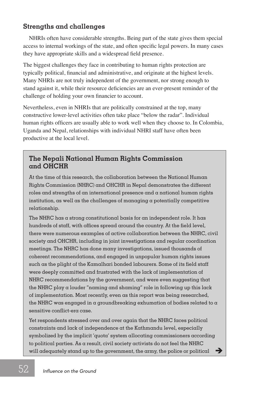#### **Strengths and challenges**

NHRIs often have considerable strengths. Being part of the state gives them special access to internal workings of the state, and often specific legal powers. In many cases they have appropriate skills and a widespread field presence.

The biggest challenges they face in contributing to human rights protection are typically political, financial and administrative, and originate at the highest levels. Many NHRIs are not truly independent of the government, nor strong enough to stand against it, while their resource deficiencies are an ever-present reminder of the challenge of holding your own financier to account.

Nevertheless, even in NHRIs that are politically constrained at the top, many constructive lower-level activities often take place "below the radar". Individual human rights officers are usually able to work well when they choose to. In Colombia, Uganda and Nepal, relationships with individual NHRI staff have often been productive at the local level.

#### **The Nepali National Human Rights Commission and OHCHR**

At the time of this research, the collaboration between the National Human Rights Commission (NHRC) and OHCHR in Nepal demonstrates the different roles and strengths of an international presence and a national human rights institution, as well as the challenges of managing a potentially competitive relationship.

The NHRC has a strong constitutional basis for an independent role. It has hundreds of staff, with offices spread around the country. At the field level, there were numerous examples of active collaboration between the NHRC, civil society and OHCHR, including in joint investigations and regular coordination meetings. The NHRC has done many investigations, issued thousands of coherent recommendations, and engaged in unpopular human rights issues such as the plight of the Kamalhari bonded labourers. Some of its field staff were deeply committed and frustrated with the lack of implementation of NHRC recommendations by the government, and were even suggesting that the NHRC play a louder "naming and shaming" role in following up this lack of implementation. Most recently, even as this report was being researched, the NHRC was engaged in a groundbreaking exhumation of bodies related to a sensitive conflict-era case.

Yet respondents stressed over and over again that the NHRC faces political constraints and lack of independence at the Kathmandu level, especially symbolized by the implicit 'quota' system allocating commissioners according to political parties. As a result, civil society activists do not feel the NHRC will adequately stand up to the government, the army, the police or political  $\Box$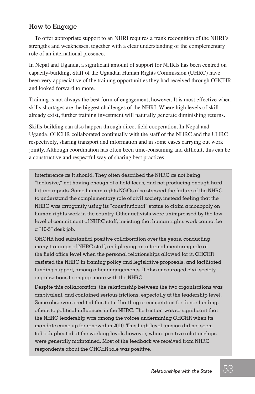#### **How to Engage**

To offer appropriate support to an NHRI requires a frank recognition of the NHRI's strengths and weaknesses, together with a clear understanding of the complementary role of an international presence.

In Nepal and Uganda, a significant amount of support for NHRIs has been centred on capacity-building. Staff of the Ugandan Human Rights Commission (UHRC) have been very appreciative of the training opportunities they had received through OHCHR and looked forward to more.

Training is not always the best form of engagement, however. It is most effective when skills shortages are the biggest challenges of the NHRI. Where high levels of skill already exist, further training investment will naturally generate diminishing returns.

Skills-building can also happen through direct field cooperation. In Nepal and Uganda, OHCHR collaborated continually with the staff of the NHRC and the UHRC respectively, sharing transport and information and in some cases carrying out work jointly. Although coordination has often been time-consuming and difficult, this can be a constructive and respectful way of sharing best practices.

interference as it should. They often described the NHRC as not being "inclusive," not having enough of a field focus, and not producing enough hardhitting reports. Some human rights NGOs also stressed the failure of the NHRC to understand the complementary role of civil society, instead feeling that the NHRC was arrogantly using its "constitutional" status to claim a monopoly on human rights work in the country. Other activists were unimpressed by the low level of commitment of NHRC staff, insisting that human rights work cannot be a "10-5" desk job.

OHCHR had substantial positive collaboration over the years, conducting many trainings of NHRC staff, and playing an informal mentoring role at the field office level when the personal relationships allowed for it. OHCHR assisted the NHRC in framing policy and legislative proposals, and facilitated funding support, among other engagements. It also encouraged civil society organizations to engage more with the NHRC.

Despite this collaboration, the relationship between the two organisations was ambivalent, and contained serious frictions, especially at the leadership level. Some observers credited this to turf battling or competition for donor funding, others to political influences in the NHRC. The friction was so significant that the NHRC leadership was among the voices undermining OHCHR when its mandate came up for renewal in 2010. This high-level tension did not seem to be duplicated at the working levels however, where positive relationships were generally maintained. Most of the feedback we received from NHRC respondents about the OHCHR role was positive.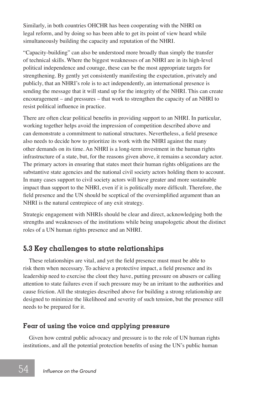Similarly, in both countries OHCHR has been cooperating with the NHRI on legal reform, and by doing so has been able to get its point of view heard while simultaneously building the capacity and reputation of the NHRI.

"Capacity-building" can also be understood more broadly than simply the transfer of technical skills. Where the biggest weaknesses of an NHRI are in its high-level political independence and courage, these can be the most appropriate targets for strengthening. By gently yet consistently manifesting the expectation, privately and publicly, that an NHRI's role is to act independently, an international presence is sending the message that it will stand up for the integrity of the NHRI. This can create encouragement – and pressures – that work to strengthen the capacity of an NHRI to resist political influence in practice.

There are often clear political benefits in providing support to an NHRI. In particular, working together helps avoid the impression of competition described above and can demonstrate a commitment to national structures. Nevertheless, a field presence also needs to decide how to prioritize its work with the NHRI against the many other demands on its time. An NHRI is a long-term investment in the human rights infrastructure of a state, but, for the reasons given above, it remains a secondary actor. The primary actors in ensuring that states meet their human rights obligations are the substantive state agencies and the national civil society actors holding them to account. In many cases support to civil society actors will have greater and more sustainable impact than support to the NHRI, even if it is politically more difficult. Therefore, the field presence and the UN should be sceptical of the oversimplified argument than an NHRI is the natural centrepiece of any exit strategy.

Strategic engagement with NHRIs should be clear and direct, acknowledging both the strengths and weaknesses of the institutions while being unapologetic about the distinct roles of a UN human rights presence and an NHRI.

# **5.3 Key challenges to state relationships**

These relationships are vital, and yet the field presence must must be able to risk them when necessary. To achieve a protective impact, a field presence and its leadership need to exercise the clout they have, putting pressure on abusers or calling attention to state failures even if such pressure may be an irritant to the authorities and cause friction. All the strategies described above for building a strong relationship are designed to minimize the likelihood and severity of such tension, but the presence still needs to be prepared for it.

#### **Fear of using the voice and applying pressure**

Given how central public advocacy and pressure is to the role of UN human rights institutions, and all the potential protection benefits of using the UN's public human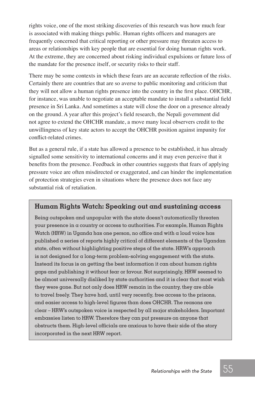rights voice, one of the most striking discoveries of this research was how much fear is associated with making things public. Human rights officers and managers are frequently concerned that critical reporting or other pressure may threaten access to areas or relationships with key people that are essential for doing human rights work. At the extreme, they are concerned about risking individual expulsions or future loss of the mandate for the presence itself, or security risks to their staff.

There may be some contexts in which these fears are an accurate reflection of the risks. Certainly there are countries that are so averse to public monitoring and criticism that they will not allow a human rights presence into the country in the first place. OHCHR, for instance, was unable to negotiate an acceptable mandate to install a substantial field presence in Sri Lanka. And sometimes a state will close the door on a presence already on the ground. A year after this project's field research, the Nepali government did not agree to extend the OHCHR mandate, a move many local observers credit to the unwillingness of key state actors to accept the OHCHR position against impunity for conflict-related crimes.

But as a general rule, if a state has allowed a presence to be established, it has already signalled some sensitivity to international concerns and it may even perceive that it benefits from the presence. Feedback in other countries suggests that fears of applying pressure voice are often misdirected or exaggerated, and can hinder the implementation of protection strategies even in situations where the presence does not face any substantial risk of retaliation.

#### **Human Rights Watch: Speaking out and sustaining access**

Being outspoken and unpopular with the state doesn't automatically threaten your presence in a country or access to authorities. For example, Human Rights Watch (HRW) in Uganda has one person, no office and with a loud voice has published  $\alpha$  series of reports highly critical of different elements of the Ugandan state, often without highlighting positive steps of the state. HRW's approach is not designed for a long-term problem-solving engagement with the state. Instead its focus is on getting the best information it can about human rights gaps and publishing it without fear or favour. Not surprisingly, HRW seemed to be almost universally disliked by state authorities and it is clear that most wish they were gone. But not only does HRW remain in the country, they are able to travel freely. They have had, until very recently, free access to the prisons, and easier access to high-level figures than does OHCHR. The reasons are clear – HRW's outspoken voice is respected by all major stakeholders. Important embassies listen to HRW. Therefore they can put pressure on anyone that obstructs them. High-level officials are anxious to have their side of the story incorporated in the next HRW report.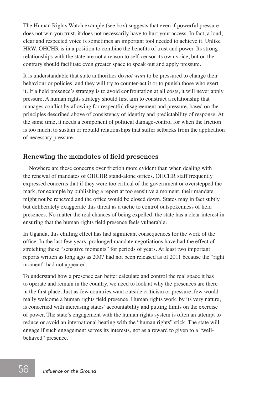The Human Rights Watch example (see box) suggests that even if powerful pressure does not win you trust, it does not necessarily have to hurt your access. In fact, a loud, clear and respected voice is sometimes an important tool needed to achieve it. Unlike HRW, OHCHR is in a position to combine the benefits of trust and power. Its strong relationships with the state are not a reason to self-censor its own voice, but on the contrary should facilitate even greater space to speak out and apply pressure.

It is understandable that state authorities do *not want* to be pressured to change their behaviour or policies, and they will try to counter-act it or to punish those who exert it. If a field presence's strategy is to avoid confrontation at all costs, it will never apply pressure. A human rights strategy should first aim to construct a relationship that manages conflict by allowing for respectful disagreement and pressure, based on the principles described above of consistency of identity and predictability of response. At the same time, it needs a component of political damage-control for when the friction is too much, to sustain or rebuild relationships that suffer setbacks from the application of necessary pressure.

#### **Renewing the mandates of field presences**

Nowhere are these concerns over friction more evident than when dealing with the renewal of mandates of OHCHR stand-alone offices. OHCHR staff frequently expressed concerns that if they were too critical of the government or overstepped the mark, for example by publishing a report at too sensitive a moment, their mandate might not be renewed and the office would be closed down. States may in fact subtly but deliberately exaggerate this threat as a tactic to control outspokenness of field presences. No matter the real chances of being expelled, the state has a clear interest in ensuring that the human rights field presence feels vulnerable.

In Uganda, this chilling effect has had significant consequences for the work of the office. In the last few years, prolonged mandate negotiations have had the effect of stretching these "sensitive moments" for periods of years. At least two important reports written as long ago as 2007 had not been released as of 2011 because the "right moment" had not appeared.

To understand how a presence can better calculate and control the real space it has to operate and remain in the country, we need to look at why the presences are there in the first place. Just as few countries want outside criticism or pressure, few would really welcome a human rights field presence. Human rights work, by its very nature, is concerned with increasing states' accountability and putting limits on the exercise of power. The state's engagement with the human rights system is often an attempt to reduce or avoid an international beating with the "human rights" stick. The state will engage if such engagement serves its interests, not as a reward to given to a "wellbehaved" presence.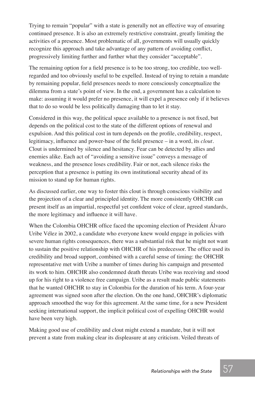Trying to remain "popular" with a state is generally not an effective way of ensuring continued presence. It is also an extremely restrictive constraint, greatly limiting the activities of a presence. Most problematic of all, governments will usually quickly recognize this approach and take advantage of any pattern of avoiding conflict, progressively limiting further and further what they consider "acceptable".

The remaining option for a field presence is to be too strong, too credible, too wellregarded and too obviously useful to be expelled. Instead of trying to retain a mandate by remaining popular, field presences needs to more consciously conceptualize the dilemma from a state's point of view. In the end, a government has a calculation to make: assuming it would prefer no presence, it will expel a presence only if it believes that to do so would be less politically damaging than to let it stay.

Considered in this way, the political space available to a presence is not fixed, but depends on the political cost to the state of the different options of renewal and expulsion. And this political cost in turn depends on the profile, credibility, respect, legitimacy, influence and power-base of the field presence – in a word, its *clout*. Clout is undermined by silence and hesitancy. Fear can be detected by allies and enemies alike. Each act of "avoiding a sensitive issue" conveys a message of weakness, and the presence loses credibility. Fair or not, each silence risks the perception that a presence is putting its own institutional security ahead of its mission to stand up for human rights.

As discussed earlier, one way to foster this clout is through conscious visibility and the projection of a clear and principled identity. The more consistently OHCHR can present itself as an impartial, respectful yet confident voice of clear, agreed standards, the more legitimacy and influence it will have.

When the Colombia OHCHR office faced the upcoming election of President Álvaro Uribe Vélez in 2002, a candidate who everyone knew would engage in policies with severe human rights consequences, there was a substantial risk that he might not want to sustain the positive relationship with OHCHR of his predecessor. The office used its credibility and broad support, combined with a careful sense of timing: the OHCHR representative met with Uribe a number of times during his campaign and presented its work to him. OHCHR also condemned death threats Uribe was receiving and stood up for his right to a violence free campaign. Uribe as a result made public statements that he wanted OHCHR to stay in Colombia for the duration of his term. A four-year agreement was signed soon after the election. On the one hand, OHCHR's diplomatic approach smoothed the way for this agreement. At the same time, for a new President seeking international support, the implicit political cost of expelling OHCHR would have been very high.

Making good use of credibility and clout might extend a mandate, but it will not prevent a state from making clear its displeasure at any criticism. Veiled threats of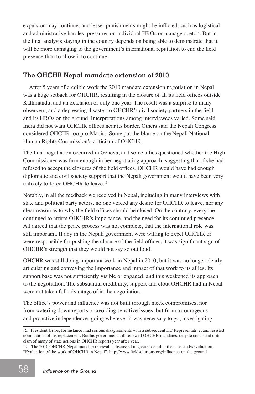expulsion may continue, and lesser punishments might be inflicted, such as logistical and administrative hassles, pressures on individual HROs or managers, etc<sup>12</sup>. But in the final analysis staying in the country depends on being able to demonstrate that it will be more damaging to the government's international reputation to end the field presence than to allow it to continue.

#### **The OHCHR Nepal mandate extension of 2010**

After 5 years of credible work the 2010 mandate extension negotiation in Nepal was a huge setback for OHCHR, resulting in the closure of all its field offices outside Kathmandu, and an extension of only one year. The result was a surprise to many observers, and a depressing disaster to OHCHR's civil society partners in the field and its HROs on the ground. Interpretations among interviewees varied. Some said India did not want OHCHR offices near its border. Others said the Nepali Congress considered OHCHR too pro-Maoist. Some put the blame on the Nepali National Human Rights Commission's criticism of OHCHR.

The final negotiation occurred in Geneva, and some allies questioned whether the High Commissioner was firm enough in her negotiating approach, suggesting that if she had refused to accept the closures of the field offices, OHCHR would have had enough diplomatic and civil society support that the Nepali government would have been very unlikely to force OHCHR to leave.<sup>13</sup>

Notably, in all the feedback we received in Nepal, including in many interviews with state and political party actors, no one voiced any desire for OHCHR to leave, nor any clear reason as to why the field offices should be closed. On the contrary, everyone continued to affirm OHCHR's importance, and the need for its continued presence. All agreed that the peace process was not complete, that the international role was still important. If any in the Nepali government were willing to expel OHCHR or were responsible for pushing the closure of the field offices, it was significant sign of OHCHR's strength that they would not say so out loud.

OHCHR was still doing important work in Nepal in 2010, but it was no longer clearly articulating and conveying the importance and impact of that work to its allies. Its support base was not sufficiently visible or engaged, and this weakened its approach to the negotiation. The substantial credibility, support and clout OHCHR had in Nepal were not taken full advantage of in the negotiation.

The office's power and influence was not built through meek compromises, nor from watering down reports or avoiding sensitive issues, but from a courageous and proactive independence: going wherever it was necessary to go, investigating

<sup>12</sup>*.* President Uribe, for instance, had serious disagreements with a subsequent HC Representative, and resisted nominations of his replacement. But his government still renewed OHCHR mandates, despite consistent criticism of many of state actions in OHCHR reports year after year.

<sup>13</sup>*.* The 2010 OHCHR-Nepal mandate renewal is discussed in greater detail in the case study/evaluation, "Evaluation of the work of OHCHR in Nepal", http://www.fieldsolutions.org/influence-on-the-ground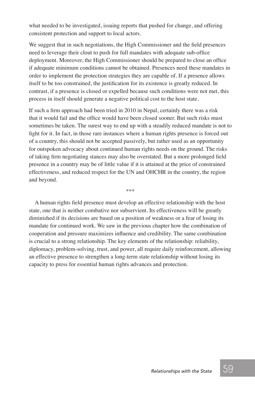what needed to be investigated, issuing reports that pushed for change, and offering consistent protection and support to local actors.

We suggest that in such negotiations, the High Commissioner and the field presences need to leverage their clout to push for full mandates with adequate sub-office deployment. Moreover, the High Commissioner should be prepared to close an office if adequate minimum conditions cannot be obtained. Presences need these mandates in order to implement the protection strategies they are capable of. If a presence allows itself to be too constrained, the justification for its existence is greatly reduced. In contrast, if a presence is closed or expelled because such conditions were not met, this process in itself should generate a negative political cost to the host state.

If such a firm approach had been tried in 2010 in Nepal, certainly there was a risk that it would fail and the office would have been closed sooner. But such risks must sometimes be taken. The surest way to end up with a steadily reduced mandate is not to fight for it. In fact, in those rare instances where a human rights presence is forced out of a country, this should not be accepted passively, but rather used as an opportunity for outspoken advocacy about continued human rights needs on the ground. The risks of taking firm negotiating stances may also be overstated. But a more prolonged field presence in a country may be of little value if it is attained at the price of constrained effectiveness, and reduced respect for the UN and OHCHR in the country, the region and beyond.

\*\*\*

A human rights field presence must develop an effective relationship with the host state, one that is neither combative nor subservient. Its effectiveness will be greatly diminished if its decisions are based on a position of weakness or a fear of losing its mandate for continued work. We saw in the previous chapter how the combination of cooperation and pressure maximizes influence and credibility. The same combination is crucial to a strong relationship. The key elements of the relationship: reliability, diplomacy, problem-solving, trust, and power, all require daily reinforcement, allowing an effective presence to strengthen a long-term state relationship without losing its capacity to press for essential human rights advances and protection.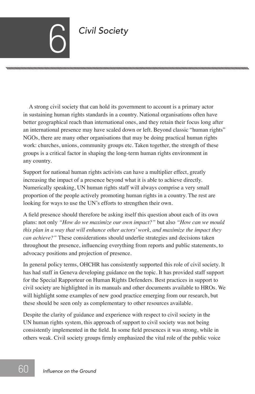# **Civil Society**

A strong civil society that can hold its government to account is a primary actor in sustaining human rights standards in a country. National organisations often have better geographical reach than international ones, and they retain their focus long after an international presence may have scaled down or left. Beyond classic "human rights" NGOs, there are many other organisations that may be doing practical human rights work: churches, unions, community groups etc. Taken together, the strength of these groups is a critical factor in shaping the long-term human rights environment in any country.

Support for national human rights activists can have a multiplier effect, greatly increasing the impact of a presence beyond what it is able to achieve directly. Numerically speaking, UN human rights staff will always comprise a very small proportion of the people actively promoting human rights in a country. The rest are looking for ways to use the UN's efforts to strengthen their own.

A field presence should therefore be asking itself this question about each of its own plans: not only *"How do we maximize our own impact?"* but also *"How can we mould this plan in a way that will enhance other actors' work, and maximize the impact they can achieve?"* These considerations should underlie strategies and decisions taken throughout the presence, influencing everything from reports and public statements, to advocacy positions and projection of presence.

In general policy terms, OHCHR has consistently supported this role of civil society. It has had staff in Geneva developing guidance on the topic. It has provided staff support for the Special Rapporteur on Human Rights Defenders. Best practices in support to civil society are highlighted in its manuals and other documents available to HROs. We will highlight some examples of new good practice emerging from our research, but these should be seen only as complementary to other resources available.

Despite the clarity of guidance and experience with respect to civil society in the UN human rights system, this approach of support to civil society was not being consistently implemented in the field. In some field presences it was strong, while in others weak. Civil society groups firmly emphasized the vital role of the public voice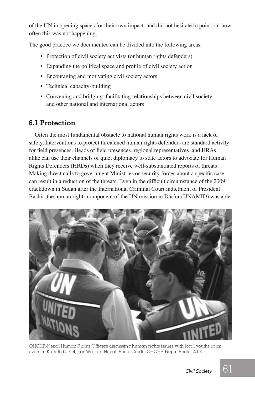of the UN in opening spaces for their own impact, and did not hesitate to point out how often this was not happening.

The good practice we documented can be divided into the following areas:

- Protection of civil society activists (or human rights defenders)
- Expanding the political space and profile of civil society action
- Encouraging and motivating civil society actors
- Technical capacity-building
- Convening and bridging: facilitating relationships between civil society and other national and international actors

#### **6.1 Protection**

Often the most fundamental obstacle to national human rights work is a lack of safety. Interventions to protect threatened human rights defenders are standard activity for field presences. Heads of field presences, regional representatives, and HRAs alike can use their channels of quiet diplomacy to state actors to advocate for Human Rights Defenders (HRDs) when they receive well-substantiated reports of threats. Making direct calls to government Ministries or security forces about a specific case can result in a reduction of the threats. Even in the difficult circumstance of the 2009 crackdown in Sudan after the International Criminal Court indictment of President Bashir, the human rights component of the UN mission in Darfur (UNAMID) was able



OHCHR-Nepal Human Rights Officers discussing human rights issues with local youths at an event in Kailali district, Far-Western Nepal. Photo Credit: OHCHR-Nepal Photo, 2008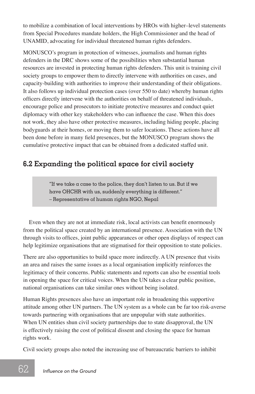to mobilize a combination of local interventions by HROs with higher–level statements from Special Procedures mandate holders, the High Commissioner and the head of UNAMID, advocating for individual threatened human rights defenders.

MONUSCO's program in protection of witnesses, journalists and human rights defenders in the DRC shows some of the possibilities when substantial human resources are invested in protecting human rights defenders. This unit is training civil society groups to empower them to directly intervene with authorities on cases, and capacity-building with authorities to improve their understanding of their obligations. It also follows up individual protection cases (over 550 to date) whereby human rights officers directly intervene with the authorities on behalf of threatened individuals, encourage police and prosecutors to initiate protective measures and conduct quiet diplomacy with other key stakeholders who can influence the case. When this does not work, they also have other protective measures, including hiding people, placing bodyguards at their homes, or moving them to safer locations. These actions have all been done before in many field presences, but the MONUSCO program shows the cumulative protective impact that can be obtained from a dedicated staffed unit.

# **6.2 Expanding the political space for civil society**

"If we take a case to the police, they don't listen to us. But if we have OHCHR with us, suddenly everything is different." – Representative of human rights NGO, Nepal

Even when they are not at immediate risk, local activists can benefit enormously from the political space created by an international presence. Association with the UN through visits to offices, joint public appearances or other open displays of respect can help legitimize organisations that are stigmatised for their opposition to state policies.

There are also opportunities to build space more indirectly. A UN presence that visits an area and raises the same issues as a local organisation implicitly reinforces the legitimacy of their concerns. Public statements and reports can also be essential tools in opening the space for critical voices. When the UN takes a clear public position, national organisations can take similar ones without being isolated.

Human Rights presences also have an important role in broadening this supportive attitude among other UN partners. The UN system as a whole can be far too risk-averse towards partnering with organisations that are unpopular with state authorities. When UN entities shun civil society partnerships due to state disapproval, the UN is effectively raising the cost of political dissent and closing the space for human rights work.

Civil society groups also noted the increasing use of bureaucratic barriers to inhibit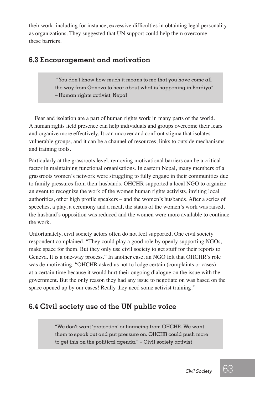their work, including for instance, excessive difficulties in obtaining legal personality as organizations. They suggested that UN support could help them overcome these barriers.

#### **6.3 Encouragement and motivation**

 "You don't know how much it means to me that you have come all the way from Geneva to hear about what is happening in Bardiya" – Human rights activist, Nepal

Fear and isolation are a part of human rights work in many parts of the world. A human rights field presence can help individuals and groups overcome their fears and organize more effectively. It can uncover and confront stigma that isolates vulnerable groups, and it can be a channel of resources, links to outside mechanisms and training tools.

Particularly at the grassroots level, removing motivational barriers can be a critical factor in maintaining functional organisations. In eastern Nepal, many members of a grassroots women's network were struggling to fully engage in their communities due to family pressures from their husbands. OHCHR supported a local NGO to organize an event to recognize the work of the women human rights activists, inviting local authorities, other high profile speakers – and the women's husbands. After a series of speeches, a play, a ceremony and a meal, the status of the women's work was raised, the husband's opposition was reduced and the women were more available to continue the work.

Unfortunately, civil society actors often do not feel supported. One civil society respondent complained, "They could play a good role by openly supporting NGOs, make space for them. But they only use civil society to get stuff for their reports to Geneva. It is a one-way process." In another case, an NGO felt that OHCHR's role was de-motivating. "OHCHR asked us not to lodge certain (complaints or cases) at a certain time because it would hurt their ongoing dialogue on the issue with the government. But the only reason they had any issue to negotiate on was based on the space opened up by our cases! Really they need some activist training!"

### **6.4 Civil society use of the UN public voice**

"We don't want 'protection' or financing from OHCHR. We want them to speak out and put pressure on. OHCHR could push more to get this on the political agenda." – Civil society activist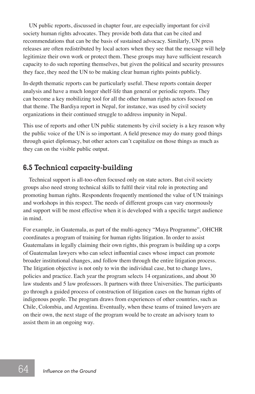UN public reports, discussed in chapter four, are especially important for civil society human rights advocates. They provide both data that can be cited and recommendations that can be the basis of sustained advocacy. Similarly, UN press releases are often redistributed by local actors when they see that the message will help legitimize their own work or protect them. These groups may have sufficient research capacity to do such reporting themselves, but given the political and security pressures they face, they need the UN to be making clear human rights points publicly.

In-depth thematic reports can be particularly useful. These reports contain deeper analysis and have a much longer shelf-life than general or periodic reports. They can become a key mobilizing tool for all the other human rights actors focused on that theme. The Bardiya report in Nepal, for instance, was used by civil society organizations in their continued struggle to address impunity in Nepal.

This use of reports and other UN public statements by civil society is a key reason why the public voice of the UN is so important. A field presence may do many good things through quiet diplomacy, but other actors can't capitalize on those things as much as they can on the visible public output.

#### **6.5 Technical capacity-building**

Technical support is all-too-often focused only on state actors. But civil society groups also need strong technical skills to fulfil their vital role in protecting and promoting human rights. Respondents frequently mentioned the value of UN trainings and workshops in this respect. The needs of different groups can vary enormously and support will be most effective when it is developed with a specific target audience in mind.

For example, in Guatemala, as part of the multi-agency "Maya Programme", OHCHR coordinates a program of training for human rights litigation. In order to assist Guatemalans in legally claiming their own rights, this program is building up a corps of Guatemalan lawyers who can select influential cases whose impact can promote broader institutional changes, and follow them through the entire litigation process. The litigation objective is not only to win the individual case, but to change laws, policies and practice. Each year the program selects 14 organizations, and about 30 law students and 5 law professors. It partners with three Universities. The participants go through a guided process of construction of litigation cases on the human rights of indigenous people. The program draws from experiences of other countries, such as Chile, Colombia, and Argentina. Eventually, when these teams of trained lawyers are on their own, the next stage of the program would be to create an advisory team to assist them in an ongoing way.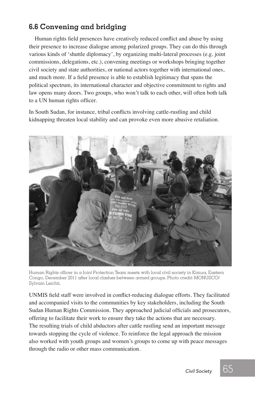### **6.6 Convening and bridging**

Human rights field presences have creatively reduced conflict and abuse by using their presence to increase dialogue among polarized groups. They can do this through various kinds of 'shuttle diplomacy', by organizing multi-lateral processes (e.g. joint commissions, delegations, etc.), convening meetings or workshops bringing together civil society and state authorities, or national actors together with international ones, and much more. If a field presence is able to establish legitimacy that spans the political spectrum, its international character and objective commitment to rights and law opens many doors. Two groups, who won't talk to each other, will often both talk to a UN human rights officer.

In South Sudan, for instance, tribal conflicts involving cattle-rustling and child kidnapping threaten local stability and can provoke even more abusive retaliation.



Human Rights officer in a Joint Protection Team meets with local civil society in Kimua, Eastern Congo, December 2011 after local clashes between armed groups. Photo credit: mONUsCO/ sylvain Leichti.

UNMIS field staff were involved in conflict-reducing dialogue efforts. They facilitated and accompanied visits to the communities by key stakeholders, including the South Sudan Human Rights Commission. They approached judicial officials and prosecutors, offering to facilitate their work to ensure they take the actions that are necessary. The resulting trials of child abductors after cattle rustling send an important message towards stopping the cycle of violence. To reinforce the legal approach the mission also worked with youth groups and women's groups to come up with peace messages through the radio or other mass communication.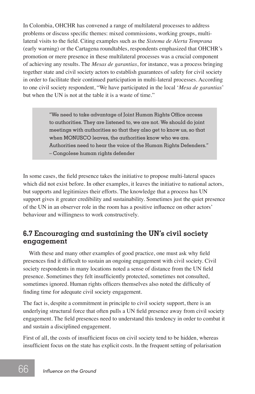In Colombia, OHCHR has convened a range of multilateral processes to address problems or discuss specific themes: mixed commissions, working groups, multilateral visits to the field. Citing examples such as the *Sistema de Alerta Temprana* (early warning) or the Cartagena roundtables, respondents emphasized that OHCHR's promotion or mere presence in these multilateral processes was a crucial component of achieving any results. The *Mesas de garantias*, for instance, was a process bringing together state and civil society actors to establish guarantees of safety for civil society in order to facilitate their continued participation in multi-lateral processes. According to one civil society respondent, "We have participated in the local '*Mesa de garantias*' but when the UN is not at the table it is a waste of time."

> "We need to take advantage of Joint Human Rights Office access to authorities. They are listened to, we are not. We should do joint meetings with authorities so that they also get to know us, so that when MONUSCO leaves, the authorities know who we are. Authorities need to hear the voice of the Human Rights Defenders." – Congolese human rights defender

In some cases, the field presence takes the initiative to propose multi-lateral spaces which did not exist before. In other examples, it leaves the initiative to national actors, but supports and legitimizes their efforts. The knowledge that a process has UN support gives it greater credibility and sustainability. Sometimes just the quiet presence of the UN in an observer role in the room has a positive influence on other actors' behaviour and willingness to work constructively.

#### **6.7 Encouraging and sustaining the UN's civil society engagement**

With these and many other examples of good practice, one must ask why field presences find it difficult to sustain an ongoing engagement with civil society. Civil society respondents in many locations noted a sense of distance from the UN field presence. Sometimes they felt insufficiently protected, sometimes not consulted, sometimes ignored. Human rights officers themselves also noted the difficulty of finding time for adequate civil society engagement.

The fact is, despite a commitment in principle to civil society support, there is an underlying structural force that often pulls a UN field presence away from civil society engagement. The field presences need to understand this tendency in order to combat it and sustain a disciplined engagement.

First of all, the costs of insufficient focus on civil society tend to be hidden, whereas insufficient focus on the state has explicit costs. In the frequent setting of polarisation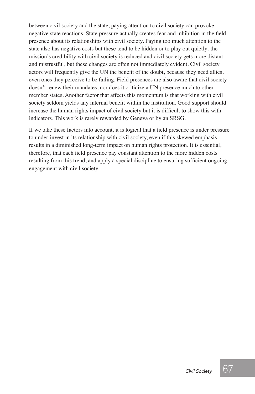between civil society and the state, paying attention to civil society can provoke negative state reactions. State pressure actually creates fear and inhibition in the field presence about its relationships with civil society. Paying too much attention to the state also has negative costs but these tend to be hidden or to play out quietly: the mission's credibility with civil society is reduced and civil society gets more distant and mistrustful, but these changes are often not immediately evident. Civil society actors will frequently give the UN the benefit of the doubt, because they need allies, even ones they perceive to be failing. Field presences are also aware that civil society doesn't renew their mandates, nor does it criticize a UN presence much to other member states. Another factor that affects this momentum is that working with civil society seldom yields any internal benefit within the institution. Good support should increase the human rights impact of civil society but it is difficult to show this with indicators. This work is rarely rewarded by Geneva or by an SRSG.

If we take these factors into account, it is logical that a field presence is under pressure to under-invest in its relationship with civil society, even if this skewed emphasis results in a diminished long-term impact on human rights protection. It is essential, therefore, that each field presence pay constant attention to the more hidden costs resulting from this trend, and apply a special discipline to ensuring sufficient ongoing engagement with civil society.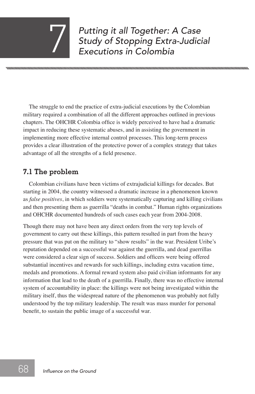# *Putting it all Together: A Case Study of Stopping Extra-Judicial* 7 *Executions in Colombia*

nnmmmmmmn

The struggle to end the practice of extra-judicial executions by the Colombian military required a combination of all the different approaches outlined in previous chapters. The OHCHR Colombia office is widely perceived to have had a dramatic impact in reducing these systematic abuses, and in assisting the government in implementing more effective internal control processes. This long-term process provides a clear illustration of the protective power of a complex strategy that takes advantage of all the strengths of a field presence.

### **7.1 The problem**

Colombian civilians have been victims of extrajudicial killings for decades. But starting in 2004, the country witnessed a dramatic increase in a phenomenon known as *false positives*, in which soldiers were systematically capturing and killing civilians and then presenting them as guerrilla "deaths in combat." Human rights organizations and OHCHR documented hundreds of such cases each year from 2004-2008.

Though there may not have been any direct orders from the very top levels of government to carry out these killings, this pattern resulted in part from the heavy pressure that was put on the military to "show results" in the war. President Uribe's reputation depended on a successful war against the guerrilla, and dead guerrillas were considered a clear sign of success. Soldiers and officers were being offered substantial incentives and rewards for such killings, including extra vacation time, medals and promotions. A formal reward system also paid civilian informants for any information that lead to the death of a guerrilla. Finally, there was no effective internal system of accountability in place: the killings were not being investigated within the military itself, thus the widespread nature of the phenomenon was probably not fully understood by the top military leadership. The result was mass murder for personal benefit, to sustain the public image of a successful war.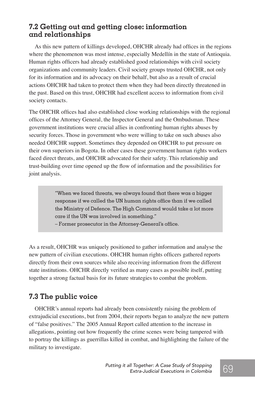#### **7.2 Getting out and getting close: information and relationships**

As this new pattern of killings developed, OHCHR already had offices in the regions where the phenomenon was most intense, especially Medellín in the state of Antioquia. Human rights officers had already established good relationships with civil society organizations and community leaders. Civil society groups trusted OHCHR, not only for its information and its advocacy on their behalf, but also as a result of crucial actions OHCHR had taken to protect them when they had been directly threatened in the past. Based on this trust, OHCHR had excellent access to information from civil society contacts.

The OHCHR offices had also established close working relationships with the regional offices of the Attorney General, the Inspector General and the Ombudsman. These government institutions were crucial allies in confronting human rights abuses by security forces. Those in government who were willing to take on such abuses also needed OHCHR support. Sometimes they depended on OHCHR to put pressure on their own superiors in Bogota. In other cases these government human rights workers faced direct threats, and OHCHR advocated for their safety. This relationship and trust-building over time opened up the flow of information and the possibilities for joint analysis.

> "When we faced threats, we always found that there was a bigger response if we called the UN human rights office than if we called the Ministry of Defence. The High Command would take  $\alpha$  lot more care if the UN was involved in something."

– Former prosecutor in the Attorney-General's office.

As a result, OHCHR was uniquely positioned to gather information and analyse the new pattern of civilian executions. OHCHR human rights officers gathered reports directly from their own sources while also receiving information from the different state institutions. OHCHR directly verified as many cases as possible itself, putting together a strong factual basis for its future strategies to combat the problem.

#### **7.3 The public voice**

OHCHR's annual reports had already been consistently raising the problem of extrajudicial executions, but from 2004, their reports began to analyze the new pattern of "false positives." The 2005 Annual Report called attention to the increase in allegations, pointing out how frequently the crime scenes were being tampered with to portray the killings as guerrillas killed in combat, and highlighting the failure of the military to investigate.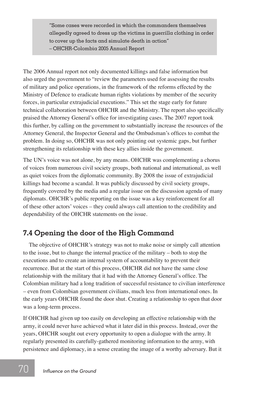"Some cases were recorded in which the commanders themselves allegedly agreed to dress up the victims in guerrilla clothing in order to cover up the facts and simulate death in action" – OHCHR-Colombia 2005 Annual Report

The 2006 Annual report not only documented killings and false information but also urged the government to "review the parameters used for assessing the results of military and police operations, in the framework of the reforms effected by the Ministry of Defence to eradicate human rights violations by member of the security forces, in particular extrajudicial executions." This set the stage early for future technical collaboration between OHCHR and the Ministry. The report also specifically praised the Attorney General's office for investigating cases. The 2007 report took this further, by calling on the government to substantially increase the resources of the Attorney General, the Inspector General and the Ombudsman's offices to combat the problem. In doing so, OHCHR was not only pointing out systemic gaps, but further strengthening its relationship with these key allies inside the government.

The UN's voice was not alone, by any means. OHCHR was complementing a chorus of voices from numerous civil society groups, both national and international, as well as quiet voices from the diplomatic community. By 2008 the issue of extrajudicial killings had become a scandal. It was publicly discussed by civil society groups, frequently covered by the media and a regular issue on the discussion agenda of many diplomats. OHCHR's public reporting on the issue was a key reinforcement for all of these other actors' voices – they could always call attention to the credibility and dependability of the OHCHR statements on the issue.

#### **7.4 Opening the door of the High Command**

The objective of OHCHR's strategy was not to make noise or simply call attention to the issue, but to change the internal practice of the military – both to stop the executions and to create an internal system of accountability to prevent their recurrence. But at the start of this process, OHCHR did not have the same close relationship with the military that it had with the Attorney General's office. The Colombian military had a long tradition of successful resistance to civilian interference – even from Colombian government civilians, much less from international ones. In the early years OHCHR found the door shut. Creating a relationship to open that door was a long-term process.

If OHCHR had given up too easily on developing an effective relationship with the army, it could never have achieved what it later did in this process. Instead, over the years, OHCHR sought out every opportunity to open a dialogue with the army. It regularly presented its carefully-gathered monitoring information to the army, with persistence and diplomacy, in a sense creating the image of a worthy adversary. But it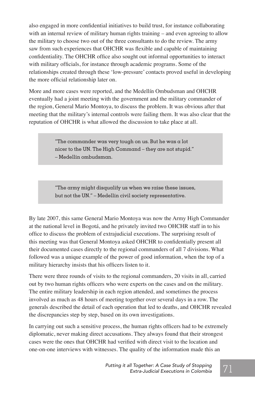also engaged in more confidential initiatives to build trust, for instance collaborating with an internal review of military human rights training – and even agreeing to allow the military to choose two out of the three consultants to do the review. The army saw from such experiences that OHCHR was flexible and capable of maintaining confidentiality. The OHCHR office also sought out informal opportunities to interact with military officials, for instance through academic programs. Some of the relationships created through these 'low-pressure' contacts proved useful in developing the more official relationship later on.

More and more cases were reported, and the Medellín Ombudsman and OHCHR eventually had a joint meeting with the government and the military commander of the region, General Mario Montoya, to discuss the problem. It was obvious after that meeting that the military's internal controls were failing them. It was also clear that the reputation of OHCHR is what allowed the discussion to take place at all.

> "The commander was very tough on us. But he was a lot nicer to the UN. The High Command – they are not stupid." – Medellín ombudsman.

> "The army might disqualify us when we raise these issues, but not the UN." – Medellín civil society representative.

By late 2007, this same General Mario Montoya was now the Army High Commander at the national level in Bogotá, and he privately invited two OHCHR staff in to his office to discuss the problem of extrajudicial executions. The surprising result of this meeting was that General Montoya asked OHCHR to confidentially present all their documented cases directly to the regional commanders of all 7 divisions. What followed was a unique example of the power of good information, when the top of a military hierarchy insists that his officers listen to it.

There were three rounds of visits to the regional commanders, 20 visits in all, carried out by two human rights officers who were experts on the cases and on the military. The entire military leadership in each region attended, and sometimes the process involved as much as 48 hours of meeting together over several days in a row. The generals described the detail of each operation that led to deaths, and OHCHR revealed the discrepancies step by step, based on its own investigations.

In carrying out such a sensitive process, the human rights officers had to be extremely diplomatic, never making direct accusations. They always found that their strongest cases were the ones that OHCHR had verified with direct visit to the location and one-on-one interviews with witnesses. The quality of the information made this an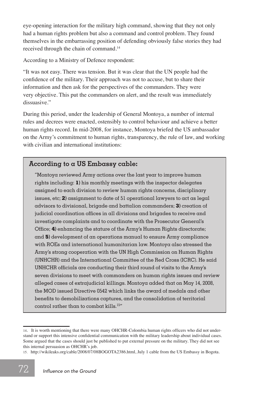eye-opening interaction for the military high command, showing that they not only had a human rights problem but also a command and control problem. They found themselves in the embarrassing position of defending obviously false stories they had received through the chain of command.14

According to a Ministry of Defence respondent:

"It was not easy. There was tension. But it was clear that the UN people had the confidence of the military. Their approach was not to accuse, but to share their information and then ask for the perspectives of the commanders. They were very objective. This put the commanders on alert, and the result was immediately dissuasive."

During this period, under the leadership of General Montoya, a number of internal rules and decrees were enacted, ostensibly to control behaviour and achieve a better human rights record. In mid-2008, for instance, Montoya briefed the US ambassador on the Army's commitment to human rights, transparency, the rule of law, and working with civilian and international institutions:

#### **According to a US Embassy cable:**

"Montoya reviewed Army actions over the last year to improve human rights including: **1)** his monthly meetings with the inspector delegates assigned to each division to review human rights concerns, disciplinary issues, etc; **2)** assignment to date of 51 operational lawyers to act as legal advisors to divisional, brigade and battalion commanders; **3)** creation of judicial coordination offices in all divisions and brigades to receive and investigate complaints and to coordinate with the Prosecutor General's Office; **4)** enhancing the stature of the Army's Human Rights directorate; and **5)** development of an operations manual to ensure Army compliance with ROEs and international humanitarian law. Montoya also stressed the Army's strong cooperation with the UN High Commission on Human Rights (UNHCHR) and the International Committee of the Red Cross (ICRC). He said UNHCHR officials are conducting their third round of visits to the Army's seven divisions to meet with commanders on human rights issues and review alleged cases of extrajudicial killings. Montoya added that on May 14, 2008, the MOD issued Directive 0542 which links the award of medals and other benefits to demobilizations captures, and the consolidation of territorial control rather than to combat kills.<sup>15</sup>"

<sup>14</sup>*.* It is worth mentioning that there were many OHCHR-Colombia human rights officers who did not understand or support this intensive confidential communication with the military leadership about individual cases. Some argued that the cases should just be published to put external pressure on the military. They did not see this internal persuasion as OHCHR's job.

<sup>15</sup>*.* http://wikileaks.org/cable/2008/07/08BOGOTA2386.html, July 1 cable from the US Embassy in Bogota.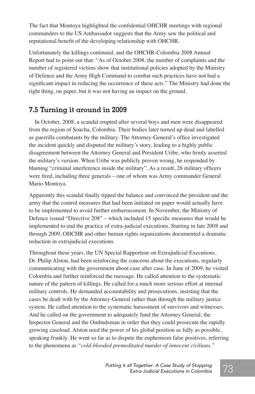The fact that Montoya highlighted the confidential OHCHR meetings with regional commanders to the US Ambassador suggests that the Army saw the political and reputational benefit of the developing relationship with OHCHR.

Unfortunately the killings continued, and the OHCHR-Colombia 2008 Annual Report had to point out that: "As of October 2008, the number of complaints and the number of registered victims show that institutional policies adopted by the Ministry of Defence and the Army High Command to combat such practices have not had a significant impact in reducing the occurrence of these acts." The Ministry had done the right thing, on paper, but it was not having an impact on the ground.

#### **7.5 Turning it around in 2009**

In October, 2008, a scandal erupted after several boys and men were disappeared from the region of Soacha, Colombia. Their bodies later turned up dead and labelled as guerrilla combatants by the military. The Attorney-General's office investigated the incident quickly and disputed the military's story, leading to a highly public disagreement between the Attorney General and President Uribe, who firmly asserted the military's version. When Uribe was publicly proven wrong, he responded by blaming "criminal interference inside the military". As a result, 28 military officers were fired, including three generals – one of whom was Army commander General Mario Montoya.

Apparently this scandal finally tipped the balance and convinced the president and the army that the control measures that had been initiated on paper would actually have to be implemented to avoid further embarrassment. In November, the Ministry of Defence issued "Directive 208" – which included 15 specific measures that would be implemented to end the practice of extra-judicial executions. Starting in late 2008 and through 2009, OHCHR and other human rights organizations documented a dramatic reduction in extrajudicial executions.

Throughout these years, the UN Special Rapporteur on Extrajudicial Executions, Dr. Philip Alston, had been reinforcing the concerns about the executions, regularly communicating with the government about case after case. In June of 2009, he visited Colombia and further reinforced the message. He called attention to the systematic nature of the pattern of killings. He called for a much more serious effort at internal military controls. He demanded accountability and prosecutions, insisting that the cases be dealt with by the Attorney-General rather than through the military justice system. He called attention to the systematic harassment of survivors and witnesses. And he called on the government to adequately fund the Attorney General, the Inspector General and the Ombudsman in order that they could prosecute the rapidly growing caseload. Alston used the power of his global position as fully as possible, speaking frankly. He went so far as to dispute the euphemism false positives, referring to the phenomena as *"cold-blooded premeditated murder of innocent civilians."*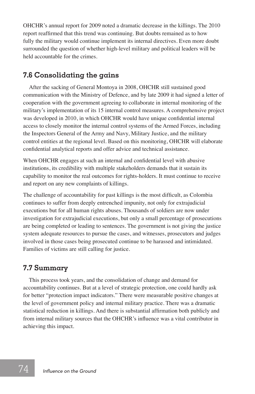OHCHR's annual report for 2009 noted a dramatic decrease in the killings. The 2010 report reaffirmed that this trend was continuing. But doubts remained as to how fully the military would continue implement its internal directives. Even more doubt surrounded the question of whether high-level military and political leaders will be held accountable for the crimes.

#### **7.6 Consolidating the gains**

After the sacking of General Montoya in 2008, OHCHR still sustained good communication with the Ministry of Defence, and by late 2009 it had signed a letter of cooperation with the government agreeing to collaborate in internal monitoring of the military's implementation of its 15 internal control measures. A comprehensive project was developed in 2010, in which OHCHR would have unique confidential internal access to closely monitor the internal control systems of the Armed Forces, including the Inspectors General of the Army and Navy, Military Justice, and the military control entities at the regional level. Based on this monitoring, OHCHR will elaborate confidential analytical reports and offer advice and technical assistance.

When OHCHR engages at such an internal and confidential level with abusive institutions, its credibility with multiple stakeholders demands that it sustain its capability to monitor the real outcomes for rights-holders. It must continue to receive and report on any new complaints of killings.

The challenge of accountability for past killings is the most difficult, as Colombia continues to suffer from deeply entrenched impunity, not only for extrajudicial executions but for all human rights abuses. Thousands of soldiers are now under investigation for extrajudicial executions, but only a small percentage of prosecutions are being completed or leading to sentences. The government is not giving the justice system adequate resources to pursue the cases, and witnesses, prosecutors and judges involved in those cases being prosecuted continue to be harassed and intimidated. Families of victims are still calling for justice.

#### **7.7 Summary**

This process took years, and the consolidation of change and demand for accountability continues. But at a level of strategic protection, one could hardly ask for better "protection impact indicators." There were measurable positive changes at the level of government policy and internal military practice. There was a dramatic statistical reduction in killings. And there is substantial affirmation both publicly and from internal military sources that the OHCHR's influence was a vital contributor in achieving this impact.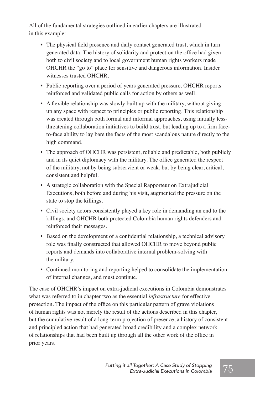All of the fundamental strategies outlined in earlier chapters are illustrated in this example:

- The physical field presence and daily contact generated trust, which in turn generated data. The history of solidarity and protection the office had given both to civil society and to local government human rights workers made OHCHR the "go to" place for sensitive and dangerous information. Insider witnesses trusted OHCHR.
- Public reporting over a period of years generated pressure. OHCHR reports reinforced and validated public calls for action by others as well.
- A flexible relationship was slowly built up with the military, without giving up any space with respect to principles or public reporting. This relationship was created through both formal and informal approaches, using initially lessthreatening collaboration initiatives to build trust, but leading up to a firm faceto-face ability to lay bare the facts of the most scandalous nature directly to the high command.
- The approach of OHCHR was persistent, reliable and predictable, both publicly and in its quiet diplomacy with the military. The office generated the respect of the military, not by being subservient or weak, but by being clear, critical, consistent and helpful.
- A strategic collaboration with the Special Rapporteur on Extrajudicial Executions, both before and during his visit, augmented the pressure on the state to stop the killings.
- Civil society actors consistently played a key role in demanding an end to the killings, and OHCHR both protected Colombia human rights defenders and reinforced their messages.
- Based on the development of a confidential relationship, a technical advisory role was finally constructed that allowed OHCHR to move beyond public reports and demands into collaborative internal problem-solving with the military.
- Continued monitoring and reporting helped to consolidate the implementation of internal changes, and must continue.

The case of OHCHR's impact on extra-judicial executions in Colombia demonstrates what was referred to in chapter two as the essential *infrastructure* for effective protection. The impact of the office on this particular pattern of grave violations of human rights was not merely the result of the actions described in this chapter, but the cumulative result of a long-term projection of presence, a history of consistent and principled action that had generated broad credibility and a complex network of relationships that had been built up through all the other work of the office in prior years.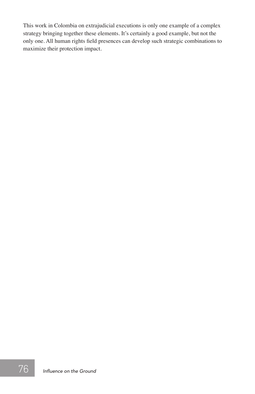This work in Colombia on extrajudicial executions is only one example of a complex strategy bringing together these elements. It's certainly a good example, but not the only one. All human rights field presences can develop such strategic combinations to maximize their protection impact.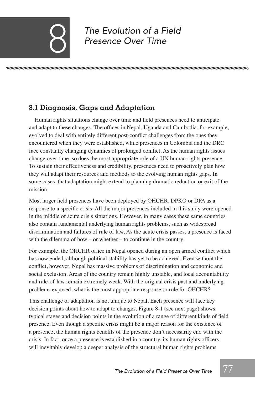*The Evolution of a Field* 8 *Presence Over Time*

### **8.1 Diagnosis, Gaps and Adaptation**

Human rights situations change over time and field presences need to anticipate and adapt to these changes. The offices in Nepal, Uganda and Cambodia, for example, evolved to deal with entirely different post-conflict challenges from the ones they encountered when they were established, while presences in Colombia and the DRC face constantly changing dynamics of prolonged conflict. As the human rights issues change over time, so does the most appropriate role of a UN human rights presence. To sustain their effectiveness and credibility, presences need to proactively plan how they will adapt their resources and methods to the evolving human rights gaps. In some cases, that adaptation might extend to planning dramatic reduction or exit of the mission.

Most larger field presences have been deployed by OHCHR, DPKO or DPA as a response to a specific crisis. All the major presences included in this study were opened in the middle of acute crisis situations. However, in many cases these same countries also contain fundamental underlying human rights problems, such as widespread discrimination and failures of rule of law. As the acute crisis passes, a presence is faced with the dilemma of how – or whether – to continue in the country.

For example, the OHCHR office in Nepal opened during an open armed conflict which has now ended, although political stability has yet to be achieved. Even without the conflict, however, Nepal has massive problems of discrimination and economic and social exclusion. Areas of the country remain highly unstable, and local accountability and rule-of-law remain extremely weak. With the original crisis past and underlying problems exposed, what is the most appropriate response or role for OHCHR?

This challenge of adaptation is not unique to Nepal. Each presence will face key decision points about how to adapt to changes. Figure 8-1 (see next page) shows typical stages and decision points in the evolution of a range of different kinds of field presence. Even though a specific crisis might be a major reason for the existence of a presence, the human rights benefits of the presence don't necessarily end with the crisis. In fact, once a presence is established in a country, its human rights officers will inevitably develop a deeper analysis of the structural human rights problems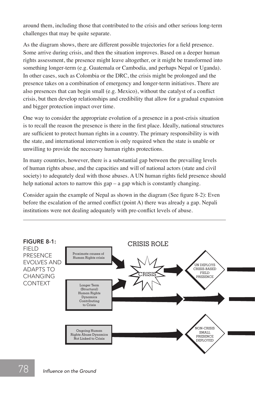around them, including those that contributed to the crisis and other serious long-term challenges that may be quite separate.

As the diagram shows, there are different possible trajectories for a field presence. Some arrive during crisis, and then the situation improves. Based on a deeper human rights assessment, the presence might leave altogether, or it might be transformed into something longer-term (e.g. Guatemala or Cambodia, and perhaps Nepal or Uganda). In other cases, such as Colombia or the DRC, the crisis might be prolonged and the presence takes on a combination of emergency and longer-term initiatives. There are also presences that can begin small (e.g. Mexico), without the catalyst of a conflict crisis, but then develop relationships and credibility that allow for a gradual expansion and bigger protection impact over time.

One way to consider the appropriate evolution of a presence in a post-crisis situation is to recall the reason the presence is there in the first place. Ideally, national structures are sufficient to protect human rights in a country. The primary responsibility is with the state, and international intervention is only required when the state is unable or unwilling to provide the necessary human rights protections.

In many countries, however, there is a substantial gap between the prevailing levels of human rights abuse, and the capacities and will of national actors (state and civil society) to adequately deal with those abuses. A UN human rights field presence should help national actors to narrow this gap – a gap which is constantly changing.

Consider again the example of Nepal as shown in the diagram (See figure 8-2): Even before the escalation of the armed conflict (point A) there was already a gap. Nepali institutions were not dealing adequately with pre-conflict levels of abuse. FIGURE 8-1: FIELD PRESENCE EVOLVES

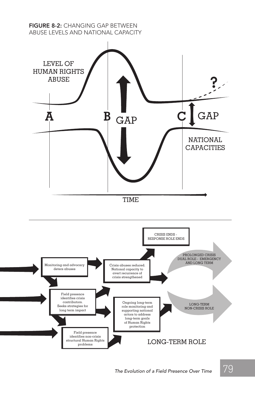#### FIGURE 8-2: CHANGING GAP BETWEEN ABUSE LEVELS AND NATIONAL CAPACITY

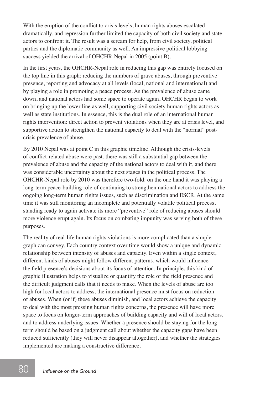With the eruption of the conflict to crisis levels, human rights abuses escalated dramatically, and repression further limited the capacity of both civil society and state actors to confront it. The result was a scream for help, from civil society, political parties and the diplomatic community as well. An impressive political lobbying success yielded the arrival of OHCHR-Nepal in 2005 (point B).

In the first years, the OHCHR-Nepal role in reducing this gap was entirely focused on the top line in this graph: reducing the numbers of grave abuses, through preventive presence, reporting and advocacy at all levels (local, national and international) and by playing a role in promoting a peace process. As the prevalence of abuse came down, and national actors had some space to operate again, OHCHR began to work on bringing up the lower line as well, supporting civil society human rights actors as well as state institutions. In essence, this is the dual role of an international human rights intervention: direct action to prevent violations when they are at crisis level, and supportive action to strengthen the national capacity to deal with the "normal" postcrisis prevalence of abuse.

By 2010 Nepal was at point C in this graphic timeline. Although the crisis-levels of conflict-related abuse were past, there was still a substantial gap between the prevalence of abuse and the capacity of the national actors to deal with it, and there was considerable uncertainty about the next stages in the political process. The OHCHR-Nepal role by 2010 was therefore two-fold: on the one hand it was playing a long-term peace-building role of continuing to strengthen national actors to address the ongoing long-term human rights issues, such as discrimination and ESCR. At the same time it was still monitoring an incomplete and potentially volatile political process, standing ready to again activate its more "preventive" role of reducing abuses should more violence erupt again. Its focus on combating impunity was serving both of these purposes.

The reality of real-life human rights violations is more complicated than a simple graph can convey. Each country context over time would show a unique and dynamic relationship between intensity of abuses and capacity. Even within a single context, different kinds of abuses might follow different patterns, which would influence the field presence's decisions about its focus of attention. In principle, this kind of graphic illustration helps to visualize or quantify the role of the field presence and the difficult judgment calls that it needs to make. When the levels of abuse are too high for local actors to address, the international presence must focus on reduction of abuses. When (or if) these abuses diminish, and local actors achieve the capacity to deal with the most pressing human rights concerns, the presence will have more space to focus on longer-term approaches of building capacity and will of local actors, and to address underlying issues. Whether a presence should be staying for the longterm should be based on a judgment call about whether the capacity gaps have been reduced sufficiently (they will never disappear altogether), and whether the strategies implemented are making a constructive difference.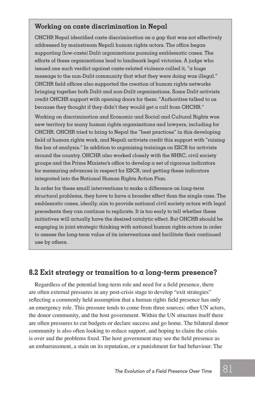#### **Working on caste discrimination in Nepal**

OHCHR Nepal identified caste discrimination as a gap that was not effectively addressed by mainstream Nepali human rights actors. The office began supporting (low-caste) Dalit organizations pursuing emblematic cases. The efforts of these organisations lead to landmark legal victories. A judge who issued one such verdict against caste-related violence called it, "a huge message to the non-Dalit community that what they were doing was illegal." OHCHR field offices also supported the creation of human rights networks bringing together both Dalit and non-Dalit organizations. Some Dalit activists credit OHCHR support with opening doors for them: "Authorities talked to us because they thought if they didn't they would get a call from OHCHR."

Working on discrimination and Economic and Social and Cultural Rights was new territory for many human rights organizations and lawyers, including for OHCHR. OHCHR tried to bring to Nepal the "best practices" in this developing field of human rights work, and Nepali activists credit this support with "raising the bar of analysis." In addition to organizing trainings on ESCR for activists around the country, OHCHR also worked closely with the NHRC, civil society groups and the Prime Minister's office to develop a set of rigorous indicators for measuring advances in respect for ESCR, and getting these indicators integrated into the National Human Rights Action Plan.

In order for these small interventions to make a difference on long-term structural problems, they have to have a broader effect than the single case. The emblematic cases, ideally, aim to provide national civil society actors with legal precedents they can continue to replicate. It is too early to tell whether these initiatives will actually have the desired catalytic effect. But OHCHR should be engaging in joint strategic thinking with national human rights actors in order to assess the long-term value of its interventions and facilitate their continued use by others.

#### **8.2 Exit strategy or transition to a long-term presence?**

Regardless of the potential long-term role and need for a field presence, there are often external pressures in any post-crisis stage to develop "exit strategies" reflecting a commonly held assumption that a human rights field presence has only an emergency role. This pressure tends to come from three sources: other UN actors, the donor community, and the host government. Within the UN structure itself there are often pressures to cut budgets or declare success and go home. The bilateral donor community is also often looking to reduce support, and hoping to claim the crisis is over and the problems fixed. The host government may see the field presence as an embarrassment, a stain on its reputation, or a punishment for bad behaviour. The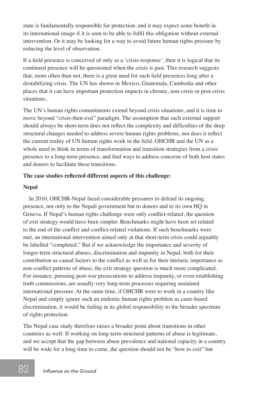state is fundamentally responsible for protection, and it may expect some benefit in its international image if it is seen to be able to fulfil this obligation without external intervention. Or it may be looking for a way to avoid future human rights pressure by reducing the level of observation.

If a field presence is conceived of only as a 'crisis-response', then it is logical that its continued presence will be questioned when the crisis is past. This research suggests that, more often than not, there is a great need for such field presences long after a destabilizing crisis. The UN has shown in Mexico, Guatemala, Cambodia and other places that it can have important protection impacts in chronic, non-crisis or post-crisis situations.

The UN's human rights commitments extend beyond crisis situations, and it is time to move beyond "crisis-then-exit" paradigm. The assumption that such external support should always be short-term does not reflect the complexity and difficulties of the deep structural changes needed to address severe human rights problems, nor does it reflect the current reality of UN human rights work in the field. OHCHR and the UN as a whole need to think in terms of transformation and transition strategies from a crisis presence to a long-term presence, and find ways to address concerns of both host states and donors to facilitate these transitions.

#### **The case studies reflected different aspects of this challenge:**

#### **Nepal**

In 2010, OHCHR-Nepal faced considerable pressures to defend its ongoing presence, not only to the Nepali government but to donors and to its own HQ in Geneva. If Nepal's human rights challenge were only conflict-related, the question of exit strategy would have been simpler. Benchmarks might have been set related to the end of the conflict and conflict-related violations. If such benchmarks were met, an international intervention aimed only at that short-term crisis could arguably be labelled "completed." But if we acknowledge the importance and severity of longer-term structural abuses, discrimination and impunity in Nepal, both for their contribution as causal factors to the conflict as well as for their intrinsic importance as non-conflict patterns of abuse, the exit strategy question is much more complicated. For instance, pursuing post-war prosecutions to address impunity, or even establishing truth commissions, are usually very long-term processes requiring sustained international pressure. At the same time, if OHCHR were to work in a country like Nepal and simply ignore such an endemic human rights problem as caste-based discrimination, it would be failing in its global responsibility to the broader spectrum of rights protection.

The Nepal case study therefore raises a broader point about transitions in other countries as well: If working on long-term structural patterns of abuse is legitimate, and we accept that the gap between abuse prevalence and national capacity in a country will be wide for a long time to come, the question should not be "how to exit" but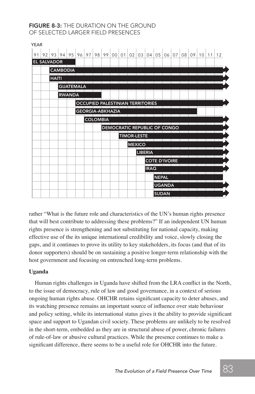#### FIGURE 8-3: THE DURATION ON THE GROUND OF SELECTED LARGER FIELD PRESENCES

YEAR 2004

| YEAR |                    |                 |                  |                         |  |                                                             |  |  |  |                              |                |             |                      |               |  |  |  |    |
|------|--------------------|-----------------|------------------|-------------------------|--|-------------------------------------------------------------|--|--|--|------------------------------|----------------|-------------|----------------------|---------------|--|--|--|----|
| 91   |                    |                 |                  |                         |  | 92 93 94 95 96 97 98 99 00 01 02 03 04 05 06 07 08 09 10 11 |  |  |  |                              |                |             |                      |               |  |  |  | 12 |
|      | <b>EL SALVADOR</b> |                 |                  |                         |  |                                                             |  |  |  |                              |                |             |                      |               |  |  |  |    |
|      |                    | <b>CAMBODIA</b> |                  |                         |  |                                                             |  |  |  |                              |                |             |                      |               |  |  |  |    |
|      |                    | <b>HAITI</b>    |                  |                         |  |                                                             |  |  |  |                              |                |             |                      |               |  |  |  |    |
|      |                    |                 | <b>GUATEMALA</b> |                         |  |                                                             |  |  |  |                              |                |             |                      |               |  |  |  |    |
|      |                    |                 | <b>RWANDA</b>    |                         |  |                                                             |  |  |  |                              |                |             |                      |               |  |  |  |    |
|      |                    |                 |                  |                         |  | <b>OCCUPIED PALESTINIAN TERRITORIES</b>                     |  |  |  |                              |                |             |                      |               |  |  |  |    |
|      |                    |                 |                  | <b>GEORGIA-ABKHAZIA</b> |  |                                                             |  |  |  |                              |                |             |                      |               |  |  |  |    |
|      |                    |                 |                  |                         |  | <b>COLOMBIA</b>                                             |  |  |  |                              |                |             |                      |               |  |  |  |    |
|      |                    |                 |                  |                         |  |                                                             |  |  |  | DEMOCRATIC REPUBLIC OF CONGO |                |             |                      |               |  |  |  |    |
|      |                    |                 |                  |                         |  |                                                             |  |  |  | <b>TIMOR-LESTE</b>           |                |             |                      |               |  |  |  |    |
|      |                    |                 |                  |                         |  |                                                             |  |  |  |                              | <b>MEXICO</b>  |             |                      |               |  |  |  |    |
|      |                    |                 |                  |                         |  |                                                             |  |  |  |                              | <b>LIBERIA</b> |             |                      |               |  |  |  |    |
|      |                    |                 |                  |                         |  |                                                             |  |  |  |                              |                |             | <b>COTE D'IVOIRE</b> |               |  |  |  |    |
|      |                    |                 |                  |                         |  |                                                             |  |  |  |                              |                | <b>IRAQ</b> |                      |               |  |  |  |    |
|      |                    |                 |                  |                         |  |                                                             |  |  |  |                              |                |             | <b>NEPAL</b>         |               |  |  |  |    |
|      |                    |                 |                  |                         |  |                                                             |  |  |  |                              |                |             |                      | <b>UGANDA</b> |  |  |  |    |
|      |                    |                 |                  |                         |  |                                                             |  |  |  |                              |                |             |                      | <b>SUDAN</b>  |  |  |  |    |
|      |                    |                 |                  |                         |  |                                                             |  |  |  |                              |                |             |                      |               |  |  |  |    |

rather "What is the future role and characteristics of the UN's human rights presence that will best contribute to addressing these problems?" If an independent UN human rights presence is strengthening and not substituting for national capacity, making effective use of the its unique international credibility and voice, slowly closing the gaps, and it continues to prove its utility to key stakeholders, its focus (and that of its donor supporters) should be on sustaining a positive longer-term relationship with the host government and focusing on entrenched long-term problems.

#### **Uganda**

Human rights challenges in Uganda have shifted from the LRA conflict in the North, to the issue of democracy, rule of law and good governance, in a context of serious ongoing human rights abuse. OHCHR retains significant capacity to deter abuses, and its watching presence remains an important source of influence over state behaviour and policy setting, while its international status gives it the ability to provide significant space and support to Ugandan civil society. These problems are unlikely to be resolved in the short-term, embedded as they are in structural abuse of power, chronic failures of rule-of-law or abusive cultural practices. While the presence continues to make a significant difference, there seems to be a useful role for OHCHR into the future.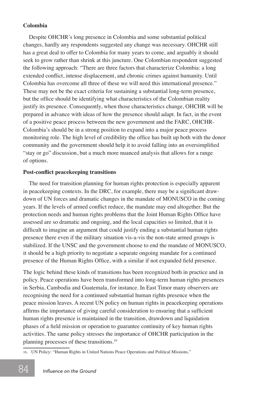#### **Colombia**

Despite OHCHR's long presence in Colombia and some substantial political changes, hardly any respondents suggested any change was necessary. OHCHR still has a great deal to offer to Colombia for many years to come, and arguably it should seek to grow rather than shrink at this juncture. One Colombian respondent suggested the following approach: "There are three factors that characterize Colombia: a long extended conflict, intense displacement, and chronic crimes against humanity. Until Colombia has overcome all three of these we will need this international presence." These may not be the exact criteria for sustaining a substantial long-term presence, but the office should be identifying what characteristics of the Colombian reality justify its presence. Consequently, when those characteristics change, OHCHR will be prepared in advance with ideas of how the presence should adapt. In fact, in the event of a positive peace process between the new government and the FARC, OHCHR-Colombia's should be in a strong position to expand into a major peace process monitoring role. The high level of credibility the office has built up both with the donor community and the government should help it to avoid falling into an oversimplified "stay or go" discussion, but a much more nuanced analysis that allows for a range of options.

#### **Post-conflict peacekeeping transitions**

The need for transition planning for human rights protection is especially apparent in peacekeeping contexts. In the DRC, for example, there may be a significant drawdown of UN forces and dramatic changes in the mandate of MONUSCO in the coming years. If the levels of armed conflict reduce, the mandate may end altogether. But the protection needs and human rights problems that the Joint Human Rights Office have assessed are so dramatic and ongoing, and the local capacities so limited, that it is difficult to imagine an argument that could justify ending a substantial human rights presence there even if the military situation vis-a-vis the non-state armed groups is stabilized. If the UNSC and the government choose to end the mandate of MONUSCO, it should be a high priority to negotiate a separate ongoing mandate for a continued presence of the Human Rights Office, with a similar if not expanded field presence.

The logic behind these kinds of transitions has been recognized both in practice and in policy. Peace operations have been transformed into long-term human rights presences in Serbia, Cambodia and Guatemala, for instance. In East Timor many observers are recognising the need for a continued substantial human rights presence when the peace mission leaves. A recent UN policy on human rights in peacekeeping operations affirms the importance of giving careful consideration to ensuring that a sufficient human rights presence is maintained in the transition, drawdown and liquidation phases of a field mission or operation to guarantee continuity of key human rights activities. The same policy stresses the importance of OHCHR participation in the planning processes of these transitions.16

<sup>16</sup>*.* UN Policy: "Human Rights in United Nations Peace Operations and Political Missions,"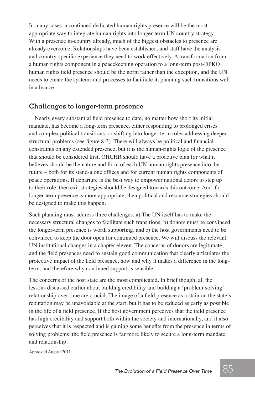In many cases, a continued dedicated human rights presence will be the most appropriate way to integrate human rights into longer-term UN country strategy. With a presence in-country already, much of the biggest obstacles to presence are already overcome. Relationships have been established, and staff have the analysis and country-specific experience they need to work effectively. A transformation from a human rights component in a peacekeeping operation to a long-term post-DPKO human rights field presence should be the norm rather than the exception, and the UN needs to create the systems and processes to facilitate it, planning such transitions well in advance.

#### **Challenges to longer-term presence**

Nearly every substantial field presence to date, no matter how short its initial mandate, has become a long-term presence, either responding to prolonged crises and complex political transitions, or shifting into longer-term roles addressing deeper structural problems (see figure 8-3). There will always be political and financial constraints on any extended presence, but it is the human-rights logic of the presence that should be considered first. OHCHR should have a proactive plan for what it believes should be the nature and form of each UN human rights presence into the future – both for its stand-alone offices and for current human rights components of peace operations. If departure is the best way to empower national actors to step up to their role, then exit strategies should be designed towards this outcome. And if a longer-term presence is more appropriate, then political and resource strategies should be designed to make this happen.

Such planning must address three challenges: a) The UN itself has to make the necessary structural changes to facilitate such transitions; b) donors must be convinced the longer-term presence is worth supporting, and c) the host governments need to be convinced to keep the door open for continued presence. We will discuss the relevant UN institutional changes in a chapter eleven. The concerns of donors are legitimate, and the field presences need to sustain good communication that clearly articulates the protective impact of the field presence, how and why it makes a difference in the longterm, and therefore why continued support is sensible.

The concerns of the host state are the most complicated. In brief though, all the lessons discussed earlier about building credibility and building a 'problem-solving' relationship over time are crucial. The image of a field presence as a stain on the state's reputation may be unavoidable at the start, but it has to be reduced as early as possible in the life of a field presence. If the host government perceives that the field presence has high credibility and support both within the society and internationally, and it also perceives that it is respected and is gaining some benefits from the presence in terms of solving problems, the field presence is far more likely to secure a long-term mandate and relationship.

Approved August 2011.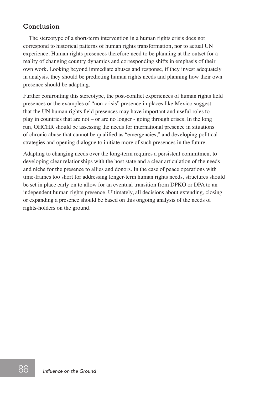#### **Conclusion**

The stereotype of a short-term intervention in a human rights crisis does not correspond to historical patterns of human rights transformation, nor to actual UN experience. Human rights presences therefore need to be planning at the outset for a reality of changing country dynamics and corresponding shifts in emphasis of their own work. Looking beyond immediate abuses and response, if they invest adequately in analysis, they should be predicting human rights needs and planning how their own presence should be adapting.

Further confronting this stereotype, the post-conflict experiences of human rights field presences or the examples of "non-crisis" presence in places like Mexico suggest that the UN human rights field presences may have important and useful roles to play in countries that are not – or are no longer - going through crises. In the long run, OHCHR should be assessing the needs for international presence in situations of chronic abuse that cannot be qualified as "emergencies," and developing political strategies and opening dialogue to initiate more of such presences in the future.

Adapting to changing needs over the long-term requires a persistent commitment to developing clear relationships with the host state and a clear articulation of the needs and niche for the presence to allies and donors. In the case of peace operations with time-frames too short for addressing longer-term human rights needs, structures should be set in place early on to allow for an eventual transition from DPKO or DPA to an independent human rights presence. Ultimately, all decisions about extending, closing or expanding a presence should be based on this ongoing analysis of the needs of rights-holders on the ground.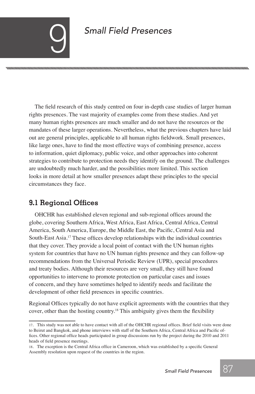## **Small Field Presences**

The field research of this study centred on four in-depth case studies of larger human rights presences. The vast majority of examples come from these studies. And yet many human rights presences are much smaller and do not have the resources or the mandates of these larger operations. Nevertheless, what the previous chapters have laid out are general principles, applicable to all human rights fieldwork. Small presences, like large ones, have to find the most effective ways of combining presence, access to information, quiet diplomacy, public voice, and other approaches into coherent strategies to contribute to protection needs they identify on the ground. The challenges are undoubtedly much harder, and the possibilities more limited. This section looks in more detail at how smaller presences adapt these principles to the special circumstances they face.

#### **9.1 Regional Offices**

OHCHR has established eleven regional and sub-regional offices around the globe, covering Southern Africa, West Africa, East Africa, Central Africa, Central America, South America, Europe, the Middle East, the Pacific, Central Asia and South-East Asia.17 These offices develop relationships with the individual countries that they cover. They provide a local point of contact with the UN human rights system for countries that have no UN human rights presence and they can follow-up recommendations from the Universal Periodic Review (UPR), special procedures and treaty bodies. Although their resources are very small, they still have found opportunities to intervene to promote protection on particular cases and issues of concern, and they have sometimes helped to identify needs and facilitate the development of other field presences in specific countries.

Regional Offices typically do not have explicit agreements with the countries that they cover, other than the hosting country.<sup>18</sup> This ambiguity gives them the flexibility

<sup>17</sup>*.* This study was not able to have contact with all of the OHCHR regional offices. Brief field visits were done to Beirut and Bangkok, and phone interviews with staff of the Southern Africa, Central Africa and Pacific offices. Other regional office heads participated in group discussions run by the project during the 2010 and 2011 heads of field presence meetings.

<sup>18</sup>*.* The exception is the Central Africa office in Cameroon, which was established by a specific General Assembly resolution upon request of the countries in the region.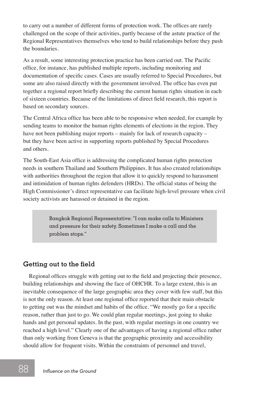to carry out a number of different forms of protection work. The offices are rarely challenged on the scope of their activities, partly because of the astute practice of the Regional Representatives themselves who tend to build relationships before they push the boundaries.

As a result, some interesting protection practice has been carried out. The Pacific office, for instance, has published multiple reports, including monitoring and documentation of specific cases. Cases are usually referred to Special Procedures, but some are also raised directly with the government involved. The office has even put together a regional report briefly describing the current human rights situation in each of sixteen countries. Because of the limitations of direct field research, this report is based on secondary sources.

The Central Africa office has been able to be responsive when needed, for example by sending teams to monitor the human rights elements of elections in the region. They have not been publishing major reports – mainly for lack of research capacity – but they have been active in supporting reports published by Special Procedures and others.

The South-East Asia office is addressing the complicated human rights protection needs in southern Thailand and Southern Philippines. It has also created relationships with authorities throughout the region that allow it to quickly respond to harassment and intimidation of human rights defenders (HRDs). The official status of being the High Commissioner's direct representative can facilitate high-level pressure when civil society activists are harassed or detained in the region.

> Bangkok Regional Representative: "I can make calls to Ministers and pressure for their safety. Sometimes I make a call and the problem stops."

#### **Getting out to the field**

Regional offices struggle with getting out to the field and projecting their presence, building relationships and showing the face of OHCHR. To a large extent, this is an inevitable consequence of the large geographic area they cover with few staff, but this is not the only reason. At least one regional office reported that their main obstacle to getting out was the mindset and habits of the office. "We mostly go for a specific reason, rather than just to go. We could plan regular meetings, just going to shake hands and get personal updates. In the past, with regular meetings in one country we reached a high level." Clearly one of the advantages of having a regional office rather than only working from Geneva is that the geographic proximity and accessibility should allow for frequent visits. Within the constraints of personnel and travel,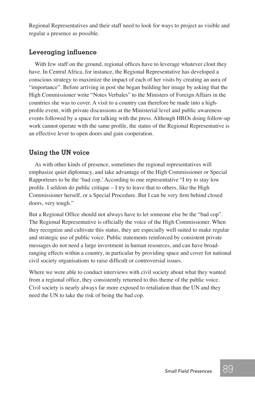Regional Representatives and their staff need to look for ways to project as visible and regular a presence as possible.

#### **Leveraging influence**

With few staff on the ground, regional offices have to leverage whatever clout they have. In Central Africa, for instance, the Regional Representative has developed a conscious strategy to maximize the impact of each of her visits by creating an aura of "importance". Before arriving in post she began building her image by asking that the High Commissioner write "Notes Verbales" to the Ministers of Foreign Affairs in the countries she was to cover. A visit to a country can therefore be made into a highprofile event, with private discussions at the Ministerial level and public awareness events followed by a space for talking with the press. Although HROs doing follow-up work cannot operate with the same profile, the status of the Regional Representative is an effective lever to open doors and gain cooperation.

#### **Using the UN voice**

As with other kinds of presence, sometimes the regional representatives will emphasize quiet diplomacy, and take advantage of the High Commissioner or Special Rapporteurs to be the 'bad cop.' According to one representative "I try to stay low profile. I seldom do public critique – I try to leave that to others, like the High Commissioner herself, or a Special Procedure. But I can be very firm behind closed doors, very tough."

But a Regional Office should not always have to let someone else be the "bad cop". The Regional Representative is officially the voice of the High Commissioner. When they recognize and cultivate this status, they are especially well suited to make regular and strategic use of public voice. Public statements reinforced by consistent private messages do not need a large investment in human resources, and can have broadranging effects within a country, in particular by providing space and cover for national civil society organisations to raise difficult or controversial issues.

Where we were able to conduct interviews with civil society about what they wanted from a regional office, they consistently returned to this theme of the public voice. Civil society is nearly always far more exposed to retaliation than the UN and they need the UN to take the risk of being the bad cop.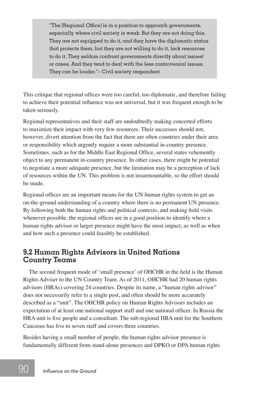"The [Regional Office] is in a position to approach governments, especially where civil society is weak. But they are not doing this. They are not equipped to do it, and they have the diplomatic status that protects them, but they are not willing to do it, lack resources to do it. They seldom confront governments directly about issues! or cases. And they tend to deal with the less controversial issues. They can be louder."– Civil society respondent

This critique that regional offices were too careful, too diplomatic, and therefore failing to achieve their potential influence was not universal, but it was frequent enough to be taken seriously.

Regional representatives and their staff are undoubtedly making concerted efforts to maximize their impact with very few resources. Their successes should not, however, divert attention from the fact that there are often countries under their area or responsibility which urgently require a more substantial in-country presence. Sometimes, such as for the Middle East Regional Office, several states vehemently object to any permanent in-country presence. In other cases, there might be potential to negotiate a more adequate presence, but the limitation may be a perception of lack of resources within the UN. This problem is not insurmountable, so the effort should be made.

Regional offices are an important means for the UN human rights system to get an on-the-ground understanding of a country where there is no permanent UN presence. By following both the human rights and political contexts, and making field visits whenever possible, the regional offices are in a good position to identify where a human rights advisor or larger presence might have the most impact, as well as when and how such a presence could feasibly be established.

#### **9.2 Human Rights Advisors in United Nations Country Teams**

The second frequent mode of 'small presence' of OHCHR in the field is the Human Rights Adviser to the UN Country Team. As of 2011, OHCHR had 20 human rights advisors (HRAs) covering 24 countries. Despite its name, a "human rights advisor" does not necessarily refer to a single post, and often should be more accurately described as a "unit". The OHCHR policy on Human Rights Advisors includes an expectation of at least one national support staff and one national officer. In Russia the HRA unit is five people and a consultant. The sub-regional HRA unit for the Southern Caucasus has five to seven staff and covers three countries.

Besides having a small number of people, the human rights advisor presence is fundamentally different from stand-alone presences and DPKO or DPA human rights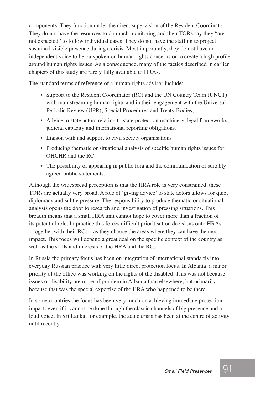components. They function under the direct supervision of the Resident Coordinator. They do not have the resources to do much monitoring and their TORs say they "are not expected" to follow individual cases. They do not have the staffing to project sustained visible presence during a crisis. Most importantly, they do not have an independent voice to be outspoken on human rights concerns or to create a high profile around human rights issues. As a consequence, many of the tactics described in earlier chapters of this study are rarely fully available to HRAs.

The standard terms of reference of a human rights advisor include:

- Support to the Resident Coordinator (RC) and the UN Country Team (UNCT) with mainstreaming human rights and in their engagement with the Universal Periodic Review (UPR), Special Procedures and Treaty Bodies,
- Advice to state actors relating to state protection machinery, legal frameworks, judicial capacity and international reporting obligations.
- Liaison with and support to civil society organisations
- Producing thematic or situational analysis of specific human rights issues for OHCHR and the RC
- The possibility of appearing in public fora and the communication of suitably agreed public statements.

Although the widespread perception is that the HRA role is very constrained, these TORs are actually very broad. A role of 'giving advice' to state actors allows for quiet diplomacy and subtle pressure. The responsibility to produce thematic or situational analysis opens the door to research and investigation of pressing situations. This breadth means that a small HRA unit cannot hope to cover more than a fraction of its potential role. In practice this forces difficult prioritisation decisions onto HRAs – together with their RCs – as they choose the areas where they can have the most impact. This focus will depend a great deal on the specific context of the country as well as the skills and interests of the HRA and the RC.

In Russia the primary focus has been on integration of international standards into everyday Russian practice with very little direct protection focus. In Albania, a major priority of the office was working on the rights of the disabled. This was not because issues of disability are more of problem in Albania than elsewhere, but primarily because that was the special expertise of the HRA who happened to be there.

In some countries the focus has been very much on achieving immediate protection impact, even if it cannot be done through the classic channels of big presence and a loud voice. In Sri Lanka, for example, the acute crisis has been at the centre of activity until recently.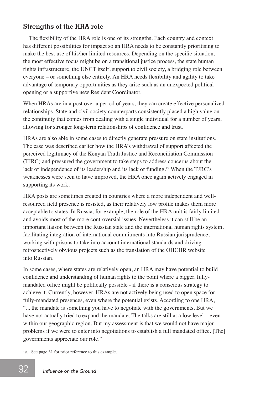#### **Strengths of the HRA role**

The flexibility of the HRA role is one of its strengths. Each country and context has different possibilities for impact so an HRA needs to be constantly prioritising to make the best use of his/her limited resources. Depending on the specific situation, the most effective focus might be on a transitional justice process, the state human rights infrastructure, the UNCT itself, support to civil society, a bridging role between everyone – or something else entirely. An HRA needs flexibility and agility to take advantage of temporary opportunities as they arise such as an unexpected political opening or a supportive new Resident Coordinator.

When HRAs are in a post over a period of years, they can create effective personalized relationships. State and civil society counterparts consistently placed a high value on the continuity that comes from dealing with a single individual for a number of years, allowing for stronger long-term relationships of confidence and trust.

HRAs are also able in some cases to directly generate pressure on state institutions. The case was described earlier how the HRA's withdrawal of support affected the perceived legitimacy of the Kenyan Truth Justice and Reconciliation Commission (TJRC) and pressured the government to take steps to address concerns about the lack of independence of its leadership and its lack of funding.<sup>19</sup> When the TJRC's weaknesses were seen to have improved, the HRA once again actively engaged in supporting its work.

HRA posts are sometimes created in countries where a more independent and wellresourced field presence is resisted, as their relatively low profile makes them more acceptable to states. In Russia, for example, the role of the HRA unit is fairly limited and avoids most of the more controversial issues. Nevertheless it can still be an important liaison between the Russian state and the international human rights system, facilitating integration of international commitments into Russian jurisprudence, working with prisons to take into account international standards and driving retrospectively obvious projects such as the translation of the OHCHR website into Russian.

In some cases, where states are relatively open, an HRA may have potential to build confidence and understanding of human rights to the point where a bigger, fullymandated office might be politically possible - if there is a conscious strategy to achieve it. Currently, however, HRAs are not actively being used to open space for fully-mandated presences, even where the potential exists. According to one HRA, "... the mandate is something you have to negotiate with the governments. But we have not actually tried to expand the mandate. The talks are still at a low level – even within our geographic region. But my assessment is that we would not have major problems if we were to enter into negotiations to establish a full mandated office. [The] governments appreciate our role."

<sup>19</sup>*.* See page 31 for prior reference to this example.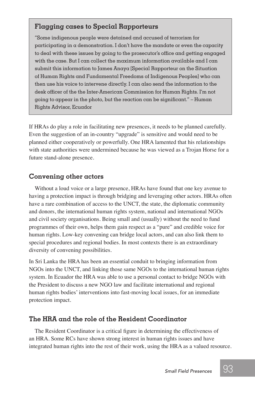#### **Flagging cases to Special Rapporteurs**

"Some indigenous people were detained and accused of terrorism for participating in a demonstration. I don't have the mandate or even the capacity to deal with these issues by going to the prosecutor's office and getting engaged with the case. But I can collect the maximum information available and I can submit this information to James Anaya [Special Rapporteur on the Situation of Human Rights and Fundamental Freedoms of Indigenous Peoples] who can then use his voice to intervene directly. I can also send the information to the desk officer of the the Inter-American Commission for Human Rights. I'm not going to appear in the photo, but the reaction can be significant." – Human Rights Advisor, Ecuador

If HRAs do play a role in facilitating new presences, it needs to be planned carefully. Even the suggestion of an in-country "upgrade" is sensitive and would need to be planned either cooperatively or powerfully. One HRA lamented that his relationships with state authorities were undermined because he was viewed as a Trojan Horse for a future stand-alone presence.

#### **Convening other actors**

Without a loud voice or a large presence, HRAs have found that one key avenue to having a protection impact is through bridging and leveraging other actors. HRAs often have a rare combination of access to the UNCT, the state, the diplomatic community and donors, the international human rights system, national and international NGOs and civil society organisations. Being small and (usually) without the need to fund programmes of their own, helps them gain respect as a "pure" and credible voice for human rights. Low-key convening can bridge local actors, and can also link them to special procedures and regional bodies. In most contexts there is an extraordinary diversity of convening possibilities.

In Sri Lanka the HRA has been an essential conduit to bringing information from NGOs into the UNCT, and linking those same NGOs to the international human rights system. In Ecuador the HRA was able to use a personal contact to bridge NGOs with the President to discuss a new NGO law and facilitate international and regional human rights bodies' interventions into fast-moving local issues, for an immediate protection impact.

#### **The HRA and the role of the Resident Coordinator**

The Resident Coordinator is a critical figure in determining the effectiveness of an HRA. Some RCs have shown strong interest in human rights issues and have integrated human rights into the rest of their work, using the HRA as a valued resource.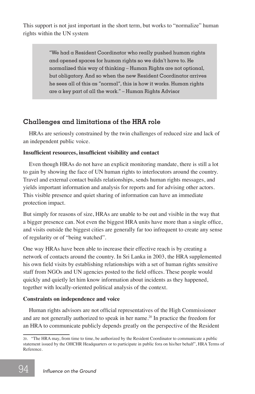This support is not just important in the short term, but works to "normalize" human rights within the UN system

> "We had a Resident Coordinator who really pushed human rights and opened spaces for human rights so we didn't have to. He normalized this way of thinking – Human Rights are not optional, but obligatory. And so when the new Resident Coordinator arrives he sees all of this as "normal", this is how it works. Human rights are a key part of all the work." – Human Rights Advisor

#### **Challenges and limitations of the HRA role**

HRAs are seriously constrained by the twin challenges of reduced size and lack of an independent public voice.

#### **Insufficient resources, insufficient visibility and contact**

Even though HRAs do not have an explicit monitoring mandate, there is still a lot to gain by showing the face of UN human rights to interlocutors around the country. Travel and external contact builds relationships, sends human rights messages, and yields important information and analysis for reports and for advising other actors. This visible presence and quiet sharing of information can have an immediate protection impact.

But simply for reasons of size, HRAs are unable to be out and visible in the way that a bigger presence can. Not even the biggest HRA units have more than a single office, and visits outside the biggest cities are generally far too infrequent to create any sense of regularity or of "being watched".

One way HRAs have been able to increase their effective reach is by creating a network of contacts around the country. In Sri Lanka in 2003, the HRA supplemented his own field visits by establishing relationships with a set of human rights sensitive staff from NGOs and UN agencies posted to the field offices. These people would quickly and quietly let him know information about incidents as they happened, together with locally-oriented political analysis of the context.

#### **Constraints on independence and voice**

Human rights advisors are not official representatives of the High Commissioner and are not generally authorized to speak in her name.20 In practice the freedom for an HRA to communicate publicly depends greatly on the perspective of the Resident

<sup>20</sup>*.* "The HRA may, from time to time, be authorized by the Resident Coordinator to communicate a public statement issued by the OHCHR Headquarters or to participate in public fora on his/her behalf", HRA Terms of Reference.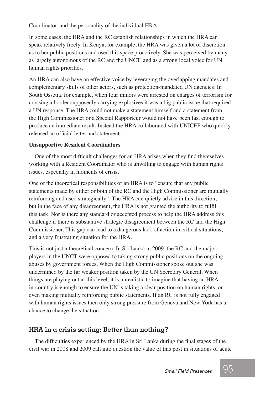Coordinator, and the personality of the individual HRA.

In some cases, the HRA and the RC establish relationships in which the HRA can speak relatively freely. In Kenya, for example, the HRA was given a lot of discretion as to her public positions and used this space proactively. She was perceived by many as largely autonomous of the RC and the UNCT, and as a strong local voice for UN human rights priorities.

An HRA can also have an effective voice by leveraging the overlapping mandates and complementary skills of other actors, such as protection-mandated UN agencies. In South Ossetia, for example, when four minors were arrested on charges of terrorism for crossing a border supposedly carrying explosives it was a big public issue that required a UN response. The HRA could not make a statement himself and a statement from the High Commissioner or a Special Rapporteur would not have been fast enough to produce an immediate result. Instead the HRA collaborated with UNICEF who quickly released an official letter and statement.

#### **Unsupportive Resident Coordinators**

One of the most difficult challenges for an HRA arises when they find themselves working with a Resident Coordinator who is unwilling to engage with human rights issues, especially in moments of crisis.

One of the theoretical responsibilities of an HRA is to "ensure that any public statements made by either or both of the RC and the High Commissioner are mutually reinforcing and used strategically". The HRA can quietly advise in this direction, but in the face of any disagreement, the HRA is not granted the authority to fulfil this task. Nor is there any standard or accepted process to help the HRA address this challenge if there is substantive strategic disagreement between the RC and the High Commissioner. This gap can lead to a dangerous lack of action in critical situations, and a very frustrating situation for the HRA.

This is not just a theoretical concern. In Sri Lanka in 2009, the RC and the major players in the UNCT were opposed to taking strong public positions on the ongoing abuses by government forces. When the High Commissioner spoke out she was undermined by the far weaker position taken by the UN Secretary General. When things are playing out at this level, it is unrealistic to imagine that having an HRA in-country is enough to ensure the UN is taking a clear position on human rights, or even making mutually reinforcing public statements. If an RC is not fully engaged with human rights issues then only strong pressure from Geneva and New York has a chance to change the situation.

#### **HRA in a crisis setting: Better than nothing?**

The difficulties experienced by the HRA in Sri Lanka during the final stages of the civil war in 2008 and 2009 call into question the value of this post in situations of acute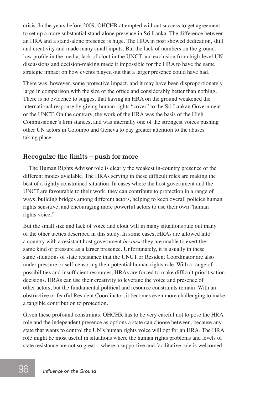crisis. In the years before 2009, OHCHR attempted without success to get agreement to set up a more substantial stand-alone presence in Sri Lanka. The difference between an HRA and a stand-alone presence is huge. The HRA in post showed dedication, skill and creativity and made many small inputs. But the lack of numbers on the ground, low profile in the media, lack of clout in the UNCT and exclusion from high-level UN discussions and decision-making made it impossible for the HRA to have the same strategic impact on how events played out that a larger presence could have had.

There was, however, some protective impact, and it may have been disproportionately large in comparison with the size of the office and considerably better than nothing. There is no evidence to suggest that having an HRA on the ground weakened the international response by giving human rights "cover" to the Sri Lankan Government or the UNCT. On the contrary, the work of the HRA was the basis of the High Commissioner's firm stances, and was internally one of the strongest voices pushing other UN actors in Colombo and Geneva to pay greater attention to the abuses taking place.

#### **Recognize the limits – push for more**

The Human Rights Advisor role is clearly the weakest in-country presence of the different modes available. The HRAs serving in these difficult roles are making the best of a tightly constrained situation. In cases where the host government and the UNCT are favourable to their work, they can contribute to protection in a range of ways, building bridges among different actors, helping to keep overall policies human rights sensitive, and encouraging more powerful actors to use their own "human rights voice."

But the small size and lack of voice and clout will in many situations rule out many of the other tactics described in this study. In some cases, HRAs are allowed into a country with a resistant host government *because* they are unable to exert the same kind of pressure as a larger presence. Unfortunately, it is usually in these same situations of state resistance that the UNCT or Resident Coordinator are also under pressure or self-censoring their potential human rights role. With a range of possibilities and insufficient resources, HRAs are forced to make difficult prioritisation decisions. HRAs can use their creativity to leverage the voice and presence of other actors, but the fundamental political and resource constraints remain. With an obstructive or fearful Resident Coordinator, it becomes even more challenging to make a tangible contribution to protection.

Given these profound constraints, OHCHR has to be very careful not to pose the HRA role and the independent presence as options a state can choose between, because any state that wants to control the UN's human rights voice will opt for an HRA. The HRA role might be most useful in situations where the human rights problems and levels of state resistance are not so great – where a supportive and facilitative role is welcomed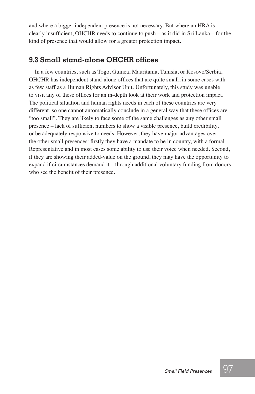and where a bigger independent presence is not necessary. But where an HRA is clearly insufficient, OHCHR needs to continue to push – as it did in Sri Lanka – for the kind of presence that would allow for a greater protection impact.

#### **9.3 Small stand-alone OHCHR offices**

In a few countries, such as Togo, Guinea, Mauritania, Tunisia, or Kosovo/Serbia, OHCHR has independent stand-alone offices that are quite small, in some cases with as few staff as a Human Rights Advisor Unit. Unfortunately, this study was unable to visit any of these offices for an in-depth look at their work and protection impact. The political situation and human rights needs in each of these countries are very different, so one cannot automatically conclude in a general way that these offices are "too small". They are likely to face some of the same challenges as any other small presence – lack of sufficient numbers to show a visible presence, build credibility, or be adequately responsive to needs. However, they have major advantages over the other small presences: firstly they have a mandate to be in country, with a formal Representative and in most cases some ability to use their voice when needed. Second, if they are showing their added-value on the ground, they may have the opportunity to expand if circumstances demand it – through additional voluntary funding from donors who see the benefit of their presence.

97 97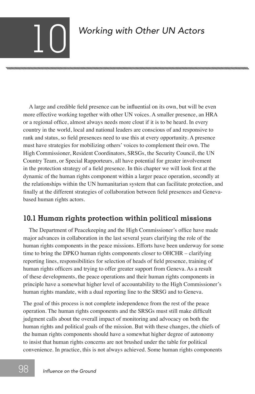# *Working with Other UN Actors*

nnummmmmmmmmmmmmmmmmmmmmmmmmmmmmmm

A large and credible field presence can be influential on its own, but will be even more effective working together with other UN voices. A smaller presence, an HRA or a regional office, almost always needs more clout if it is to be heard. In every country in the world, local and national leaders are conscious of and responsive to rank and status, so field presences need to use this at every opportunity. A presence must have strategies for mobilizing others' voices to complement their own. The High Commissioner, Resident Coordinators, SRSGs, the Security Council, the UN Country Team, or Special Rapporteurs, all have potential for greater involvement in the protection strategy of a field presence. In this chapter we will look first at the dynamic of the human rights component within a larger peace operation, secondly at the relationships within the UN humanitarian system that can facilitate protection, and finally at the different strategies of collaboration between field presences and Genevabased human rights actors.

### **10.1 Human rights protection within political missions**

The Department of Peacekeeping and the High Commissioner's office have made major advances in collaboration in the last several years clarifying the role of the human rights components in the peace missions. Efforts have been underway for some time to bring the DPKO human rights components closer to OHCHR – clarifying reporting lines, responsibilities for selection of heads of field presence, training of human rights officers and trying to offer greater support from Geneva. As a result of these developments, the peace operations and their human rights components in principle have a somewhat higher level of accountability to the High Commissioner's human rights mandate, with a dual reporting line to the SRSG and to Geneva.

The goal of this process is not complete independence from the rest of the peace operation. The human rights components and the SRSGs must still make difficult judgment calls about the overall impact of monitoring and advocacy on both the human rights and political goals of the mission. But with these changes, the chiefs of the human rights components should have a somewhat higher degree of autonomy to insist that human rights concerns are not brushed under the table for political convenience. In practice, this is not always achieved. Some human rights components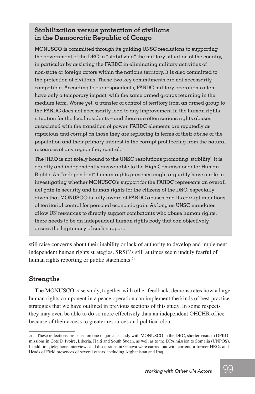#### **Stabilization versus protection of civilians in the Democratic Republic of Congo**

MONUSCO is committed through its guiding UNSC resolutions to supporting the government of the DRC in "stabilizing" the military situation of the country, in particular by assisting the FARDC in eliminating military activities of non-state or foreign actors within the nation's territory. It is also committed to the protection of civilians. These two key commitments are not necessarily compatible. According to our respondents, FARDC military operations often have only a temporary impact, with the same armed groups returning in the medium term. Worse yet, a transfer of control of territory from an armed group to the FARDC does not necessarily lead to any improvement in the human rights situation for the local residents – and there are often serious rights abuses associated with the transition of power. FARDC elements are reputedly as rapacious and corrupt as those they are replacing in terms of their abuse of the population and their primary interest in the corrupt profiteering from the natural resources of any region they control.

The JHRO is not solely bound to the UNSC resolutions promoting 'stability'. It is equally and independently answerable to the High Commissioner for Human Rights. An "independent" human rights presence might arguably have a role in investigating whether MONUSCO's support for the FARDC represents an overall net gain in security and human rights for the citizens of the DRC, especially given that MONUSCO is fully aware of FARDC abuses and its corrupt intentions of territorial control for personal economic gain. As long as UNSC mandates allow UN resources to directly support combatants who abuse human rights, there needs to be an independent human rights body that can objectively assess the legitimacy of such support.

still raise concerns about their inability or lack of authority to develop and implement independent human rights strategies. SRSG's still at times seem unduly fearful of human rights reporting or public statements.<sup>21</sup>

#### **Strengths**

The MONUSCO case study, together with other feedback, demonstrates how a large human rights component in a peace operation can implement the kinds of best practice strategies that we have outlined in previous sections of this study. In some respects they may even be able to do so more effectively than an independent OHCHR office because of their access to greater resources and political clout.

<sup>21</sup>*.* These reflections are based on one major case study with MONUSCO in the DRC, shorter visits to DPKO missions in Cote D'Ivoire, Liberia, Haiti and South Sudan, as well as to the DPA mission to Somalia (UNPOS). In addition, telephone interviews and discussions in Geneva were carried out with current or former HROs and Heads of Field presences of several others, including Afghanistan and Iraq.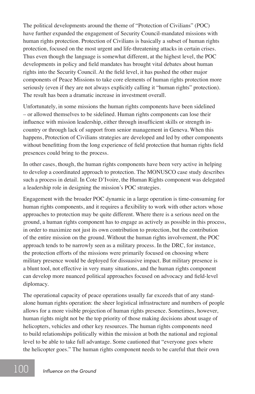The political developments around the theme of "Protection of Civilians" (POC) have further expanded the engagement of Security Council-mandated missions with human rights protection. Protection of Civilians is basically a subset of human rights protection, focused on the most urgent and life-threatening attacks in certain crises. Thus even though the language is somewhat different, at the highest level, the POC developments in policy and field mandates has brought vital debates about human rights into the Security Council. At the field level, it has pushed the other major components of Peace Missions to take core elements of human rights protection more seriously (even if they are not always explicitly calling it "human rights" protection). The result has been a dramatic increase in investment overall.

Unfortunately, in some missions the human rights components have been sidelined – or allowed themselves to be sidelined. Human rights components can lose their influence with mission leadership, either through insufficient skills or strength incountry or through lack of support from senior management in Geneva. When this happens, Protection of Civilians strategies are developed and led by other components without benefitting from the long experience of field protection that human rights field presences could bring to the process.

In other cases, though, the human rights components have been very active in helping to develop a coordinated approach to protection. The MONUSCO case study describes such a process in detail. In Cote D'Ivoire, the Human Rights component was delegated a leadership role in designing the mission's POC strategies.

Engagement with the broader POC dynamic in a large operation is time-consuming for human rights components, and it requires a flexibility to work with other actors whose approaches to protection may be quite different. Where there is a serious need on the ground, a human rights component has to engage as actively as possible in this process, in order to maximize not just its own contribution to protection, but the contribution of the entire mission on the ground. Without the human rights involvement, the POC approach tends to be narrowly seen as a military process. In the DRC, for instance, the protection efforts of the missions were primarily focused on choosing where military presence would be deployed for dissuasive impact. But military presence is a blunt tool, not effective in very many situations, and the human rights component can develop more nuanced political approaches focused on advocacy and field-level diplomacy.

The operational capacity of peace operations usually far exceeds that of any standalone human rights operation: the sheer logistical infrastructure and numbers of people allows for a more visible projection of human rights presence. Sometimes, however, human rights might not be the top priority of those making decisions about usage of helicopters, vehicles and other key resources. The human rights components need to build relationships politically within the mission at both the national and regional level to be able to take full advantage. Some cautioned that "everyone goes where the helicopter goes." The human rights component needs to be careful that their own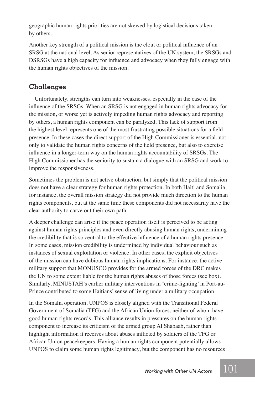geographic human rights priorities are not skewed by logistical decisions taken by others.

Another key strength of a political mission is the clout or political influence of an SRSG at the national level. As senior representatives of the UN system, the SRSGs and DSRSGs have a high capacity for influence and advocacy when they fully engage with the human rights objectives of the mission.

#### **Challenges**

Unfortunately, strengths can turn into weaknesses, especially in the case of the influence of the SRSGs. When an SRSG is not engaged in human rights advocacy for the mission, or worse yet is actively impeding human rights advocacy and reporting by others, a human rights component can be paralyzed. This lack of support from the highest level represents one of the most frustrating possible situations for a field presence. In these cases the direct support of the High Commissioner is essential, not only to validate the human rights concerns of the field presence, but also to exercise influence in a longer-term way on the human rights accountability of SRSGs. The High Commissioner has the seniority to sustain a dialogue with an SRSG and work to improve the responsiveness.

Sometimes the problem is not active obstruction, but simply that the political mission does not have a clear strategy for human rights protection. In both Haiti and Somalia, for instance, the overall mission strategy did not provide much direction to the human rights components, but at the same time these components did not necessarily have the clear authority to carve out their own path.

A deeper challenge can arise if the peace operation itself is perceived to be acting against human rights principles and even directly abusing human rights, undermining the credibility that is so central to the effective influence of a human rights presence. In some cases, mission credibility is undermined by individual behaviour such as instances of sexual exploitation or violence. In other cases, the explicit objectives of the mission can have dubious human rights implications. For instance, the active military support that MONUSCO provides for the armed forces of the DRC makes the UN to some extent liable for the human rights abuses of those forces (see box). Similarly, MINUSTAH's earlier military interventions in 'crime-fighting' in Port-au-Prince contributed to some Haitians' sense of living under a military occupation.

In the Somalia operation, UNPOS is closely aligned with the Transitional Federal Government of Somalia (TFG) and the African Union forces, neither of whom have good human rights records. This alliance results in pressures on the human rights component to increase its criticism of the armed group Al Shabaab, rather than highlight information it receives about abuses inflicted by soldiers of the TFG or African Union peacekeepers. Having a human rights component potentially allows UNPOS to claim some human rights legitimacy, but the component has no resources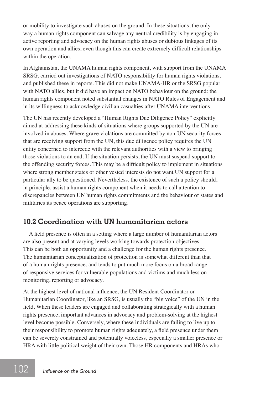or mobility to investigate such abuses on the ground. In these situations, the only way a human rights component can salvage any neutral credibility is by engaging in active reporting and advocacy on the human rights abuses or dubious linkages of its own operation and allies, even though this can create extremely difficult relationships within the operation.

In Afghanistan, the UNAMA human rights component, with support from the UNAMA SRSG, carried out investigations of NATO responsibility for human rights violations, and published these in reports. This did not make UNAMA-HR or the SRSG popular with NATO allies, but it did have an impact on NATO behaviour on the ground: the human rights component noted substantial changes in NATO Rules of Engagement and in its willingness to acknowledge civilian casualties after UNAMA interventions.

The UN has recently developed a "Human Rights Due Diligence Policy" explicitly aimed at addressing these kinds of situations where groups supported by the UN are involved in abuses. Where grave violations are committed by non-UN security forces that are receiving support from the UN, this due diligence policy requires the UN entity concerned to intercede with the relevant authorities with a view to bringing those violations to an end. If the situation persists, the UN must suspend support to the offending security forces. This may be a difficult policy to implement in situations where strong member states or other vested interests do not want UN support for a particular ally to be questioned. Nevertheless, the existence of such a policy should, in principle, assist a human rights component when it needs to call attention to discrepancies between UN human rights commitments and the behaviour of states and militaries its peace operations are supporting.

#### **10.2 Coordination with UN humanitarian actors**

A field presence is often in a setting where a large number of humanitarian actors are also present and at varying levels working towards protection objectives. This can be both an opportunity and a challenge for the human rights presence. The humanitarian conceptualization of protection is somewhat different than that of a human rights presence, and tends to put much more focus on a broad range of responsive services for vulnerable populations and victims and much less on monitoring, reporting or advocacy.

At the highest level of national influence, the UN Resident Coordinator or Humanitarian Coordinator, like an SRSG, is usually the "big voice" of the UN in the field. When these leaders are engaged and collaborating strategically with a human rights presence, important advances in advocacy and problem-solving at the highest level become possible. Conversely, where these individuals are failing to live up to their responsibility to promote human rights adequately, a field presence under them can be severely constrained and potentially voiceless, especially a smaller presence or HRA with little political weight of their own. Those HR components and HRAs who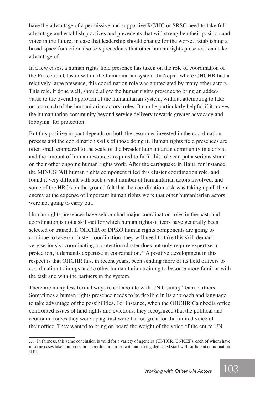have the advantage of a permissive and supportive RC/HC or SRSG need to take full advantage and establish practices and precedents that will strengthen their position and voice in the future, in case that leadership should change for the worse. Establishing a broad space for action also sets precedents that other human rights presences can take advantage of.

In a few cases, a human rights field presence has taken on the role of coordination of the Protection Cluster within the humanitarian system. In Nepal, where OHCHR had a relatively large presence, this coordination role was appreciated by many other actors. This role, if done well, should allow the human rights presence to bring an addedvalue to the overall approach of the humanitarian system, without attempting to take on too much of the humanitarian actors' roles. It can be particularly helpful if it moves the humanitarian community beyond service delivery towards greater advocacy and lobbying for protection.

But this positive impact depends on both the resources invested in the coordination process and the coordination skills of those doing it. Human rights field presences are often small compared to the scale of the broader humanitarian community in a crisis, and the amount of human resources required to fulfil this role can put a serious strain on their other ongoing human rights work. After the earthquake in Haiti, for instance, the MINUSTAH human rights component filled this cluster coordination role, and found it very difficult with such a vast number of humanitarian actors involved, and some of the HROs on the ground felt that the coordination task was taking up all their energy at the expense of important human rights work that other humanitarian actors were not going to carry out.

Human rights presences have seldom had major coordination roles in the past, and coordination is not a skill-set for which human rights officers have generally been selected or trained. If OHCHR or DPKO human rights components are going to continue to take on cluster coordination, they will need to take this skill demand very seriously: coordinating a protection cluster does not only require expertise in protection, it demands expertise in coordination.<sup>22</sup> A positive development in this respect is that OHCHR has, in recent years, been sending more of its field officers to coordination trainings and to other humanitarian training to become more familiar with the task and with the partners in the system.

There are many less formal ways to collaborate with UN Country Team partners. Sometimes a human rights presence needs to be flexible in its approach and language to take advantage of the possibilities. For instance, when the OHCHR Cambodia office confronted issues of land rights and evictions, they recognized that the political and economic forces they were up against were far too great for the limited voice of their office. They wanted to bring on board the weight of the voice of the entire UN

<sup>22</sup>*.* In fairness, this same conclusion is valid for a variety of agencies (UNHCR, UNICEF), each of whom have in some cases taken on protection coordination roles without having dedicated staff with sufficient coordination skills.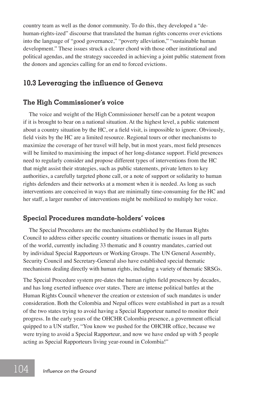country team as well as the donor community. To do this, they developed a "dehuman-rights-ized" discourse that translated the human rights concerns over evictions into the language of "good governance," "poverty alleviation," "sustainable human development." These issues struck a clearer chord with those other institutional and political agendas, and the strategy succeeded in achieving a joint public statement from the donors and agencies calling for an end to forced evictions.

#### **10.3 Leveraging the influence of Geneva**

#### **The High Commissioner's voice**

The voice and weight of the High Commissioner herself can be a potent weapon if it is brought to bear on a national situation. At the highest level, a public statement about a country situation by the HC, or a field visit, is impossible to ignore. Obviously, field visits by the HC are a limited resource. Regional tours or other mechanisms to maximize the coverage of her travel will help, but in most years, most field presences will be limited to maximising the impact of her long-distance support. Field presences need to regularly consider and propose different types of interventions from the HC that might assist their strategies, such as public statements, private letters to key authorities, a carefully targeted phone call, or a note of support or solidarity to human rights defenders and their networks at a moment when it is needed. As long as such interventions are conceived in ways that are minimally time-consuming for the HC and her staff, a larger number of interventions might be mobilized to multiply her voice.

#### **Special Procedures mandate-holders' voices**

The Special Procedures are the mechanisms established by the Human Rights Council to address either specific country situations or thematic issues in all parts of the world, currently including 33 thematic and 8 country mandates, carried out by individual Special Rapporteurs or Working Groups. The UN General Assembly, Security Council and Secretary-General also have established special thematic mechanisms dealing directly with human rights, including a variety of thematic SRSGs.

The Special Procedure system pre-dates the human rights field presences by decades, and has long exerted influence over states. There are intense political battles at the Human Rights Council whenever the creation or extension of such mandates is under consideration. Both the Colombia and Nepal offices were established in part as a result of the two states trying to avoid having a Special Rapporteur named to monitor their progress. In the early years of the OHCHR Colombia presence, a government official quipped to a UN staffer, "You know we pushed for the OHCHR office, because we were trying to avoid a Special Rapporteur, and now we have ended up with 5 people acting as Special Rapporteurs living year-round in Colombia!"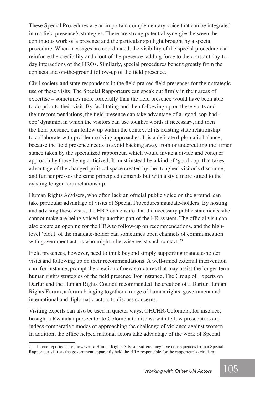These Special Procedures are an important complementary voice that can be integrated into a field presence's strategies. There are strong potential synergies between the continuous work of a presence and the particular spotlight brought by a special procedure. When messages are coordinated, the visibility of the special procedure can reinforce the credibility and clout of the presence, adding force to the constant day-today interactions of the HROs. Similarly, special procedures benefit greatly from the contacts and on-the-ground follow-up of the field presence.

Civil society and state respondents in the field praised field presences for their strategic use of these visits. The Special Rapporteurs can speak out firmly in their areas of expertise – sometimes more forcefully than the field presence would have been able to do prior to their visit. By facilitating and then following up on these visits and their recommendations, the field presence can take advantage of a 'good-cop-badcop' dynamic, in which the visitors can use tougher words if necessary, and then the field presence can follow up within the context of its existing state relationship to collaborate with problem-solving approaches. It is a delicate diplomatic balance, because the field presence needs to avoid backing away from or undercutting the firmer stance taken by the specialized rapporteur, which would invite a divide and conquer approach by those being criticized. It must instead be a kind of 'good cop' that takes advantage of the changed political space created by the 'tougher' visitor's discourse, and further presses the same principled demands but with a style more suited to the existing longer-term relationship.

Human Rights Advisers, who often lack an official public voice on the ground, can take particular advantage of visits of Special Procedures mandate-holders. By hosting and advising these visits, the HRA can ensure that the necessary public statements s/he cannot make are being voiced by another part of the HR system. The official visit can also create an opening for the HRA to follow-up on recommendations, and the highlevel 'clout' of the mandate-holder can sometimes open channels of communication with government actors who might otherwise resist such contact.<sup>23</sup>

Field presences, however, need to think beyond simply supporting mandate-holder visits and following up on their recommendations. A well-timed external intervention can, for instance, prompt the creation of new structures that may assist the longer-term human rights strategies of the field presence. For instance, The Group of Experts on Darfur and the Human Rights Council recommended the creation of a Darfur Human Rights Forum, a forum bringing together a range of human rights, government and international and diplomatic actors to discuss concerns.

Visiting experts can also be used in quieter ways. OHCHR-Colombia, for instance, brought a Rwandan prosecutor to Colombia to discuss with fellow prosecutors and judges comparative modes of approaching the challenge of violence against women. In addition, the office helped national actors take advantage of the work of Special

<sup>23</sup>*.* In one reported case, however, a Human Rights Advisor suffered negative consequences from a Special Rapporteur visit, as the government apparently held the HRA responsible for the rapporteur's criticism.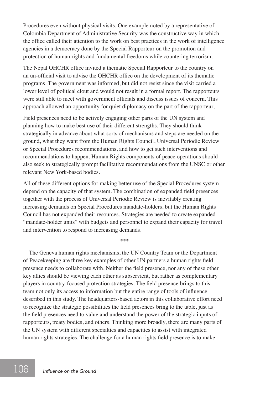Procedures even without physical visits. One example noted by a representative of Colombia Department of Administrative Security was the constructive way in which the office called their attention to the work on best practices in the work of intelligence agencies in a democracy done by the Special Rapporteur on the promotion and protection of human rights and fundamental freedoms while countering terrorism.

The Nepal OHCHR office invited a thematic Special Rapporteur to the country on an un-official visit to advise the OHCHR office on the development of its thematic programs. The government was informed, but did not resist since the visit carried a lower level of political clout and would not result in a formal report. The rapporteurs were still able to meet with government officials and discuss issues of concern. This approach allowed an opportunity for quiet diplomacy on the part of the rapporteur,

Field presences need to be actively engaging other parts of the UN system and planning how to make best use of their different strengths. They should think strategically in advance about what sorts of mechanisms and steps are needed on the ground, what they want from the Human Rights Council, Universal Periodic Review or Special Procedures recommendations, and how to get such interventions and recommendations to happen. Human Rights components of peace operations should also seek to strategically prompt facilitative recommendations from the UNSC or other relevant New York-based bodies.

All of these different options for making better use of the Special Procedures system depend on the capacity of that system. The combination of expanded field presences together with the process of Universal Periodic Review is inevitably creating increasing demands on Special Procedures mandate-holders, but the Human Rights Council has not expanded their resources. Strategies are needed to create expanded "mandate-holder units" with budgets and personnel to expand their capacity for travel and intervention to respond to increasing demands.

\*\*\*

The Geneva human rights mechanisms, the UN Country Team or the Department of Peacekeeping are three key examples of other UN partners a human rights field presence needs to collaborate with. Neither the field presence, nor any of these other key allies should be viewing each other as subservient, but rather as complementary players in country-focused protection strategies. The field presence brings to this team not only its access to information but the entire range of tools of influence described in this study. The headquarters-based actors in this collaborative effort need to recognize the strategic possibilities the field presences bring to the table, just as the field presences need to value and understand the power of the strategic inputs of rapporteurs, treaty bodies, and others. Thinking more broadly, there are many parts of the UN system with different specialties and capacities to assist with integrated human rights strategies. The challenge for a human rights field presence is to make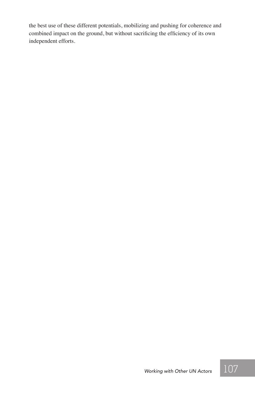the best use of these different potentials, mobilizing and pushing for coherence and combined impact on the ground, but without sacrificing the efficiency of its own independent efforts.

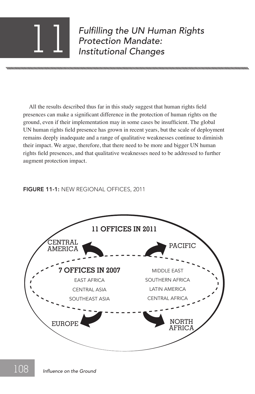*Fulfilling the UN Human Rights Protection Mandate:* 11 *Institutional Changes*

All the results described thus far in this study suggest that human rights field presences can make a significant difference in the protection of human rights on the ground, even if their implementation may in some cases be insufficient. The global UN human rights field presence has grown in recent years, but the scale of deployment remains deeply inadequate and a range of qualitative weaknesses continue to diminish their impact. We argue, therefore, that there need to be more and bigger UN human rights field presences, and that qualitative weaknesses need to be addressed to further augment protection impact.

#### FIGURE 11-1: NEW REGIONAL OFFICES, 2011

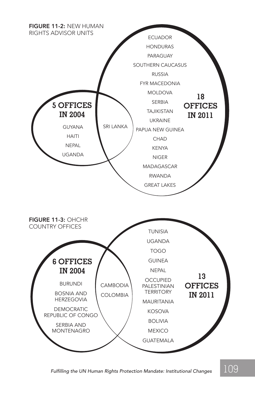

 $\epsilon$ *Fulfilling the UN Human Rights Protection Mandate: Institutional Changes*  $^{-1}109$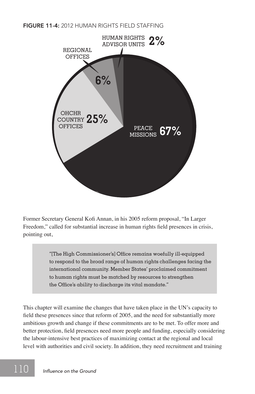FIGURE 11-4: 2012 HUMAN RIGHTS FIFLD STAFFING



Former Secretary General Kofi Annan, in his 2005 reform proposal, "In Larger Freedom," called for substantial increase in human rights field presences in crisis, pointing out,

> "[The High Commissioner's] Office remains woefully ill-equipped to respond to the broad range of human rights challenges facing the international community. Member States' proclaimed commitment to human rights must be matched by resources to strengthen the Office's ability to discharge its vital mandate."

This chapter will examine the changes that have taken place in the UN's capacity to field these presences since that reform of 2005, and the need for substantially more ambitious growth and change if these commitments are to be met. To offer more and better protection, field presences need more people and funding, especially considering the labour-intensive best practices of maximizing contact at the regional and local level with authorities and civil society. In addition, they need recruitment and training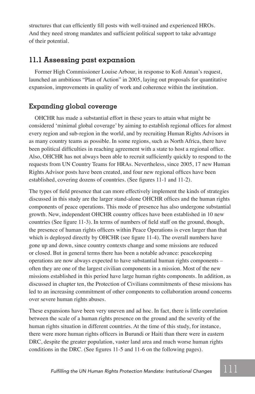structures that can efficiently fill posts with well-trained and experienced HROs. And they need strong mandates and sufficient political support to take advantage of their potential.

#### **11.1 Assessing past expansion**

Former High Commissioner Louise Arbour, in response to Kofi Annan's request, launched an ambitious "Plan of Action" in 2005, laying out proposals for quantitative expansion, improvements in quality of work and coherence within the institution.

#### **Expanding global coverage**

OHCHR has made a substantial effort in these years to attain what might be considered 'minimal global coverage' by aiming to establish regional offices for almost every region and sub-region in the world, and by recruiting Human Rights Advisors in as many country teams as possible. In some regions, such as North Africa, there have been political difficulties in reaching agreement with a state to host a regional office. Also, OHCHR has not always been able to recruit sufficiently quickly to respond to the requests from UN Country Teams for HRAs. Nevertheless, since 2005, 17 new Human Rights Advisor posts have been created, and four new regional offices have been established, covering dozens of countries. (See figures 11-1 and 11-2).

The types of field presence that can more effectively implement the kinds of strategies discussed in this study are the larger stand-alone OHCHR offices and the human rights components of peace operations. This mode of presence has also undergone substantial growth. New, independent OHCHR country offices have been established in 10 new countries (See figure 11-3). In terms of numbers of field staff on the ground, though, the presence of human rights officers within Peace Operations is even larger than that which is deployed directly by OHCHR (see figure 11-4). The overall numbers have gone up and down, since country contexts change and some missions are reduced or closed. But in general terms there has been a notable advance: peacekeeping operations are now always expected to have substantial human rights components – often they are one of the largest civilian components in a mission. Most of the new missions established in this period have large human rights components. In addition, as discussed in chapter ten, the Protection of Civilians commitments of these missions has led to an increasing commitment of other components to collaboration around concerns over severe human rights abuses.

These expansions have been very uneven and ad hoc. In fact, there is little correlation between the scale of a human rights presence on the ground and the severity of the human rights situation in different countries. At the time of this study, for instance, there were more human rights officers in Burundi or Haiti than there were in eastern DRC, despite the greater population, vaster land area and much worse human rights conditions in the DRC. (See figures 11-5 and 11-6 on the following pages).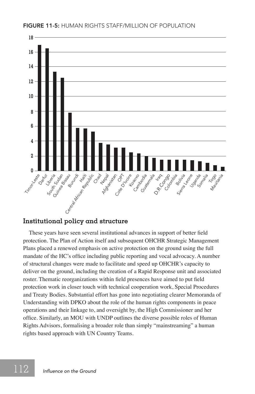

#### **Institutional policy and structure**

These years have seen several institutional advances in support of better field protection. The Plan of Action itself and subsequent OHCHR Strategic Management Plans placed a renewed emphasis on active protection on the ground using the full mandate of the HC's office including public reporting and vocal advocacy. A number of structural changes were made to facilitate and speed up OHCHR's capacity to deliver on the ground, including the creation of a Rapid Response unit and associated roster. Thematic reorganizations within field presences have aimed to put field protection work in closer touch with technical cooperation work, Special Procedures and Treaty Bodies. Substantial effort has gone into negotiating clearer Memoranda of Understanding with DPKO about the role of the human rights components in peace operations and their linkage to, and oversight by, the High Commissioner and her office. Similarly, an MOU with UNDP outlines the diverse possible roles of Human Rights Advisors, formalising a broader role than simply "mainstreaming" a human rights based approach with UN Country Teams.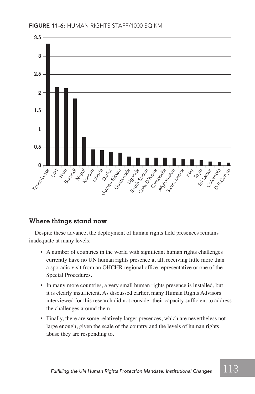

#### **Where things stand now**

Despite these advance, the deployment of human rights field presences remains inadequate at many levels:

- A number of countries in the world with significant human rights challenges currently have no UN human rights presence at all, receiving little more than a sporadic visit from an OHCHR regional office representative or one of the Special Procedures.
- In many more countries, a very small human rights presence is installed, but it is clearly insufficient. As discussed earlier, many Human Rights Advisors interviewed for this research did not consider their capacity sufficient to address the challenges around them.
- Finally, there are some relatively larger presences, which are nevertheless not large enough, given the scale of the country and the levels of human rights abuse they are responding to.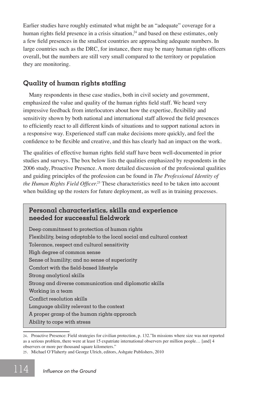Earlier studies have roughly estimated what might be an "adequate" coverage for a human rights field presence in a crisis situation, $24$  and based on these estimates, only a few field presences in the smallest countries are approaching adequate numbers. In large countries such as the DRC, for instance, there may be many human rights officers overall, but the numbers are still very small compared to the territory or population they are monitoring.

#### **Quality of human rights staffing**

Many respondents in these case studies, both in civil society and government, emphasized the value and quality of the human rights field staff. We heard very impressive feedback from interlocutors about how the expertise, flexibility and sensitivity shown by both national and international staff allowed the field presences to efficiently react to all different kinds of situations and to support national actors in a responsive way. Experienced staff can make decisions more quickly, and feel the confidence to be flexible and creative, and this has clearly had an impact on the work.

The qualities of effective human rights field staff have been well-documented in prior studies and surveys. The box below lists the qualities emphasized by respondents in the 2006 study, Proactive Presence. A more detailed discussion of the professional qualities and guiding principles of the profession can be found in *The Professional Identity of the Human Rights Field Officer.*25 These characteristics need to be taken into account when building up the rosters for future deployment, as well as in training processes.

#### **Personal characteristics, skills and experience needed for successful fieldwork**

Deep commitment to protection of human rights Flexibility, being adaptable to the local social and cultural context Tolerance, respect and cultural sensitivity High degree of common sense Sense of humility; and no sense of superiority Comfort with the field-based lifestyle Strong analytical skills Strong and diverse communication and diplomatic skills Working in a team Conflict resolution skills Language ability relevant to the context A proper grasp of the human rights approach Ability to cope with stress

<sup>24</sup>*.* Proactive Presence: Field strategies for civilian protection, p. 132."In missions where size was not reported as a serious problem, there were at least 15 expatriate international observers per million people… [and] 4 observers or more per thousand square kilometers."

<sup>25</sup>*.* Michael O'Flaherty and George Ulrich, editors, Ashgate Publishers, 2010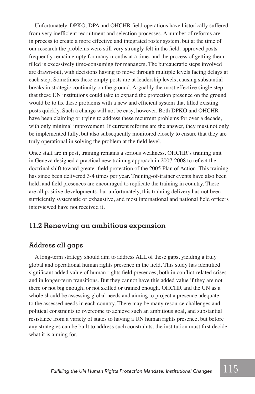Unfortunately, DPKO, DPA and OHCHR field operations have historically suffered from very inefficient recruitment and selection processes. A number of reforms are in process to create a more effective and integrated roster system, but at the time of our research the problems were still very strongly felt in the field: approved posts frequently remain empty for many months at a time, and the process of getting them filled is excessively time-consuming for managers. The bureaucratic steps involved are drawn-out, with decisions having to move through multiple levels facing delays at each step. Sometimes these empty posts are at leadership levels, causing substantial breaks in strategic continuity on the ground. Arguably the most effective single step that these UN institutions could take to expand the protection presence on the ground would be to fix these problems with a new and efficient system that filled existing posts quickly. Such a change will not be easy, however. Both DPKO and OHCHR have been claiming or trying to address these recurrent problems for over a decade, with only minimal improvement. If current reforms are the answer, they must not only be implemented fully, but also subsequently monitored closely to ensure that they are truly operational in solving the problem at the field level.

Once staff are in post, training remains a serious weakness. OHCHR's training unit in Geneva designed a practical new training approach in 2007-2008 to reflect the doctrinal shift toward greater field protection of the 2005 Plan of Action. This training has since been delivered 3-4 times per year. Training-of-trainer events have also been held, and field presences are encouraged to replicate the training in country. These are all positive developments, but unfortunately, this training delivery has not been sufficiently systematic or exhaustive, and most international and national field officers interviewed have not received it.

#### **11.2 Renewing an ambitious expansion**

#### **Address all gaps**

A long-term strategy should aim to address ALL of these gaps, yielding a truly global and operational human rights presence in the field. This study has identified significant added value of human rights field presences, both in conflict-related crises and in longer-term transitions. But they cannot have this added value if they are not there or not big enough, or not skilled or trained enough. OHCHR and the UN as a whole should be assessing global needs and aiming to project a presence adequate to the assessed needs in each country. There may be many resource challenges and political constraints to overcome to achieve such an ambitious goal, and substantial resistance from a variety of states to having a UN human rights presence, but before any strategies can be built to address such constraints, the institution must first decide what it is aiming for.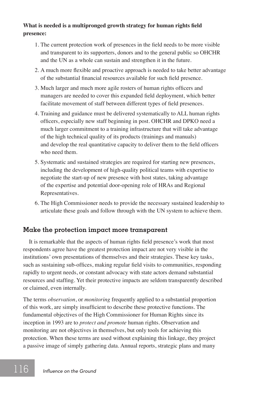#### **What is needed is a multipronged growth strategy for human rights field presence:**

- 1. The current protection work of presences in the field needs to be more visible and transparent to its supporters, donors and to the general public so OHCHR and the UN as a whole can sustain and strengthen it in the future.
- 2. A much more flexible and proactive approach is needed to take better advantage of the substantial financial resources available for such field presence.
- 3. Much larger and much more agile rosters of human rights officers and managers are needed to cover this expanded field deployment, which better facilitate movement of staff between different types of field presences.
- 4. Training and guidance must be delivered systematically to ALL human rights officers, especially new staff beginning in post. OHCHR and DPKO need a much larger commitment to a training infrastructure that will take advantage of the high technical quality of its products (trainings and manuals) and develop the real quantitative capacity to deliver them to the field officers who need them.
- 5. Systematic and sustained strategies are required for starting new presences, including the development of high-quality political teams with expertise to negotiate the start-up of new presence with host states, taking advantage of the expertise and potential door-opening role of HRAs and Regional Representatives.
- 6. The High Commissioner needs to provide the necessary sustained leadership to articulate these goals and follow through with the UN system to achieve them.

#### **Make the protection impact more transparent**

It is remarkable that the aspects of human rights field presence's work that most respondents agree have the greatest protection impact are not very visible in the institutions' own presentations of themselves and their strategies. These key tasks, such as sustaining sub-offices, making regular field visits to communities, responding rapidly to urgent needs, or constant advocacy with state actors demand substantial resources and staffing. Yet their protective impacts are seldom transparently described or claimed, even internally.

The terms *observation*, or *monitoring* frequently applied to a substantial proportion of this work, are simply insufficient to describe these protective functions. The fundamental objectives of the High Commissioner for Human Rights since its inception in 1993 are to *protect and promote* human rights. Observation and monitoring are not objectives in themselves, but only tools for achieving this protection. When these terms are used without explaining this linkage, they project a passive image of simply gathering data. Annual reports, strategic plans and many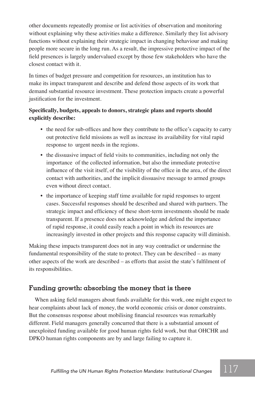other documents repeatedly promise or list activities of observation and monitoring without explaining why these activities make a difference. Similarly they list advisory functions without explaining their strategic impact in changing behaviour and making people more secure in the long run. As a result, the impressive protective impact of the field presences is largely undervalued except by those few stakeholders who have the closest contact with it.

In times of budget pressure and competition for resources, an institution has to make its impact transparent and describe and defend those aspects of its work that demand substantial resource investment. These protection impacts create a powerful justification for the investment.

#### **Specifically, budgets, appeals to donors, strategic plans and reports should explicitly describe:**

- the need for sub-offices and how they contribute to the office's capacity to carry out protective field missions as well as increase its availability for vital rapid response to urgent needs in the regions.
- the dissuasive impact of field visits to communities, including not only the importance of the collected information, but also the immediate protective influence of the visit itself, of the visibility of the office in the area, of the direct contact with authorities, and the implicit dissuasive message to armed groups even without direct contact.
- the importance of keeping staff time available for rapid responses to urgent cases. Successful responses should be described and shared with partners. The strategic impact and efficiency of these short-term investments should be made transparent. If a presence does not acknowledge and defend the importance of rapid response, it could easily reach a point in which its resources are increasingly invested in other projects and this response capacity will diminish.

Making these impacts transparent does not in any way contradict or undermine the fundamental responsibility of the state to protect. They can be described – as many other aspects of the work are described – as efforts that assist the state's fulfilment of its responsibilities.

#### **Funding growth: absorbing the money that is there**

When asking field managers about funds available for this work, one might expect to hear complaints about lack of money, the world economic crisis or donor constraints. But the consensus response about mobilising financial resources was remarkably different. Field managers generally concurred that there is a substantial amount of unexploited funding available for good human rights field work, but that OHCHR and DPKO human rights components are by and large failing to capture it.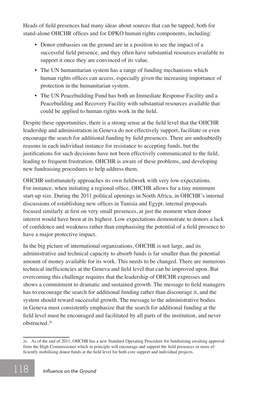Heads of field presences had many ideas about sources that can be tapped, both for stand-alone OHCHR offices and for DPKO human rights components, including:

- Donor embassies on the ground are in a position to see the impact of a successful field presence, and they often have substantial resources available to support it once they are convinced of its value.
- The UN humanitarian system has a range of funding mechanisms which human rights offices can access, especially given the increasing importance of protection in the humanitarian system.
- The UN Peacebuilding Fund has both an Immediate Response Facility and a Peacebuilding and Recovery Facility with substantial resources available that could be applied to human rights work in the field.

Despite these opportunities, there is a strong sense at the field level that the OHCHR leadership and administration in Geneva do not effectively support, facilitate or even encourage the search for additional funding by field presences. There are undoubtedly reasons in each individual instance for resistance to accepting funds, but the justifications for such decisions have not been effectively communicated to the field, leading to frequent frustration. OHCHR is aware of these problems, and developing new fundraising procedures to help address them.

OHCHR unfortunately approaches its own fieldwork with very low expectations. For instance, when initiating a regional office, OHCHR allows for a tiny minimum start-up size. During the 2011 political openings in North Africa, in OHCHR's internal discussions of establishing new offices in Tunisia and Egypt, internal proposals focused similarly at first on very small presences, at just the moment when donor interest would have been at its highest. Low expectations demonstrate to donors a lack of confidence and weakness rather than emphasising the potential of a field presence to have a major protective impact.

In the big picture of international organizations, OHCHR is not large, and its administrative and technical capacity to absorb funds is far smaller than the potential amount of money available for its work. This needs to be changed. There are numerous technical inefficiencies at the Geneva and field level that can be improved upon. But overcoming this challenge requires that the leadership of OHCHR expresses and shows a commitment to dramatic and sustained growth. The message to field managers has to encourage the search for additional funding rather than discourage it, and the system should reward successful growth. The message to the administrative bodies in Geneva must consistently emphasize that the search for additional funding at the field level must be encouraged and facilitated by all parts of the institution, and never obstructed.26

<sup>26</sup>*.* As of the end of 2011, OHCHR has a new Standard Operating Procedure for fundraising awaiting approval from the High Commissioner which in principle will encourage and support the field presences in more efficiently mobilising donor funds at the field level for both core support and individual projects.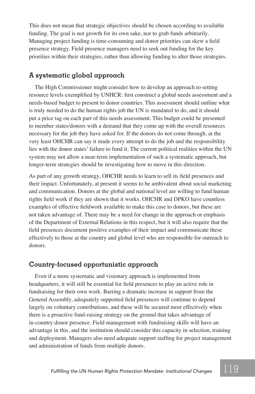This does not mean that strategic objectives should be chosen according to available funding. The goal is not growth for its own sake, nor to grab funds arbitrarily. Managing project funding is time-consuming and donor priorities can skew a field presence strategy. Field presence managers need to seek out funding for the key priorities within their strategies, rather than allowing funding to alter those strategies.

#### **A systematic global approach**

The High Commissioner might consider how to develop an approach to setting resource levels exemplified by UNHCR: first construct a global needs assessment and a needs-based budget to present to donor countries. This assessment should outline what is truly needed to do the human rights job the UN is mandated to do, and it should put a price tag on each part of this needs assessment. This budget could be presented to member states/donors with a demand that they come up with the overall resources necessary for the job they have asked for. If the donors do not come through, at the very least OHCHR can say it made every attempt to do the job and the responsibility lies with the donor states' failure to fund it. The current political realities within the UN system may not allow a near-term implementation of such a systematic approach, but longer-term strategies should be investigating how to move in this direction.

As part of any growth strategy, OHCHR needs to learn to sell its field presences and their impact. Unfortunately, at present it seems to be ambivalent about social marketing and communication. Donors at the global and national level are willing to fund human rights field work if they are shown that it works. OHCHR and DPKO have countless examples of effective fieldwork available to make this case to donors, but these are not taken advantage of. There may be a need for change in the approach or emphasis of the Department of External Relations in this respect, but it will also require that the field presences document positive examples of their impact and communicate these effectively to those at the country and global level who are responsible for outreach to donors.

#### **Country-focused opportunistic approach**

Even if a more systematic and visionary approach is implemented from headquarters, it will still be essential for field presences to play an active role in fundraising for their own work. Barring a dramatic increase in support from the General Assembly, adequately supported field presences will continue to depend largely on voluntary contributions, and these will be secured most effectively when there is a proactive fund-raising strategy on the ground that takes advantage of in-country donor presence. Field management with fundraising skills will have an advantage in this, and the institution should consider this capacity in selection, training and deployment. Managers also need adequate support staffing for project management and administration of funds from multiple donors.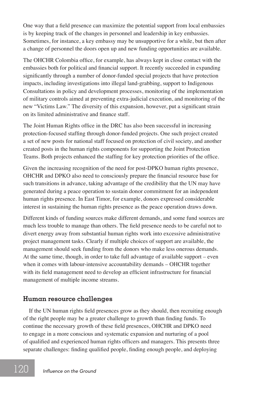One way that a field presence can maximize the potential support from local embassies is by keeping track of the changes in personnel and leadership in key embassies. Sometimes, for instance, a key embassy may be unsupportive for a while, but then after a change of personnel the doors open up and new funding opportunities are available.

The OHCHR Colombia office, for example, has always kept in close contact with the embassies both for political and financial support. It recently succeeded in expanding significantly through a number of donor-funded special projects that have protection impacts, including investigations into illegal land-grabbing, support to Indigenous Consultations in policy and development processes, monitoring of the implementation of military controls aimed at preventing extra-judicial execution, and monitoring of the new "Victims Law." The diversity of this expansion, however, put a significant strain on its limited administrative and finance staff.

The Joint Human Rights office in the DRC has also been successful in increasing protection-focused staffing through donor-funded projects. One such project created a set of new posts for national staff focused on protection of civil society, and another created posts in the human rights components for supporting the Joint Protection Teams. Both projects enhanced the staffing for key protection priorities of the office.

Given the increasing recognition of the need for post-DPKO human rights presence, OHCHR and DPKO also need to consciously prepare the financial resource base for such transitions in advance, taking advantage of the credibility that the UN may have generated during a peace operation to sustain donor commitment for an independent human rights presence. In East Timor, for example, donors expressed considerable interest in sustaining the human rights presence as the peace operation draws down.

Different kinds of funding sources make different demands, and some fund sources are much less trouble to manage than others. The field presence needs to be careful not to divert energy away from substantial human rights work into excessive administrative project management tasks. Clearly if multiple choices of support are available, the management should seek funding from the donors who make less onerous demands. At the same time, though, in order to take full advantage of available support – even when it comes with labour-intensive accountability demands – OHCHR together with its field management need to develop an efficient infrastructure for financial management of multiple income streams.

#### **Human resource challenges**

If the UN human rights field presences grow as they should, then recruiting enough of the right people may be a greater challenge to growth than finding funds. To continue the necessary growth of these field presences, OHCHR and DPKO need to engage in a more conscious and systematic expansion and nurturing of a pool of qualified and experienced human rights officers and managers. This presents three separate challenges: finding qualified people, finding enough people, and deploying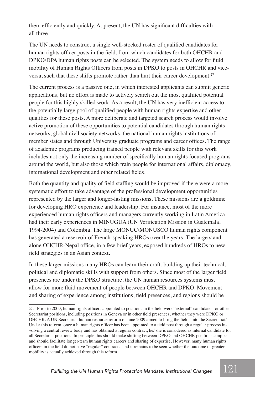them efficiently and quickly. At present, the UN has significant difficulties with all three.

The UN needs to construct a single well-stocked roster of qualified candidates for human rights officer posts in the field, from which candidates for both OHCHR and DPKO/DPA human rights posts can be selected. The system needs to allow for fluid mobility of Human Rights Officers from posts in DPKO to posts in OHCHR and viceversa, such that these shifts promote rather than hurt their career development.<sup>27</sup>

The current process is a passive one, in which interested applicants can submit generic applications, but no effort is made to actively search out the most qualified potential people for this highly skilled work. As a result, the UN has very inefficient access to the potentially large pool of qualified people with human rights expertise and other qualities for these posts. A more deliberate and targeted search process would involve active promotion of these opportunities to potential candidates through human rights networks, global civil society networks, the national human rights institutions of member states and through University graduate programs and career offices. The range of academic programs producing trained people with relevant skills for this work includes not only the increasing number of specifically human rights focused programs around the world, but also those which train people for international affairs, diplomacy, international development and other related fields.

Both the quantity and quality of field staffing would be improved if there were a more systematic effort to take advantage of the professional development opportunities represented by the larger and longer-lasting missions. These missions are a goldmine for developing HRO experience and leadership. For instance, most of the more experienced human rights officers and managers currently working in Latin America had their early experiences in MINUGUA (UN Verification Mission in Guatemala, 1994-2004) and Colombia. The large MONUC/MONUSCO human rights component has generated a reservoir of French-speaking HROs over the years. The large standalone OHCHR-Nepal office, in a few brief years, exposed hundreds of HROs to new field strategies in an Asian context.

In these larger missions many HROs can learn their craft, building up their technical, political and diplomatic skills with support from others. Since most of the larger field presences are under the DPKO structure, the UN human resources systems must allow for more fluid movement of people between OHCHR and DPKO. Movement and sharing of experience among institutions, field presences, and regions should be

<sup>27</sup>*.* Prior to 2009, human rights officers appointed to positions in the field were "external" candidates for other Secretariat positions, including positions in Geneva or in other field presences, whether they were DPKO or OHCHR. A UN Secretariat human resource reform of June 2009 aimed to bring the field "into the Secretariat". Under this reform, once a human rights officer has been appointed to a field post through a regular process involving a central review body and has obtained a regular contract, he/ she is considered as internal candidate for all Secretariat positions. In principle this should make shifting between DPKO and OHCHR positions simpler and should facilitate longer-term human rights careers and sharing of expertise. However, many human rights officers in the field do not have "regular" contracts, and it remains to be seen whether the outcome of greater mobility is actually achieved through this reform.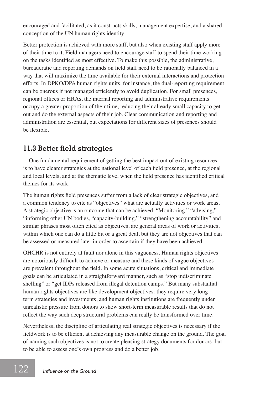encouraged and facilitated, as it constructs skills, management expertise, and a shared conception of the UN human rights identity.

Better protection is achieved with more staff, but also when existing staff apply more of their time to it. Field managers need to encourage staff to spend their time working on the tasks identified as most effective. To make this possible, the administrative, bureaucratic and reporting demands on field staff need to be rationally balanced in a way that will maximize the time available for their external interactions and protection efforts. In DPKO/DPA human rights units, for instance, the dual-reporting requirement can be onerous if not managed efficiently to avoid duplication. For small presences, regional offices or HRAs, the internal reporting and administrative requirements occupy a greater proportion of their time, reducing their already small capacity to get out and do the external aspects of their job. Clear communication and reporting and administration are essential, but expectations for different sizes of presences should be flexible.

#### **11.3 Better field strategies**

One fundamental requirement of getting the best impact out of existing resources is to have clearer strategies at the national level of each field presence, at the regional and local levels, and at the thematic level when the field presence has identified critical themes for its work.

The human rights field presences suffer from a lack of clear strategic objectives, and a common tendency to cite as "objectives" what are actually activities or work areas. A strategic objective is an outcome that can be achieved. "Monitoring," "advising," "informing other UN bodies, "capacity-building," "strengthening accountability" and similar phrases most often cited as objectives, are general areas of work or activities, within which one can do a little bit or a great deal, but they are not objectives that can be assessed or measured later in order to ascertain if they have been achieved.

OHCHR is not entirely at fault nor alone in this vagueness. Human rights objectives are notoriously difficult to achieve or measure and these kinds of vague objectives are prevalent throughout the field. In some acute situations, critical and immediate goals can be articulated in a straightforward manner, such as "stop indiscriminate shelling" or "get IDPs released from illegal detention camps." But many substantial human rights objectives are like development objectives: they require very longterm strategies and investments, and human rights institutions are frequently under unrealistic pressure from donors to show short-term measurable results that do not reflect the way such deep structural problems can really be transformed over time.

Nevertheless, the discipline of articulating real strategic objectives is necessary if the fieldwork is to be efficient at achieving any measurable change on the ground. The goal of naming such objectives is not to create pleasing strategy documents for donors, but to be able to assess one's own progress and do a better job.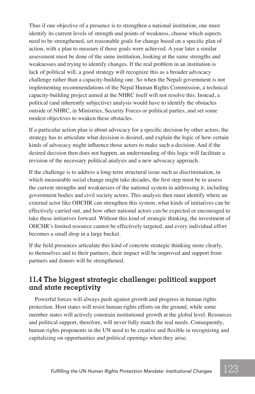Thus if one objective of a presence is to strengthen a national institution, one must identify its current levels of strength and points of weakness, choose which aspects need to be strengthened, set reasonable goals for change based on a specific plan of action, with a plan to measure if those goals were achieved. A year later a similar assessment must be done of the same institution, looking at the same strengths and weaknesses and trying to identify changes. If the real problem in an institution is lack of political will, a good strategy will recognize this as a broader advocacy challenge rather than a capacity-building one. So when the Nepali government is not implementing recommendations of the Nepal Human Rights Commission, a technical capacity-building project aimed at the NHRC itself will not resolve this. Instead, a political (and inherently subjective) analysis would have to identify the obstacles outside of NHRC, in Ministries, Security Forces or political parties, and set some modest objectives to weaken these obstacles.

If a particular action plan is about advocacy for a specific decision by other actors, the strategy has to articulate what decision is desired, and explain the logic of how certain kinds of advocacy might influence those actors to make such a decision. And if the desired decision then does not happen, an understanding of this logic will facilitate a revision of the necessary political analysis and a new advocacy approach.

If the challenge is to address a long-term structural issue such as discrimination, in which measurable social change might take decades, the first step must be to assess the current strengths and weaknesses of the national system in addressing it, including government bodies and civil society actors. This analysis then must identify where an external actor like OHCHR can strengthen this system, what kinds of initiatives can be effectively carried out, and how other national actors can be expected or encouraged to take these initiatives forward. Without this kind of strategic thinking, the investment of OHCHR's limited resource cannot be effectively targeted, and every individual effort becomes a small drop in a large bucket.

If the field presences articulate this kind of concrete strategic thinking more clearly, to themselves and to their partners, their impact will be improved and support from partners and donors will be strengthened.

#### **11.4 The biggest strategic challenge: political support and state receptivity**

Powerful forces will always push against growth and progress in human rights protection. Host states will resist human rights efforts on the ground, while some member states will actively constrain institutional growth at the global level. Resources and political support, therefore, will never fully match the real needs. Consequently, human rights proponents in the UN need to be creative and flexible in recognizing and capitalizing on opportunities and political openings when they arise.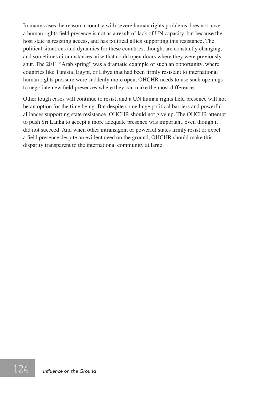In many cases the reason a country with severe human rights problems does not have a human rights field presence is not as a result of lack of UN capacity, but because the host state is resisting access, and has political allies supporting this resistance. The political situations and dynamics for these countries, though, are constantly changing, and sometimes circumstances arise that could open doors where they were previously shut. The 2011 "Arab spring" was a dramatic example of such an opportunity, where countries like Tunisia, Egypt, or Libya that had been firmly resistant to international human rights pressure were suddenly more open. OHCHR needs to use such openings to negotiate new field presences where they can make the most difference.

Other tough cases will continue to resist, and a UN human rights field presence will not be an option for the time being. But despite some huge political barriers and powerful alliances supporting state resistance, OHCHR should not give up. The OHCHR attempt to push Sri Lanka to accept a more adequate presence was important, even though it did not succeed. And when other intransigent or powerful states firmly resist or expel a field presence despite an evident need on the ground, OHCHR should make this disparity transparent to the international community at large.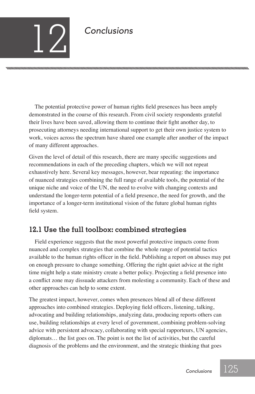# *Conclusions* 12

The potential protective power of human rights field presences has been amply demonstrated in the course of this research. From civil society respondents grateful their lives have been saved, allowing them to continue their fight another day, to prosecuting attorneys needing international support to get their own justice system to work, voices across the spectrum have shared one example after another of the impact of many different approaches.

nnummmmmmmmmmmmmmmmmmmmmmmmmmmmmmm

Given the level of detail of this research, there are many specific suggestions and recommendations in each of the preceding chapters, which we will not repeat exhaustively here. Several key messages, however, bear repeating: the importance of nuanced strategies combining the full range of available tools, the potential of the unique niche and voice of the UN, the need to evolve with changing contexts and understand the longer-term potential of a field presence, the need for growth, and the importance of a longer-term institutional vision of the future global human rights field system.

### **12.1 Use the full toolbox: combined strategies**

Field experience suggests that the most powerful protective impacts come from nuanced and complex strategies that combine the whole range of potential tactics available to the human rights officer in the field. Publishing a report on abuses may put on enough pressure to change something. Offering the right quiet advice at the right time might help a state ministry create a better policy. Projecting a field presence into a conflict zone may dissuade attackers from molesting a community. Each of these and other approaches can help to some extent.

The greatest impact, however, comes when presences blend all of these different approaches into combined strategies. Deploying field officers, listening, talking, advocating and building relationships, analyzing data, producing reports others can use, building relationships at every level of government, combining problem-solving advice with persistent advocacy, collaborating with special rapporteurs, UN agencies, diplomats… the list goes on. The point is not the list of activities, but the careful diagnosis of the problems and the environment, and the strategic thinking that goes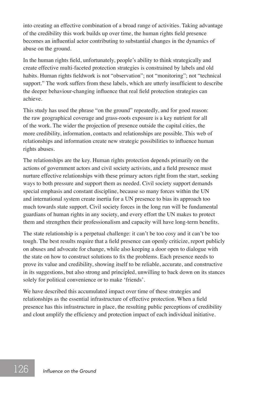into creating an effective combination of a broad range of activities. Taking advantage of the credibility this work builds up over time, the human rights field presence becomes an influential actor contributing to substantial changes in the dynamics of abuse on the ground.

In the human rights field, unfortunately, people's ability to think strategically and create effective multi-faceted protection strategies is constrained by labels and old habits. Human rights fieldwork is not "observation"; not "monitoring"; not "technical support." The work suffers from these labels, which are utterly insufficient to describe the deeper behaviour-changing influence that real field protection strategies can achieve.

This study has used the phrase "on the ground" repeatedly, and for good reason: the raw geographical coverage and grass-roots exposure is a key nutrient for all of the work. The wider the projection of presence outside the capital cities, the more credibility, information, contacts and relationships are possible. This web of relationships and information create new strategic possibilities to influence human rights abuses.

The relationships are the key. Human rights protection depends primarily on the actions of government actors and civil society activists, and a field presence must nurture effective relationships with these primary actors right from the start, seeking ways to both pressure and support them as needed. Civil society support demands special emphasis and constant discipline, because so many forces within the UN and international system create inertia for a UN presence to bias its approach too much towards state support. Civil society forces in the long run will be fundamental guardians of human rights in any society, and every effort the UN makes to protect them and strengthen their professionalism and capacity will have long-term benefits.

The state relationship is a perpetual challenge: it can't be too cosy and it can't be too tough. The best results require that a field presence can openly criticize, report publicly on abuses and advocate for change, while also keeping a door open to dialogue with the state on how to construct solutions to fix the problems. Each presence needs to prove its value and credibility, showing itself to be reliable, accurate, and constructive in its suggestions, but also strong and principled, unwilling to back down on its stances solely for political convenience or to make 'friends'.

We have described this accumulated impact over time of these strategies and relationships as the essential infrastructure of effective protection. When a field presence has this infrastructure in place, the resulting public perceptions of credibility and clout amplify the efficiency and protection impact of each individual initiative.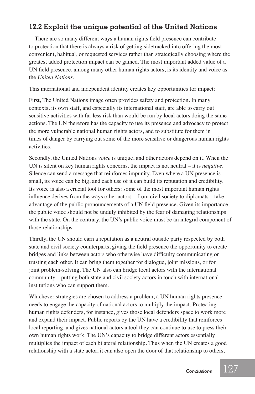#### **12.2 Exploit the unique potential of the United Nations**

There are so many different ways a human rights field presence can contribute to protection that there is always a risk of getting sidetracked into offering the most convenient, habitual, or requested services rather than strategically choosing where the greatest added protection impact can be gained. The most important added value of a UN field presence, among many other human rights actors, is its identity and voice as the *United Nations.* 

This international and independent identity creates key opportunities for impact:

First, The United Nations image often provides safety and protection. In many contexts, its own staff, and especially its international staff, are able to carry out sensitive activities with far less risk than would be run by local actors doing the same actions. The UN therefore has the capacity to use its presence and advocacy to protect the more vulnerable national human rights actors, and to substitute for them in times of danger by carrying out some of the more sensitive or dangerous human rights activities.

Secondly, the United Nations *voice* is unique, and other actors depend on it. When the UN is silent on key human rights concerns, the impact is not neutral – it is *negative*. Silence can send a message that reinforces impunity. Even where a UN presence is small, its voice can be big, and each use of it can build its reputation and credibility. Its voice is also a crucial tool for others: some of the most important human rights influence derives from the ways other actors – from civil society to diplomats – take advantage of the public pronouncements of a UN field presence. Given its importance, the public voice should not be unduly inhibited by the fear of damaging relationships with the state. On the contrary, the UN's public voice must be an integral component of those relationships.

Thirdly, the UN should earn a reputation as a neutral outside party respected by both state and civil society counterparts, giving the field presence the opportunity to create bridges and links between actors who otherwise have difficulty communicating or trusting each other. It can bring them together for dialogue, joint missions, or for joint problem-solving. The UN also can bridge local actors with the international community – putting both state and civil society actors in touch with international institutions who can support them.

Whichever strategies are chosen to address a problem, a UN human rights presence needs to engage the capacity of national actors to multiply the impact. Protecting human rights defenders, for instance, gives those local defenders space to work more and expand their impact. Public reports by the UN have a credibility that reinforces local reporting, and gives national actors a tool they can continue to use to press their own human rights work. The UN's capacity to bridge different actors essentially multiplies the impact of each bilateral relationship. Thus when the UN creates a good relationship with a state actor, it can also open the door of that relationship to others,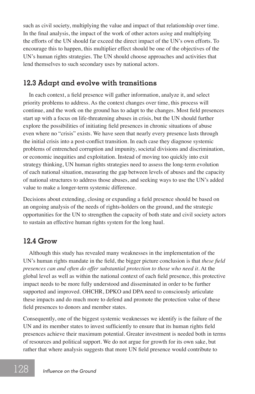such as civil society, multiplying the value and impact of that relationship over time. In the final analysis, the impact of the work of other actors *using* and multiplying the efforts of the UN should far exceed the direct impact of the UN's own efforts. To encourage this to happen, this multiplier effect should be one of the objectives of the UN's human rights strategies. The UN should choose approaches and activities that lend themselves to such secondary uses by national actors.

#### **12.3 Adapt and evolve with transitions**

In each context, a field presence will gather information, analyze it, and select priority problems to address. As the context changes over time, this process will continue, and the work on the ground has to adapt to the changes. Most field presences start up with a focus on life-threatening abuses in crisis, but the UN should further explore the possibilities of initiating field presences in chronic situations of abuse even where no "crisis" exists. We have seen that nearly every presence lasts through the initial crisis into a post-conflict transition. In each case they diagnose systemic problems of entrenched corruption and impunity, societal divisions and discrimination, or economic inequities and exploitation. Instead of moving too quickly into exit strategy thinking, UN human rights strategies need to assess the long-term evolution of each national situation, measuring the gap between levels of abuses and the capacity of national structures to address those abuses, and seeking ways to use the UN's added value to make a longer-term systemic difference.

Decisions about extending, closing or expanding a field presence should be based on an ongoing analysis of the needs of rights-holders on the ground, and the strategic opportunities for the UN to strengthen the capacity of both state and civil society actors to sustain an effective human rights system for the long haul.

### **12.4 Grow**

Although this study has revealed many weaknesses in the implementation of the UN's human rights mandate in the field, the bigger picture conclusion is that *these field presences can and often do offer substantial protection to those who need it.* At the global level as well as within the national context of each field presence, this protective impact needs to be more fully understood and disseminated in order to be further supported and improved. OHCHR, DPKO and DPA need to consciously articulate these impacts and do much more to defend and promote the protection value of these field presences to donors and member states.

Consequently, one of the biggest systemic weaknesses we identify is the failure of the UN and its member states to invest sufficiently to ensure that its human rights field presences achieve their maximum potential. Greater investment is needed both in terms of resources and political support. We do not argue for growth for its own sake, but rather that where analysis suggests that more UN field presence would contribute to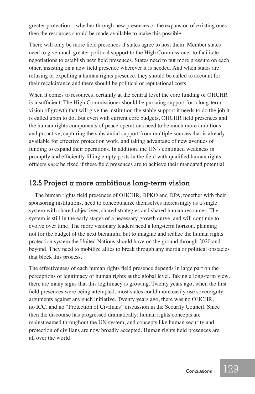greater protection – whether through new presences or the expansion of existing ones then the resources should be made available to make this possible.

There will only be more field presences if states agree to host them. Member states need to give much greater political support to the High Commissioner to facilitate negotiations to establish new field presences. States need to put more pressure on each other, insisting on a new field presence wherever it is needed. And when states are refusing or expelling a human rights presence, they should be called to account for their recalcitrance and there should be political or reputational costs.

When it comes to resources, certainly at the central level the core funding of OHCHR is insufficient. The High Commissioner should be pursuing support for a long-term vision of growth that will give the institution the stable support it needs to do the job it is called upon to do. But even with current core budgets, OHCHR field presences and the human rights components of peace operations need to be much more ambitious and proactive, capturing the substantial support from multiple sources that is already available for effective protection work, and taking advantage of new avenues of funding to expand their operations. In addition, the UN's continued weakness in promptly and efficiently filling empty posts in the field with qualified human rights officers *must* be fixed if these field presences are to achieve their mandated potential.

#### **12.5 Project a more ambitious long-term vision**

The human rights field presences of OHCHR, DPKO and DPA, together with their sponsoring institutions, need to conceptualize themselves increasingly as a single system with shared objectives, shared strategies and shared human resources. The system is still in the early stages of a necessary growth curve, and will continue to evolve over time. The more visionary leaders need a long-term horizon, planning not for the budget of the next biennium, but to imagine and realize the human rights protection system the United Nations should have on the ground through 2020 and beyond. They need to mobilize allies to break through any inertia or political obstacles that block this process.

The effectiveness of each human rights field presence depends in large part on the perceptions of legitimacy of human rights at the global level. Taking a long-term view, there are many signs that this legitimacy is growing. Twenty years ago, when the first field presences were being attempted, most states could more easily use sovereignty arguments against any such initiative. Twenty years ago, there was no OHCHR, no ICC, and no "Protection of Civilians" discussion in the Security Council. Since then the discourse has progressed dramatically: human rights concepts are mainstreamed throughout the UN system, and concepts like human security and protection of civilians are now broadly accepted. Human rights field presences are all over the world.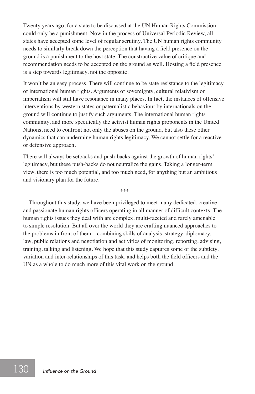Twenty years ago, for a state to be discussed at the UN Human Rights Commission could only be a punishment. Now in the process of Universal Periodic Review, all states have accepted some level of regular scrutiny. The UN human rights community needs to similarly break down the perception that having a field presence on the ground is a punishment to the host state. The constructive value of critique and recommendation needs to be accepted on the ground as well. Hosting a field presence is a step towards legitimacy, not the opposite.

It won't be an easy process. There will continue to be state resistance to the legitimacy of international human rights. Arguments of sovereignty, cultural relativism or imperialism will still have resonance in many places. In fact, the instances of offensive interventions by western states or paternalistic behaviour by internationals on the ground will continue to justify such arguments. The international human rights community, and more specifically the activist human rights proponents in the United Nations, need to confront not only the abuses on the ground, but also these other dynamics that can undermine human rights legitimacy. We cannot settle for a reactive or defensive approach.

There will always be setbacks and push-backs against the growth of human rights' legitimacy, but these push-backs do not neutralize the gains. Taking a longer-term view, there is too much potential, and too much need, for anything but an ambitious and visionary plan for the future.

\*\*\*

Throughout this study, we have been privileged to meet many dedicated, creative and passionate human rights officers operating in all manner of difficult contexts. The human rights issues they deal with are complex, multi-faceted and rarely amenable to simple resolution. But all over the world they are crafting nuanced approaches to the problems in front of them – combining skills of analysis, strategy, diplomacy, law, public relations and negotiation and activities of monitoring, reporting, advising, training, talking and listening. We hope that this study captures some of the subtlety, variation and inter-relationships of this task, and helps both the field officers and the UN as a whole to do much more of this vital work on the ground.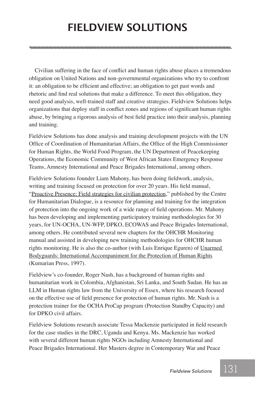## **Fieldview SolutionS**

Civilian suffering in the face of conflict and human rights abuse places a tremendous obligation on United Nations and non-governmental organizations who try to confront it: an obligation to be efficient and effective; an obligation to get past words and rhetoric and find real solutions that make a difference. To meet this obligation, they need good analysis, well-trained staff and creative strategies. Fieldview Solutions helps organizations that deploy staff in conflict zones and regions of significant human rights abuse, by bringing a rigorous analysis of best field practice into their analysis, planning and training.

Fieldview Solutions has done analysis and training development projects with the UN Office of Coordination of Humanitarian Affairs, the Office of the High Commissioner for Human Rights, the World Food Program, the UN Department of Peacekeeping Operations, the Economic Community of West African States Emergency Response Teams, Amnesty International and Peace Brigades International, among others.

Fieldview Solutions founder Liam Mahony, has been doing fieldwork, analysis, writing and training focused on protection for over 20 years. His field manual, "Proactive Presence: Field strategies for civilian protection," published by the Centre for Humanitarian Dialogue, is a resource for planning and training for the integration of protection into the ongoing work of a wide range of field operations. Mr. Mahony has been developing and implementing participatory training methodologies for 30 years, for UN-OCHA, UN-WFP, DPKO, ECOWAS and Peace Brigades International, among others. He contributed several new chapters for the OHCHR Monitoring manual and assisted in developing new training methodologies for OHCHR human rights monitoring. He is also the co-author (with Luis Enrique Eguren) of Unarmed Bodyguards: International Accompaniment for the Protection of Human Rights (Kumarian Press, 1997).

Fieldview's co-founder, Roger Nash, has a background of human rights and humanitarian work in Colombia, Afghanistan, Sri Lanka, and South Sudan. He has an LLM in Human rights law from the University of Essex, where his research focused on the effective use of field presence for protection of human rights. Mr. Nash is a protection trainer for the OCHA ProCap program (Protection Standby Capacity) and for DPKO civil affairs.

Fieldview Solutions research associate Tessa Mackenzie participated in field research for the case studies in the DRC, Uganda and Kenya. Ms. Mackenzie has worked with several different human rights NGOs including Amnesty International and Peace Brigades International. Her Masters degree in Contemporary War and Peace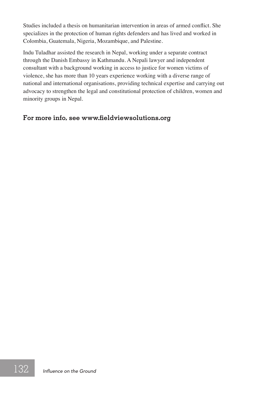Studies included a thesis on humanitarian intervention in areas of armed conflict. She specializes in the protection of human rights defenders and has lived and worked in Colombia, Guatemala, Nigeria, Mozambique, and Palestine.

Indu Tuladhar assisted the research in Nepal, working under a separate contract through the Danish Embassy in Kathmandu. A Nepali lawyer and independent consultant with a background working in access to justice for women victims of violence, she has more than 10 years experience working with a diverse range of national and international organisations, providing technical expertise and carrying out advocacy to strengthen the legal and constitutional protection of children, women and minority groups in Nepal.

#### **For more info, see www.fieldviewsolutions.org**